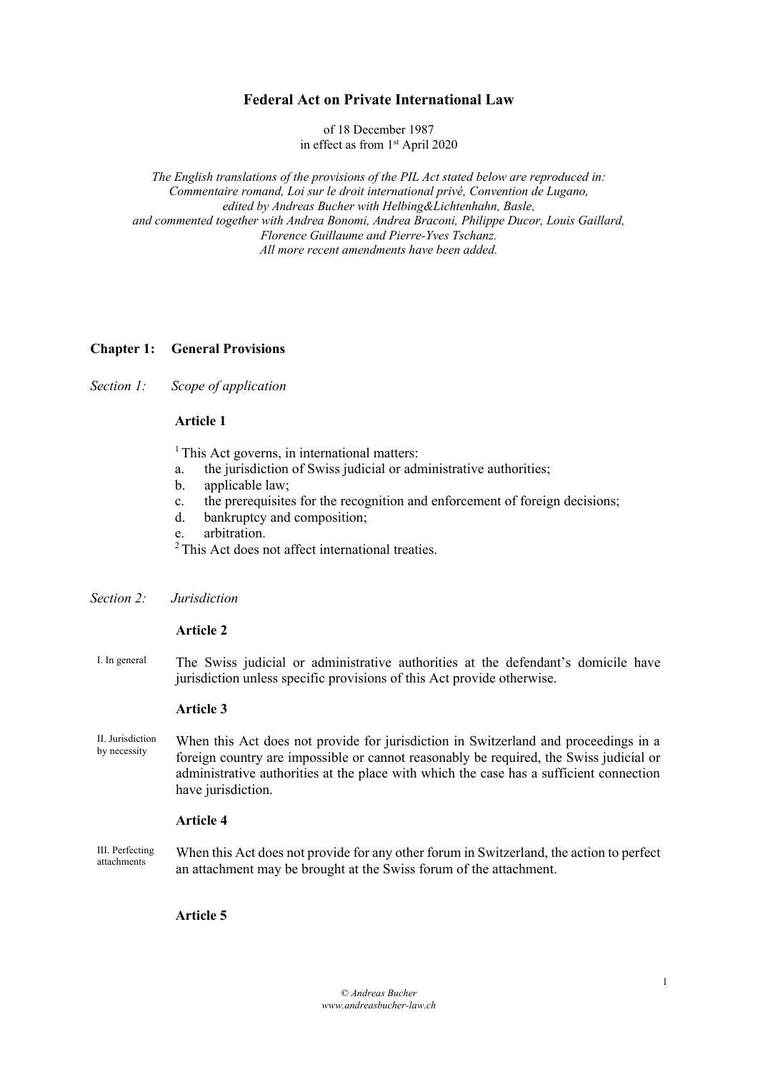# **Federal Act on Private International Law**

of 18 December 1987 in effect as from 1 st April 2020

*The English translations of the provisions of the PIL Act stated below are reproduced in: Commentaire romand, Loi sur le droit international privé, Convention de Lugano, edited by Andreas Bucher with Helbing&Lichtenhahn, Basle, and commented together with Andrea Bonomi, Andrea Braconi, Philippe Ducor, Louis Gaillard, Florence Guillaume and Pierre-Yves Tschanz. All more recent amendments have been added.*

#### **Chapter 1: General Provisions**

*Section 1: Scope of application*

#### **Article 1**

 $<sup>1</sup>$  This Act governs, in international matters:</sup>

- a. the jurisdiction of Swiss judicial or administrative authorities;
- b. applicable law;
- c. the prerequisites for the recognition and enforcement of foreign decisions;
- d. bankruptcy and composition;
- e. arbitration.

<sup>2</sup> This Act does not affect international treaties.

## *Section 2: Jurisdiction*

# **Article 2**

I. In general The Swiss judicial or administrative authorities at the defendant's domicile have jurisdiction unless specific provisions of this Act provide otherwise.

## **Article 3**

II. Jurisdiction by necessity When this Act does not provide for jurisdiction in Switzerland and proceedings in a foreign country are impossible or cannot reasonably be required, the Swiss judicial or administrative authorities at the place with which the case has a sufficient connection have jurisdiction.

#### **Article 4**

III. Perfecting attachments When this Act does not provide for any other forum in Switzerland, the action to perfect an attachment may be brought at the Swiss forum of the attachment.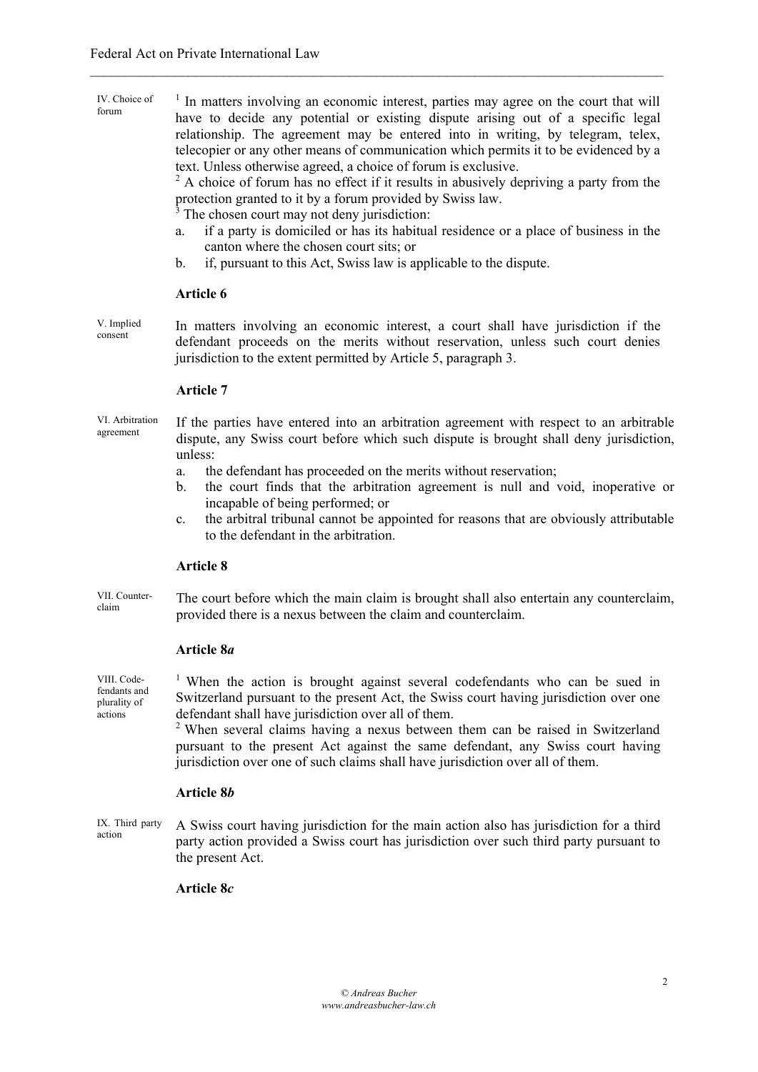| IV. Choice of<br>forum | <sup>1</sup> In matters involving an economic interest, parties may agree on the court that will<br>have to decide any potential or existing dispute arising out of a specific legal<br>relationship. The agreement may be entered into in writing, by telegram, telex,<br>telecopier or any other means of communication which permits it to be evidenced by a<br>text. Unless otherwise agreed, a choice of forum is exclusive.<br>$2$ A choice of forum has no effect if it results in abusively depriving a party from the<br>protection granted to it by a forum provided by Swiss law.<br><sup>3</sup> The chosen court may not deny jurisdiction:<br>if a party is domiciled or has its habitual residence or a place of business in the<br>a.<br>canton where the chosen court sits; or<br>if, pursuant to this Act, Swiss law is applicable to the dispute.<br>b. |  |  |
|------------------------|----------------------------------------------------------------------------------------------------------------------------------------------------------------------------------------------------------------------------------------------------------------------------------------------------------------------------------------------------------------------------------------------------------------------------------------------------------------------------------------------------------------------------------------------------------------------------------------------------------------------------------------------------------------------------------------------------------------------------------------------------------------------------------------------------------------------------------------------------------------------------|--|--|
|                        | Article 6                                                                                                                                                                                                                                                                                                                                                                                                                                                                                                                                                                                                                                                                                                                                                                                                                                                                  |  |  |
| V. Implied<br>consent  | In matters involving an economic interest, a court shall have jurisdiction if the<br>defendant proceeds on the merits without reservation, unless such court denies<br>jurisdiction to the extent permitted by Article 5, paragraph 3.                                                                                                                                                                                                                                                                                                                                                                                                                                                                                                                                                                                                                                     |  |  |

 $\mathcal{L}_\mathcal{L} = \{ \mathcal{L}_\mathcal{L} = \{ \mathcal{L}_\mathcal{L} = \{ \mathcal{L}_\mathcal{L} = \{ \mathcal{L}_\mathcal{L} = \{ \mathcal{L}_\mathcal{L} = \{ \mathcal{L}_\mathcal{L} = \{ \mathcal{L}_\mathcal{L} = \{ \mathcal{L}_\mathcal{L} = \{ \mathcal{L}_\mathcal{L} = \{ \mathcal{L}_\mathcal{L} = \{ \mathcal{L}_\mathcal{L} = \{ \mathcal{L}_\mathcal{L} = \{ \mathcal{L}_\mathcal{L} = \{ \mathcal{L}_\mathcal{$ 

#### **Article 7**

- VI. Arbitration agreement If the parties have entered into an arbitration agreement with respect to an arbitrable dispute, any Swiss court before which such dispute is brought shall deny jurisdiction, unless:
	- a. the defendant has proceeded on the merits without reservation;
	- b. the court finds that the arbitration agreement is null and void, inoperative or incapable of being performed; or
	- c. the arbitral tribunal cannot be appointed for reasons that are obviously attributable to the defendant in the arbitration.

## **Article 8**

VII. Counterclaim The court before which the main claim is brought shall also entertain any counterclaim, provided there is a nexus between the claim and counterclaim.

#### **Article 8***a*

VIII. Codefendants and plurality of actions

<sup>1</sup> When the action is brought against several codefendants who can be sued in Switzerland pursuant to the present Act, the Swiss court having jurisdiction over one defendant shall have jurisdiction over all of them.

<sup>2</sup> When several claims having a nexus between them can be raised in Switzerland pursuant to the present Act against the same defendant, any Swiss court having jurisdiction over one of such claims shall have jurisdiction over all of them.

#### **Article 8***b*

IX. Third party action A Swiss court having jurisdiction for the main action also has jurisdiction for a third party action provided a Swiss court has jurisdiction over such third party pursuant to the present Act.

# **Article 8***c*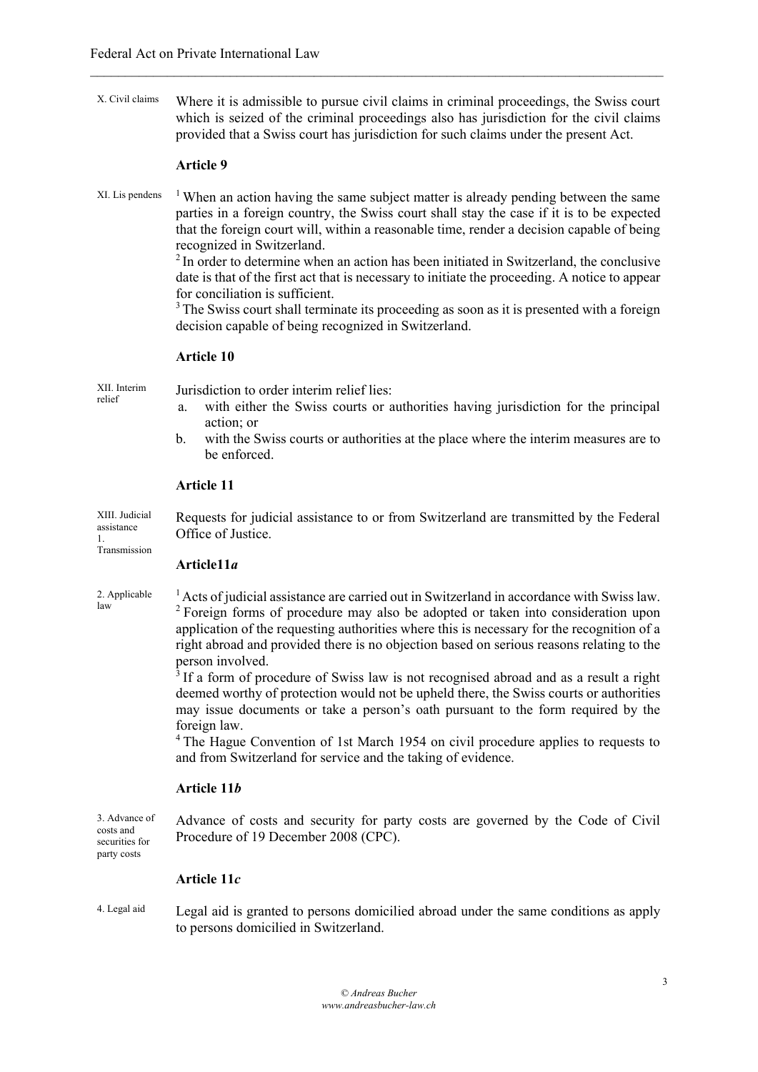X. Civil claims Where it is admissible to pursue civil claims in criminal proceedings, the Swiss court which is seized of the criminal proceedings also has jurisdiction for the civil claims provided that a Swiss court has jurisdiction for such claims under the present Act.

 $\mathcal{L}_\mathcal{L} = \{ \mathcal{L}_\mathcal{L} = \{ \mathcal{L}_\mathcal{L} = \{ \mathcal{L}_\mathcal{L} = \{ \mathcal{L}_\mathcal{L} = \{ \mathcal{L}_\mathcal{L} = \{ \mathcal{L}_\mathcal{L} = \{ \mathcal{L}_\mathcal{L} = \{ \mathcal{L}_\mathcal{L} = \{ \mathcal{L}_\mathcal{L} = \{ \mathcal{L}_\mathcal{L} = \{ \mathcal{L}_\mathcal{L} = \{ \mathcal{L}_\mathcal{L} = \{ \mathcal{L}_\mathcal{L} = \{ \mathcal{L}_\mathcal{$ 

#### **Article 9**

XI. Lis pendens  $1$  When an action having the same subject matter is already pending between the same parties in a foreign country, the Swiss court shall stay the case if it is to be expected that the foreign court will, within a reasonable time, render a decision capable of being recognized in Switzerland.

> <sup>2</sup> In order to determine when an action has been initiated in Switzerland, the conclusive date is that of the first act that is necessary to initiate the proceeding. A notice to appear for conciliation is sufficient.

> <sup>3</sup>The Swiss court shall terminate its proceeding as soon as it is presented with a foreign decision capable of being recognized in Switzerland.

# **Article 10**

XII. Interim relief

Jurisdiction to order interim relief lies:

- a. with either the Swiss courts or authorities having jurisdiction for the principal action; or
- b. with the Swiss courts or authorities at the place where the interim measures are to be enforced.

#### **Article 11**

XIII. Judicial assistance Transmission Requests for judicial assistance to or from Switzerland are transmitted by the Federal Office of Justice.

#### **Article11***a*

2. Applicable law

party costs

1.

<sup>1</sup> Acts of judicial assistance are carried out in Switzerland in accordance with Swiss law. <sup>2</sup> Foreign forms of procedure may also be adopted or taken into consideration upon application of the requesting authorities where this is necessary for the recognition of a right abroad and provided there is no objection based on serious reasons relating to the person involved.

 $3$ If a form of procedure of Swiss law is not recognised abroad and as a result a right deemed worthy of protection would not be upheld there, the Swiss courts or authorities may issue documents or take a person's oath pursuant to the form required by the foreign law.

<sup>4</sup> The Hague Convention of 1st March 1954 on civil procedure applies to requests to and from Switzerland for service and the taking of evidence.

## **Article 11***b*

3. Advance of costs and securities for Advance of costs and security for party costs are governed by the Code of Civil Procedure of 19 December 2008 (CPC).

#### **Article 11***c*

4. Legal aid Legal aid is granted to persons domicilied abroad under the same conditions as apply to persons domicilied in Switzerland.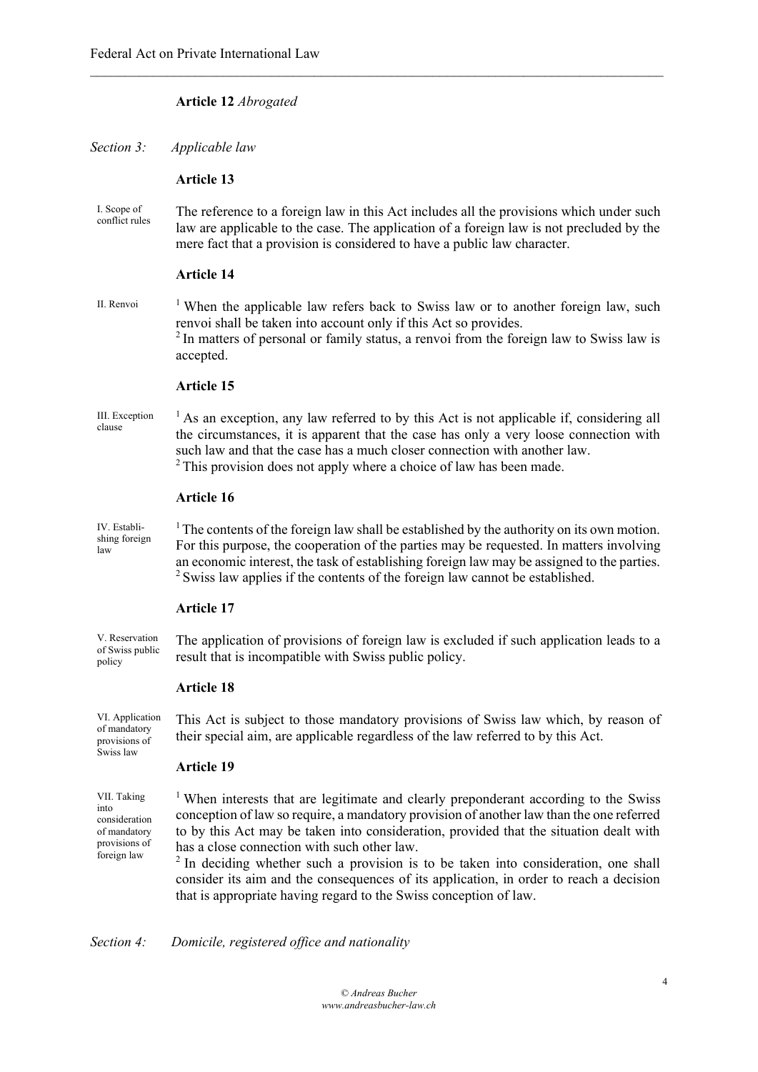# **Article 12** *Abrogated*

*Section 3: Applicable law*

#### **Article 13**

I. Scope of conflict rules The reference to a foreign law in this Act includes all the provisions which under such law are applicable to the case. The application of a foreign law is not precluded by the mere fact that a provision is considered to have a public law character.

 $\mathcal{L}_\mathcal{L} = \{ \mathcal{L}_\mathcal{L} = \{ \mathcal{L}_\mathcal{L} = \{ \mathcal{L}_\mathcal{L} = \{ \mathcal{L}_\mathcal{L} = \{ \mathcal{L}_\mathcal{L} = \{ \mathcal{L}_\mathcal{L} = \{ \mathcal{L}_\mathcal{L} = \{ \mathcal{L}_\mathcal{L} = \{ \mathcal{L}_\mathcal{L} = \{ \mathcal{L}_\mathcal{L} = \{ \mathcal{L}_\mathcal{L} = \{ \mathcal{L}_\mathcal{L} = \{ \mathcal{L}_\mathcal{L} = \{ \mathcal{L}_\mathcal{$ 

## **Article 14**

II. Renvoi <sup>1</sup> When the applicable law refers back to Swiss law or to another foreign law, such renvoi shall be taken into account only if this Act so provides. <sup>2</sup> In matters of personal or family status, a renvoi from the foreign law to Swiss law is accepted.

#### **Article 15**

III. Exception clause  $<sup>1</sup>$  As an exception, any law referred to by this Act is not applicable if, considering all</sup> the circumstances, it is apparent that the case has only a very loose connection with such law and that the case has a much closer connection with another law. <sup>2</sup> This provision does not apply where a choice of law has been made.

# **Article 16**

IV. Establishing foreign <sup>1</sup> The contents of the foreign law shall be established by the authority on its own motion. For this purpose, the cooperation of the parties may be requested. In matters involving an economic interest, the task of establishing foreign law may be assigned to the parties. <sup>2</sup> Swiss law applies if the contents of the foreign law cannot be established.

## **Article 17**

V. Reservation of Swiss public policy The application of provisions of foreign law is excluded if such application leads to a result that is incompatible with Swiss public policy.

#### **Article 18**

VI. Application of mandatory provisions of Swiss law

law

This Act is subject to those mandatory provisions of Swiss law which, by reason of their special aim, are applicable regardless of the law referred to by this Act.

#### **Article 19**

VII. Taking into consideration of mandatory provisions of foreign law

<sup>1</sup> When interests that are legitimate and clearly preponderant according to the Swiss conception of law so require, a mandatory provision of another law than the one referred to by this Act may be taken into consideration, provided that the situation dealt with has a close connection with such other law.

<sup>2</sup> In deciding whether such a provision is to be taken into consideration, one shall consider its aim and the consequences of its application, in order to reach a decision that is appropriate having regard to the Swiss conception of law.

*Section 4: Domicile, registered office and nationality*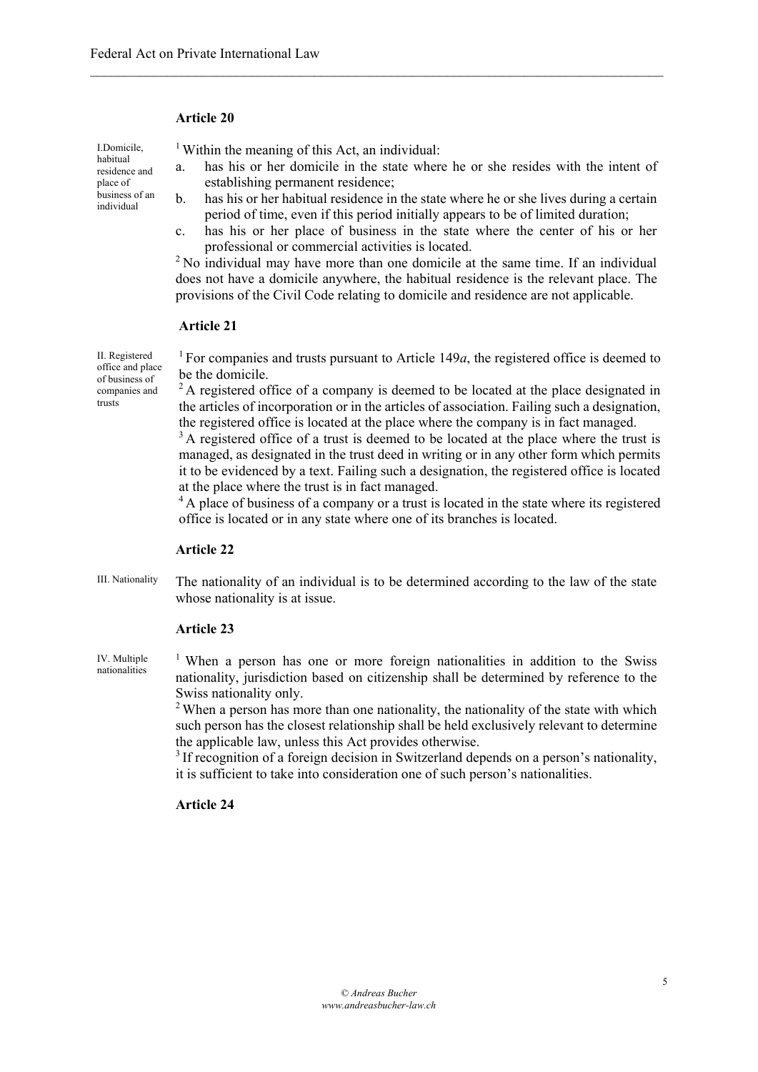#### **Article 20**

I.Domicile, habitual residence and place of business of an individual

<sup>1</sup> Within the meaning of this Act, an individual:

a. has his or her domicile in the state where he or she resides with the intent of establishing permanent residence;

 $\mathcal{L}_\mathcal{L} = \{ \mathcal{L}_\mathcal{L} = \{ \mathcal{L}_\mathcal{L} = \{ \mathcal{L}_\mathcal{L} = \{ \mathcal{L}_\mathcal{L} = \{ \mathcal{L}_\mathcal{L} = \{ \mathcal{L}_\mathcal{L} = \{ \mathcal{L}_\mathcal{L} = \{ \mathcal{L}_\mathcal{L} = \{ \mathcal{L}_\mathcal{L} = \{ \mathcal{L}_\mathcal{L} = \{ \mathcal{L}_\mathcal{L} = \{ \mathcal{L}_\mathcal{L} = \{ \mathcal{L}_\mathcal{L} = \{ \mathcal{L}_\mathcal{$ 

- b. has his or her habitual residence in the state where he or she lives during a certain period of time, even if this period initially appears to be of limited duration;
- c. has his or her place of business in the state where the center of his or her professional or commercial activities is located.

 $2$ No individual may have more than one domicile at the same time. If an individual does not have a domicile anywhere, the habitual residence is the relevant place. The provisions of the Civil Code relating to domicile and residence are not applicable.

## **Article 21**

II. Registered office and place of business of companies and trusts

<sup>1</sup> For companies and trusts pursuant to Article 149 $a$ , the registered office is deemed to be the domicile.

 $2^2$ A registered office of a company is deemed to be located at the place designated in the articles of incorporation or in the articles of association. Failing such a designation, the registered office is located at the place where the company is in fact managed.

 $3<sup>3</sup>A$  registered office of a trust is deemed to be located at the place where the trust is managed, as designated in the trust deed in writing or in any other form which permits it to be evidenced by a text. Failing such a designation, the registered office is located at the place where the trust is in fact managed.

<sup>4</sup> A place of business of a company or a trust is located in the state where its registered office is located or in any state where one of its branches is located.

## **Article 22**

III. Nationality The nationality of an individual is to be determined according to the law of the state whose nationality is at issue.

#### **Article 23**

IV. Multiple nationalities

<sup>1</sup> When a person has one or more foreign nationalities in addition to the Swiss nationality, jurisdiction based on citizenship shall be determined by reference to the Swiss nationality only.

<sup>2</sup> When a person has more than one nationality, the nationality of the state with which such person has the closest relationship shall be held exclusively relevant to determine the applicable law, unless this Act provides otherwise.

<sup>3</sup> If recognition of a foreign decision in Switzerland depends on a person's nationality, it is sufficient to take into consideration one of such person's nationalities.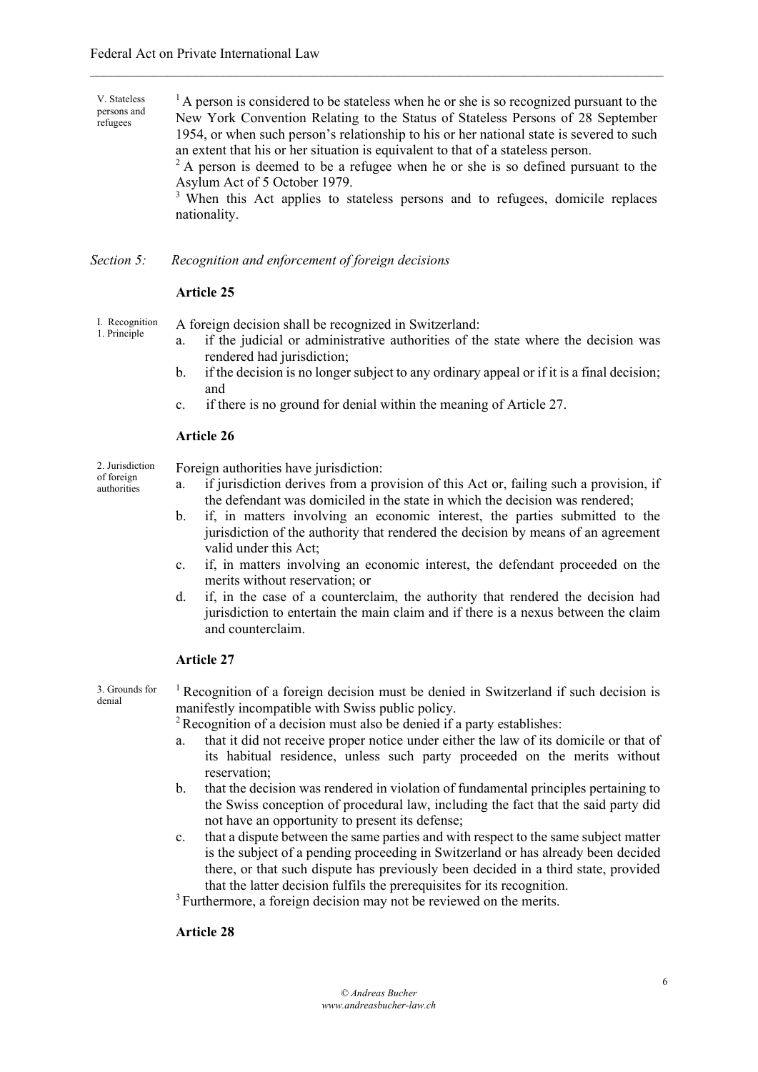#### V. Stateless persons and refugees  $<sup>1</sup>$  A person is considered to be stateless when he or she is so recognized pursuant to the</sup> New York Convention Relating to the Status of Stateless Persons of 28 September 1954, or when such person's relationship to his or her national state is severed to such an extent that his or her situation is equivalent to that of a stateless person.

 $\mathcal{L}_\mathcal{L} = \{ \mathcal{L}_\mathcal{L} = \{ \mathcal{L}_\mathcal{L} = \{ \mathcal{L}_\mathcal{L} = \{ \mathcal{L}_\mathcal{L} = \{ \mathcal{L}_\mathcal{L} = \{ \mathcal{L}_\mathcal{L} = \{ \mathcal{L}_\mathcal{L} = \{ \mathcal{L}_\mathcal{L} = \{ \mathcal{L}_\mathcal{L} = \{ \mathcal{L}_\mathcal{L} = \{ \mathcal{L}_\mathcal{L} = \{ \mathcal{L}_\mathcal{L} = \{ \mathcal{L}_\mathcal{L} = \{ \mathcal{L}_\mathcal{$ 

 $2A$  person is deemed to be a refugee when he or she is so defined pursuant to the Asylum Act of 5 October 1979.

<sup>3</sup> When this Act applies to stateless persons and to refugees, domicile replaces nationality.

*Section 5: Recognition and enforcement of foreign decisions*

#### **Article 25**

I. Recognition 1. Principle

- A foreign decision shall be recognized in Switzerland:
	- a. if the judicial or administrative authorities of the state where the decision was rendered had jurisdiction;
	- b. if the decision is no longer subject to any ordinary appeal or if it is a final decision; and
	- c. if there is no ground for denial within the meaning of Article 27.

#### **Article 26**

2. Jurisdiction of foreign authorities

Foreign authorities have jurisdiction:

- a. if jurisdiction derives from a provision of this Act or, failing such a provision, if the defendant was domiciled in the state in which the decision was rendered;
- b. if, in matters involving an economic interest, the parties submitted to the jurisdiction of the authority that rendered the decision by means of an agreement valid under this Act;
- c. if, in matters involving an economic interest, the defendant proceeded on the merits without reservation; or
- d. if, in the case of a counterclaim, the authority that rendered the decision had jurisdiction to entertain the main claim and if there is a nexus between the claim and counterclaim.

#### **Article 27**

3. Grounds for denial

<sup>1</sup> Recognition of a foreign decision must be denied in Switzerland if such decision is manifestly incompatible with Swiss public policy.

 $2$ Recognition of a decision must also be denied if a party establishes:

- a. that it did not receive proper notice under either the law of its domicile or that of its habitual residence, unless such party proceeded on the merits without reservation;
- b. that the decision was rendered in violation of fundamental principles pertaining to the Swiss conception of procedural law, including the fact that the said party did not have an opportunity to present its defense;
- c. that a dispute between the same parties and with respect to the same subject matter is the subject of a pending proceeding in Switzerland or has already been decided there, or that such dispute has previously been decided in a third state, provided that the latter decision fulfils the prerequisites for its recognition.

<sup>3</sup> Furthermore, a foreign decision may not be reviewed on the merits.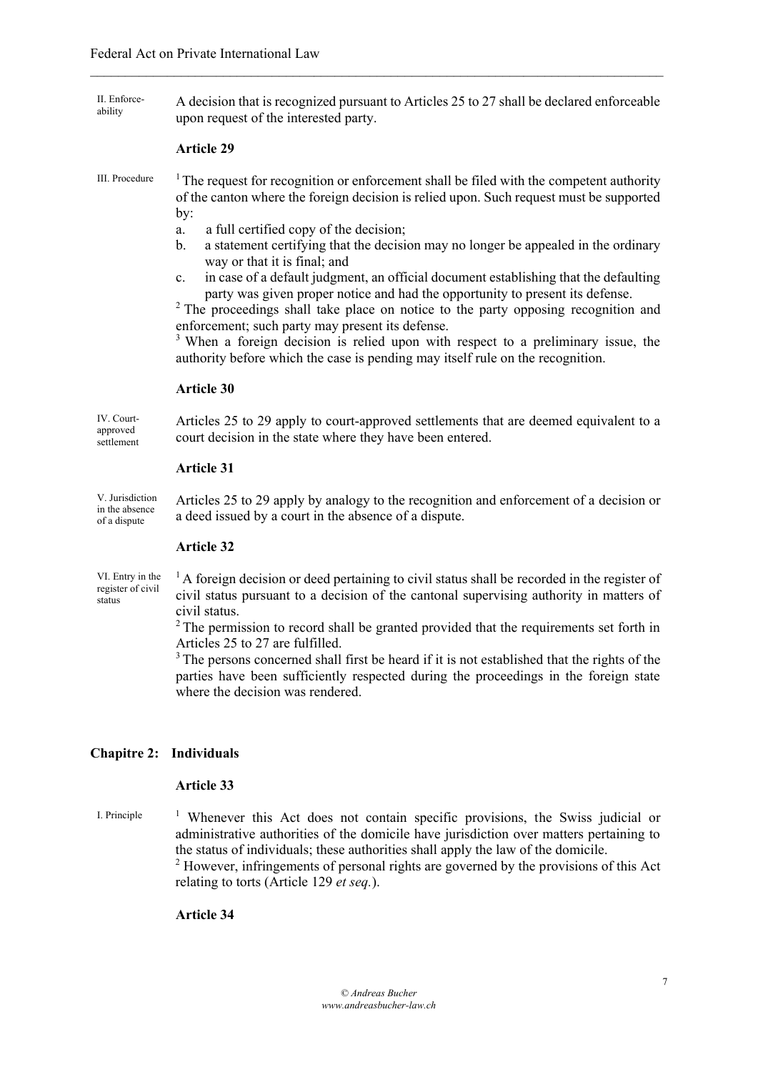II. Enforceability A decision that is recognized pursuant to Articles 25 to 27 shall be declared enforceable upon request of the interested party.

 $\mathcal{L}_\mathcal{L} = \{ \mathcal{L}_\mathcal{L} = \{ \mathcal{L}_\mathcal{L} = \{ \mathcal{L}_\mathcal{L} = \{ \mathcal{L}_\mathcal{L} = \{ \mathcal{L}_\mathcal{L} = \{ \mathcal{L}_\mathcal{L} = \{ \mathcal{L}_\mathcal{L} = \{ \mathcal{L}_\mathcal{L} = \{ \mathcal{L}_\mathcal{L} = \{ \mathcal{L}_\mathcal{L} = \{ \mathcal{L}_\mathcal{L} = \{ \mathcal{L}_\mathcal{L} = \{ \mathcal{L}_\mathcal{L} = \{ \mathcal{L}_\mathcal{$ 

## **Article 29**

III. Procedure  $\frac{1}{1}$ The request for recognition or enforcement shall be filed with the competent authority of the canton where the foreign decision is relied upon. Such request must be supported by:

- a. a full certified copy of the decision;
- b. a statement certifying that the decision may no longer be appealed in the ordinary way or that it is final; and
- c. in case of a default judgment, an official document establishing that the defaulting party was given proper notice and had the opportunity to present its defense.

<sup>2</sup> The proceedings shall take place on notice to the party opposing recognition and enforcement; such party may present its defense.

<sup>3</sup> When a foreign decision is relied upon with respect to a preliminary issue, the authority before which the case is pending may itself rule on the recognition.

#### **Article 30**

IV. Courtapproved settlement Articles 25 to 29 apply to court-approved settlements that are deemed equivalent to a court decision in the state where they have been entered.

#### **Article 31**

V. Jurisdiction in the absence of a dispute Articles 25 to 29 apply by analogy to the recognition and enforcement of a decision or a deed issued by a court in the absence of a dispute.

#### **Article 32**

VI. Entry in the register of civil status

 $<sup>1</sup>$ A foreign decision or deed pertaining to civil status shall be recorded in the register of</sup> civil status pursuant to a decision of the cantonal supervising authority in matters of civil status.

<sup>2</sup> The permission to record shall be granted provided that the requirements set forth in Articles 25 to 27 are fulfilled.

<sup>3</sup> The persons concerned shall first be heard if it is not established that the rights of the parties have been sufficiently respected during the proceedings in the foreign state where the decision was rendered.

# **Chapitre 2: Individuals**

# **Article 33**

I. Principle  $\frac{1}{1}$  Whenever this Act does not contain specific provisions, the Swiss judicial or administrative authorities of the domicile have jurisdiction over matters pertaining to the status of individuals; these authorities shall apply the law of the domicile. <sup>2</sup> However, infringements of personal rights are governed by the provisions of this Act relating to torts (Article 129 *et seq.*).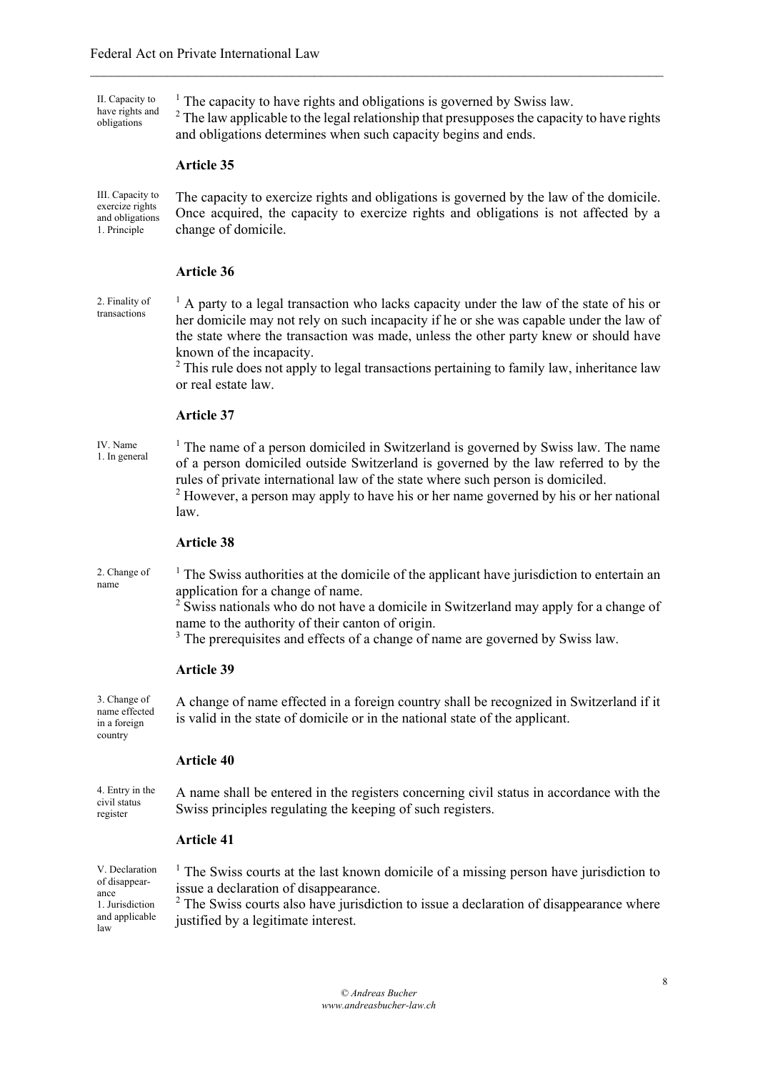II. Capacity to have rights and obligations  $<sup>1</sup>$  The capacity to have rights and obligations is governed by Swiss law.</sup>  $2$  The law applicable to the legal relationship that presupposes the capacity to have rights and obligations determines when such capacity begins and ends.

 $\mathcal{L}_\mathcal{L} = \{ \mathcal{L}_\mathcal{L} = \{ \mathcal{L}_\mathcal{L} = \{ \mathcal{L}_\mathcal{L} = \{ \mathcal{L}_\mathcal{L} = \{ \mathcal{L}_\mathcal{L} = \{ \mathcal{L}_\mathcal{L} = \{ \mathcal{L}_\mathcal{L} = \{ \mathcal{L}_\mathcal{L} = \{ \mathcal{L}_\mathcal{L} = \{ \mathcal{L}_\mathcal{L} = \{ \mathcal{L}_\mathcal{L} = \{ \mathcal{L}_\mathcal{L} = \{ \mathcal{L}_\mathcal{L} = \{ \mathcal{L}_\mathcal{$ 

#### **Article 35**

III. Capacity to exercize rights and obligations 1. Principle The capacity to exercize rights and obligations is governed by the law of the domicile. Once acquired, the capacity to exercize rights and obligations is not affected by a change of domicile.

#### **Article 36**

2. Finality of transactions

 $<sup>1</sup>$  A party to a legal transaction who lacks capacity under the law of the state of his or</sup> her domicile may not rely on such incapacity if he or she was capable under the law of the state where the transaction was made, unless the other party knew or should have known of the incapacity.

 $2$  This rule does not apply to legal transactions pertaining to family law, inheritance law or real estate law.

## **Article 37**

IV. Name 1. In general

<sup>1</sup> The name of a person domiciled in Switzerland is governed by Swiss law. The name of a person domiciled outside Switzerland is governed by the law referred to by the rules of private international law of the state where such person is domiciled. <sup>2</sup> However, a person may apply to have his or her name governed by his or her national

law.

#### **Article 38**

2. Change of name

<sup>1</sup> The Swiss authorities at the domicile of the applicant have jurisdiction to entertain an application for a change of name.

<sup>2</sup> Swiss nationals who do not have a domicile in Switzerland may apply for a change of name to the authority of their canton of origin.

<sup>3</sup> The prerequisites and effects of a change of name are governed by Swiss law.

#### **Article 39**

3. Change of name effected in a foreign country

A change of name effected in a foreign country shall be recognized in Switzerland if it is valid in the state of domicile or in the national state of the applicant.

#### **Article 40**

4. Entry in the civil status register A name shall be entered in the registers concerning civil status in accordance with the Swiss principles regulating the keeping of such registers.

#### **Article 41**

V. Declaration of disappearance 1. Jurisdiction and applicable law

<sup>1</sup> The Swiss courts at the last known domicile of a missing person have jurisdiction to issue a declaration of disappearance.

<sup>2</sup> The Swiss courts also have jurisdiction to issue a declaration of disappearance where justified by a legitimate interest.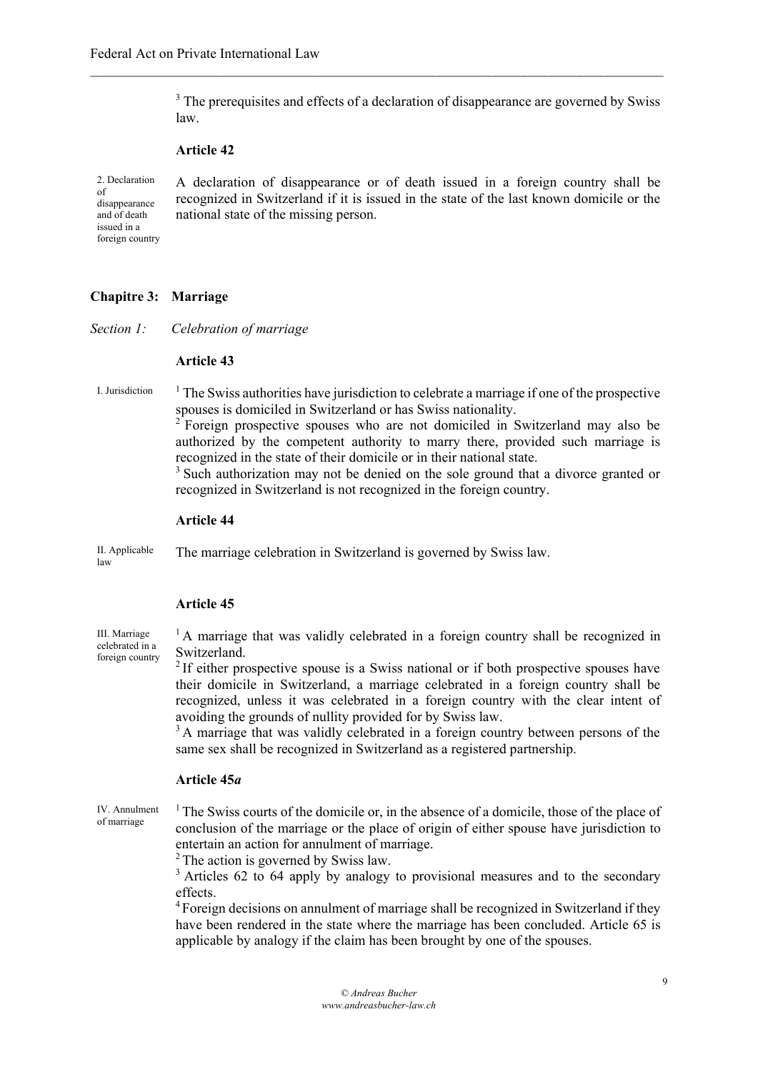<sup>3</sup> The prerequisites and effects of a declaration of disappearance are governed by Swiss law.

 $\mathcal{L}_\mathcal{L} = \{ \mathcal{L}_\mathcal{L} = \{ \mathcal{L}_\mathcal{L} = \{ \mathcal{L}_\mathcal{L} = \{ \mathcal{L}_\mathcal{L} = \{ \mathcal{L}_\mathcal{L} = \{ \mathcal{L}_\mathcal{L} = \{ \mathcal{L}_\mathcal{L} = \{ \mathcal{L}_\mathcal{L} = \{ \mathcal{L}_\mathcal{L} = \{ \mathcal{L}_\mathcal{L} = \{ \mathcal{L}_\mathcal{L} = \{ \mathcal{L}_\mathcal{L} = \{ \mathcal{L}_\mathcal{L} = \{ \mathcal{L}_\mathcal{$ 

# **Article 42**

2. Declaration of disappearance and of death issued in a foreign country

A declaration of disappearance or of death issued in a foreign country shall be recognized in Switzerland if it is issued in the state of the last known domicile or the national state of the missing person.

## **Chapitre 3: Marriage**

*Section 1: Celebration of marriage*

#### **Article 43**

I. Jurisdiction  $1$  The Swiss authorities have jurisdiction to celebrate a marriage if one of the prospective spouses is domiciled in Switzerland or has Swiss nationality.

> <sup>2</sup> Foreign prospective spouses who are not domiciled in Switzerland may also be authorized by the competent authority to marry there, provided such marriage is recognized in the state of their domicile or in their national state.

> <sup>3</sup> Such authorization may not be denied on the sole ground that a divorce granted or recognized in Switzerland is not recognized in the foreign country.

#### **Article 44**

II. Applicable law The marriage celebration in Switzerland is governed by Swiss law.

## **Article 45**

III. Marriage celebrated in a foreign country

<sup>1</sup>A marriage that was validly celebrated in a foreign country shall be recognized in Switzerland.

 $2$  If either prospective spouse is a Swiss national or if both prospective spouses have their domicile in Switzerland, a marriage celebrated in a foreign country shall be recognized, unless it was celebrated in a foreign country with the clear intent of avoiding the grounds of nullity provided for by Swiss law.

<sup>3</sup>A marriage that was validly celebrated in a foreign country between persons of the same sex shall be recognized in Switzerland as a registered partnership.

# **Article 45***a*

IV. Annulment of marriage

<sup>1</sup> The Swiss courts of the domicile or, in the absence of a domicile, those of the place of conclusion of the marriage or the place of origin of either spouse have jurisdiction to entertain an action for annulment of marriage.

 $2$  The action is governed by Swiss law.

<sup>3</sup> Articles 62 to 64 apply by analogy to provisional measures and to the secondary effects.

<sup>4</sup> Foreign decisions on annulment of marriage shall be recognized in Switzerland if they have been rendered in the state where the marriage has been concluded. Article 65 is applicable by analogy if the claim has been brought by one of the spouses.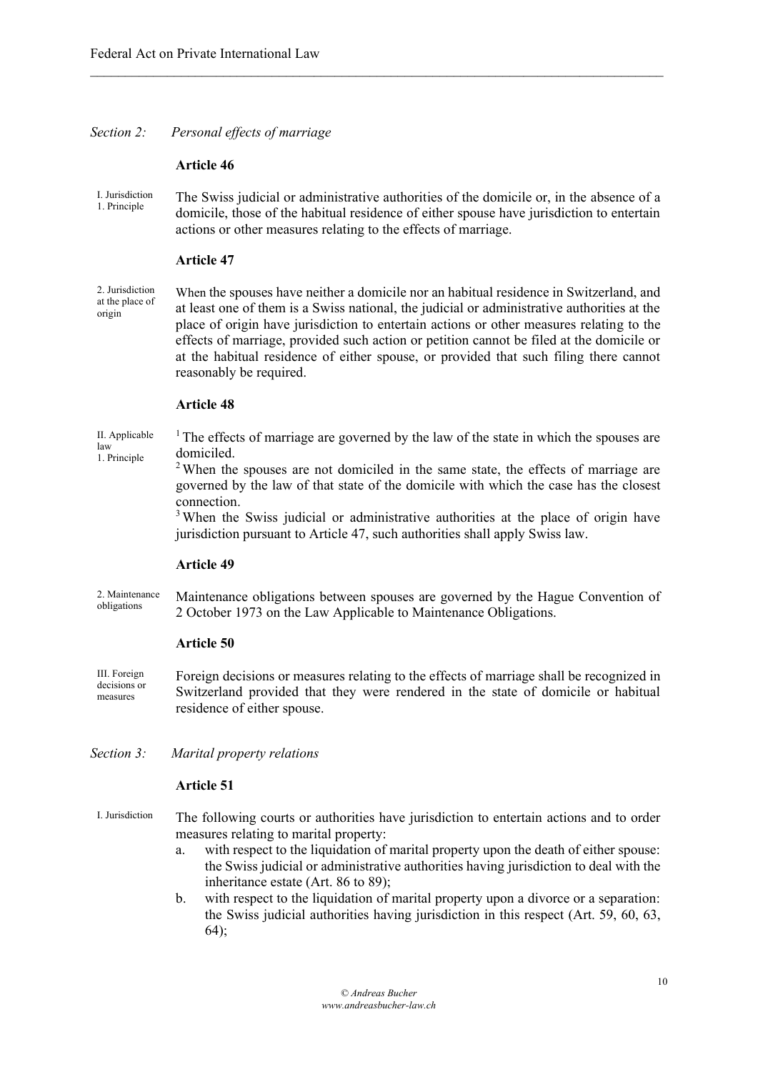# *Section 2: Personal effects of marriage*

#### **Article 46**

I. Jurisdiction 1. Principle The Swiss judicial or administrative authorities of the domicile or, in the absence of a domicile, those of the habitual residence of either spouse have jurisdiction to entertain actions or other measures relating to the effects of marriage.

 $\mathcal{L}_\mathcal{L} = \{ \mathcal{L}_\mathcal{L} = \{ \mathcal{L}_\mathcal{L} = \{ \mathcal{L}_\mathcal{L} = \{ \mathcal{L}_\mathcal{L} = \{ \mathcal{L}_\mathcal{L} = \{ \mathcal{L}_\mathcal{L} = \{ \mathcal{L}_\mathcal{L} = \{ \mathcal{L}_\mathcal{L} = \{ \mathcal{L}_\mathcal{L} = \{ \mathcal{L}_\mathcal{L} = \{ \mathcal{L}_\mathcal{L} = \{ \mathcal{L}_\mathcal{L} = \{ \mathcal{L}_\mathcal{L} = \{ \mathcal{L}_\mathcal{$ 

#### **Article 47**

2. Jurisdiction at the place of origin When the spouses have neither a domicile nor an habitual residence in Switzerland, and at least one of them is a Swiss national, the judicial or administrative authorities at the place of origin have jurisdiction to entertain actions or other measures relating to the effects of marriage, provided such action or petition cannot be filed at the domicile or at the habitual residence of either spouse, or provided that such filing there cannot reasonably be required.

#### **Article 48**

- II. Applicable law 1. Principle  $<sup>1</sup>$  The effects of marriage are governed by the law of the state in which the spouses are</sup> domiciled.
	- <sup>2</sup> When the spouses are not domiciled in the same state, the effects of marriage are governed by the law of that state of the domicile with which the case has the closest connection.

<sup>3</sup> When the Swiss judicial or administrative authorities at the place of origin have jurisdiction pursuant to Article 47, such authorities shall apply Swiss law.

#### **Article 49**

2. Maintenance obligations Maintenance obligations between spouses are governed by the Hague Convention of 2 October 1973 on the Law Applicable to Maintenance Obligations.

#### **Article 50**

III. Foreign decisions or measures Foreign decisions or measures relating to the effects of marriage shall be recognized in Switzerland provided that they were rendered in the state of domicile or habitual residence of either spouse.

#### *Section 3: Marital property relations*

- I. Jurisdiction The following courts or authorities have jurisdiction to entertain actions and to order measures relating to marital property:
	- a. with respect to the liquidation of marital property upon the death of either spouse: the Swiss judicial or administrative authorities having jurisdiction to deal with the inheritance estate (Art. 86 to 89);
	- b. with respect to the liquidation of marital property upon a divorce or a separation: the Swiss judicial authorities having jurisdiction in this respect (Art. 59, 60, 63, 64);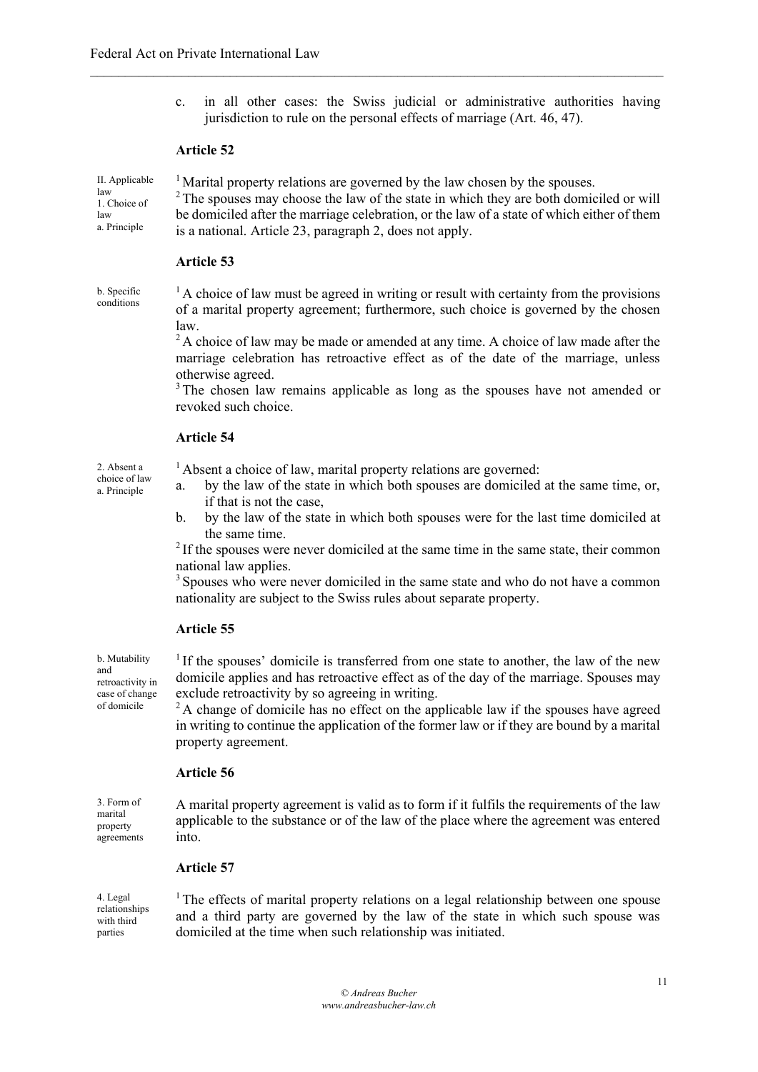c. in all other cases: the Swiss judicial or administrative authorities having jurisdiction to rule on the personal effects of marriage (Art. 46, 47).

#### **Article 52**

II. Applicable law 1. Choice of law a. Principle

<sup>1</sup> Marital property relations are governed by the law chosen by the spouses.

 $\mathcal{L}_\mathcal{L} = \{ \mathcal{L}_\mathcal{L} = \{ \mathcal{L}_\mathcal{L} = \{ \mathcal{L}_\mathcal{L} = \{ \mathcal{L}_\mathcal{L} = \{ \mathcal{L}_\mathcal{L} = \{ \mathcal{L}_\mathcal{L} = \{ \mathcal{L}_\mathcal{L} = \{ \mathcal{L}_\mathcal{L} = \{ \mathcal{L}_\mathcal{L} = \{ \mathcal{L}_\mathcal{L} = \{ \mathcal{L}_\mathcal{L} = \{ \mathcal{L}_\mathcal{L} = \{ \mathcal{L}_\mathcal{L} = \{ \mathcal{L}_\mathcal{$ 

<sup>2</sup> The spouses may choose the law of the state in which they are both domiciled or will be domiciled after the marriage celebration, or the law of a state of which either of them is a national. Article 23, paragraph 2, does not apply.

#### **Article 53**

b. Specific conditions

 $<sup>1</sup>$  A choice of law must be agreed in writing or result with certainty from the provisions</sup> of a marital property agreement; furthermore, such choice is governed by the chosen law.

<sup>2</sup> A choice of law may be made or amended at any time. A choice of law made after the marriage celebration has retroactive effect as of the date of the marriage, unless otherwise agreed.

<sup>3</sup>The chosen law remains applicable as long as the spouses have not amended or revoked such choice.

#### **Article 54**

2. Absent a choice of law a. Principle

<sup>1</sup> Absent a choice of law, marital property relations are governed:

- a. by the law of the state in which both spouses are domiciled at the same time, or, if that is not the case,
- b. by the law of the state in which both spouses were for the last time domiciled at the same time.

 $2<sup>2</sup>$  If the spouses were never domiciled at the same time in the same state, their common national law applies.

<sup>3</sup> Spouses who were never domiciled in the same state and who do not have a common nationality are subject to the Swiss rules about separate property.

#### **Article 55**

b. Mutability and retroactivity in case of change of domicile

<sup>1</sup> If the spouses' domicile is transferred from one state to another, the law of the new domicile applies and has retroactive effect as of the day of the marriage. Spouses may exclude retroactivity by so agreeing in writing.

<sup>2</sup>A change of domicile has no effect on the applicable law if the spouses have agreed in writing to continue the application of the former law or if they are bound by a marital property agreement.

# **Article 56**

3. Form of marital property agreements

A marital property agreement is valid as to form if it fulfils the requirements of the law applicable to the substance or of the law of the place where the agreement was entered into.

#### **Article 57**

4. Legal relationships with third parties

<sup>1</sup> The effects of marital property relations on a legal relationship between one spouse and a third party are governed by the law of the state in which such spouse was domiciled at the time when such relationship was initiated.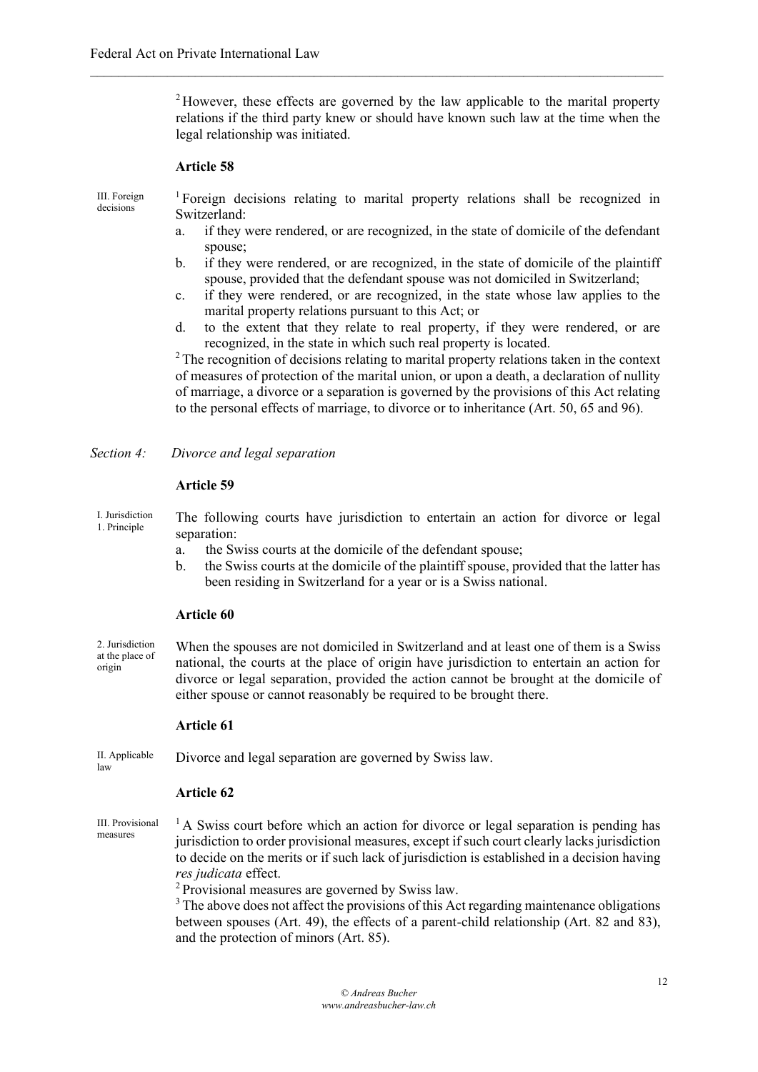<sup>2</sup> However, these effects are governed by the law applicable to the marital property relations if the third party knew or should have known such law at the time when the legal relationship was initiated.

 $\mathcal{L}_\mathcal{L} = \{ \mathcal{L}_\mathcal{L} = \{ \mathcal{L}_\mathcal{L} = \{ \mathcal{L}_\mathcal{L} = \{ \mathcal{L}_\mathcal{L} = \{ \mathcal{L}_\mathcal{L} = \{ \mathcal{L}_\mathcal{L} = \{ \mathcal{L}_\mathcal{L} = \{ \mathcal{L}_\mathcal{L} = \{ \mathcal{L}_\mathcal{L} = \{ \mathcal{L}_\mathcal{L} = \{ \mathcal{L}_\mathcal{L} = \{ \mathcal{L}_\mathcal{L} = \{ \mathcal{L}_\mathcal{L} = \{ \mathcal{L}_\mathcal{$ 

## **Article 58**

III. Foreign decisions

<sup>1</sup> Foreign decisions relating to marital property relations shall be recognized in Switzerland:

- a. if they were rendered, or are recognized, in the state of domicile of the defendant spouse;
- b. if they were rendered, or are recognized, in the state of domicile of the plaintiff spouse, provided that the defendant spouse was not domiciled in Switzerland;
- c. if they were rendered, or are recognized, in the state whose law applies to the marital property relations pursuant to this Act; or
- d. to the extent that they relate to real property, if they were rendered, or are recognized, in the state in which such real property is located.

<sup>2</sup> The recognition of decisions relating to marital property relations taken in the context of measures of protection of the marital union, or upon a death, a declaration of nullity of marriage, a divorce or a separation is governed by the provisions of this Act relating to the personal effects of marriage, to divorce or to inheritance (Art. 50, 65 and 96).

#### **Article 59**

I. Jurisdiction 1. Principle The following courts have jurisdiction to entertain an action for divorce or legal separation:

- a. the Swiss courts at the domicile of the defendant spouse;
- b. the Swiss courts at the domicile of the plaintiff spouse, provided that the latter has been residing in Switzerland for a year or is a Swiss national.

#### **Article 60**

2. Jurisdiction at the place of origin When the spouses are not domiciled in Switzerland and at least one of them is a Swiss national, the courts at the place of origin have jurisdiction to entertain an action for divorce or legal separation, provided the action cannot be brought at the domicile of either spouse or cannot reasonably be required to be brought there.

#### **Article 61**

II. Applicable law Divorce and legal separation are governed by Swiss law.

#### **Article 62**

III. Provisional measures

 $<sup>1</sup>A$  Swiss court before which an action for divorce or legal separation is pending has</sup> jurisdiction to order provisional measures, except if such court clearly lacks jurisdiction to decide on the merits or if such lack of jurisdiction is established in a decision having *res judicata* effect.

<sup>2</sup> Provisional measures are governed by Swiss law.

<sup>3</sup> The above does not affect the provisions of this Act regarding maintenance obligations between spouses (Art. 49), the effects of a parent-child relationship (Art. 82 and 83), and the protection of minors (Art. 85).

*Section 4: Divorce and legal separation*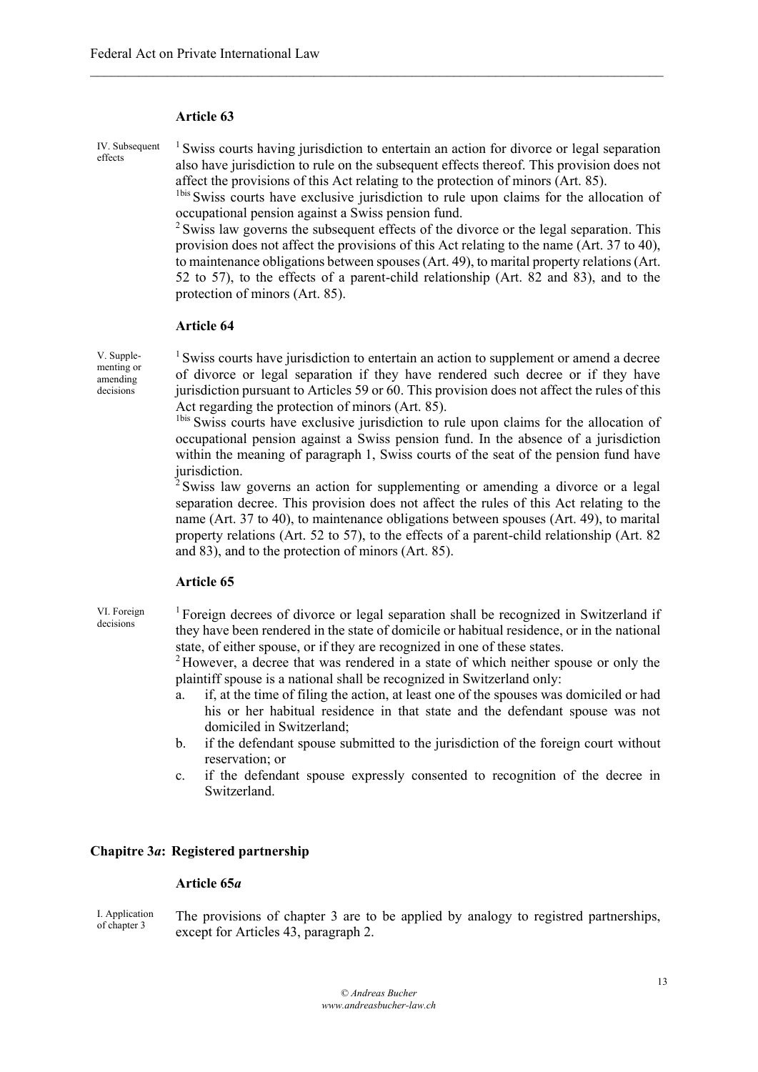#### **Article 63**

IV. Subsequent effects

<sup>1</sup> Swiss courts having jurisdiction to entertain an action for divorce or legal separation also have jurisdiction to rule on the subsequent effects thereof. This provision does not affect the provisions of this Act relating to the protection of minors (Art. 85).

 $\mathcal{L}_\mathcal{L} = \{ \mathcal{L}_\mathcal{L} = \{ \mathcal{L}_\mathcal{L} = \{ \mathcal{L}_\mathcal{L} = \{ \mathcal{L}_\mathcal{L} = \{ \mathcal{L}_\mathcal{L} = \{ \mathcal{L}_\mathcal{L} = \{ \mathcal{L}_\mathcal{L} = \{ \mathcal{L}_\mathcal{L} = \{ \mathcal{L}_\mathcal{L} = \{ \mathcal{L}_\mathcal{L} = \{ \mathcal{L}_\mathcal{L} = \{ \mathcal{L}_\mathcal{L} = \{ \mathcal{L}_\mathcal{L} = \{ \mathcal{L}_\mathcal{$ 

1bis Swiss courts have exclusive jurisdiction to rule upon claims for the allocation of occupational pension against a Swiss pension fund.

 $2$  Swiss law governs the subsequent effects of the divorce or the legal separation. This provision does not affect the provisions of this Act relating to the name (Art. 37 to 40), to maintenance obligations between spouses (Art. 49), to marital property relations (Art. 52 to 57), to the effects of a parent-child relationship (Art. 82 and 83), and to the protection of minors (Art. 85).

#### **Article 64**

V. Supplementing or amending decisions

<sup>1</sup> Swiss courts have jurisdiction to entertain an action to supplement or amend a decree of divorce or legal separation if they have rendered such decree or if they have jurisdiction pursuant to Articles 59 or 60. This provision does not affect the rules of this Act regarding the protection of minors (Art. 85).

<sup>1bis</sup> Swiss courts have exclusive jurisdiction to rule upon claims for the allocation of occupational pension against a Swiss pension fund. In the absence of a jurisdiction within the meaning of paragraph 1, Swiss courts of the seat of the pension fund have jurisdiction.

<sup>2</sup> Swiss law governs an action for supplementing or amending a divorce or a legal separation decree. This provision does not affect the rules of this Act relating to the name (Art. 37 to 40), to maintenance obligations between spouses (Art. 49), to marital property relations (Art. 52 to 57), to the effects of a parent-child relationship (Art. 82 and 83), and to the protection of minors (Art. 85).

#### **Article 65**

VI. Foreign decisions

<sup>1</sup> Foreign decrees of divorce or legal separation shall be recognized in Switzerland if they have been rendered in the state of domicile or habitual residence, or in the national state, of either spouse, or if they are recognized in one of these states.

<sup>2</sup> However, a decree that was rendered in a state of which neither spouse or only the plaintiff spouse is a national shall be recognized in Switzerland only:

- a. if, at the time of filing the action, at least one of the spouses was domiciled or had his or her habitual residence in that state and the defendant spouse was not domiciled in Switzerland;
- b. if the defendant spouse submitted to the jurisdiction of the foreign court without reservation; or
- c. if the defendant spouse expressly consented to recognition of the decree in Switzerland.

#### **Chapitre 3***a***: Registered partnership**

# **Article 65***a*

I. Application of chapter 3

The provisions of chapter 3 are to be applied by analogy to registred partnerships, except for Articles 43, paragraph 2.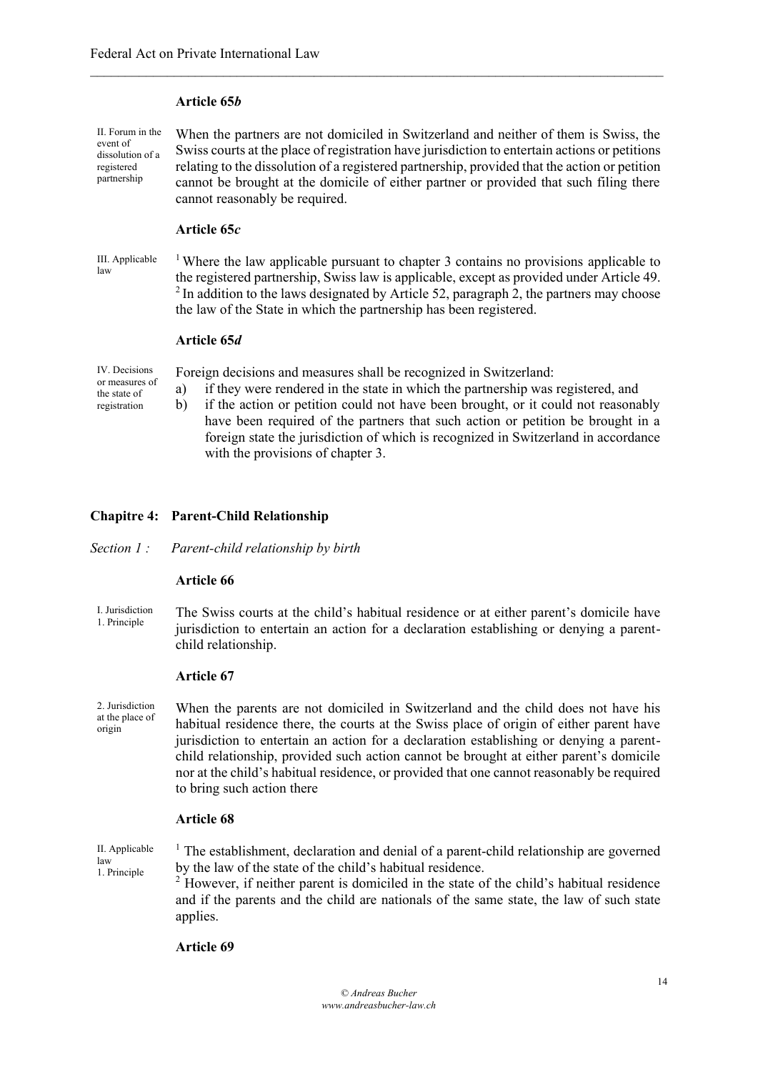## **Article 65***b*

II. Forum in the event of dissolution of a registered partnership

the state of registration

When the partners are not domiciled in Switzerland and neither of them is Swiss, the Swiss courts at the place of registration have jurisdiction to entertain actions or petitions relating to the dissolution of a registered partnership, provided that the action or petition cannot be brought at the domicile of either partner or provided that such filing there cannot reasonably be required.

## **Article 65***c*

III. Applicable law <sup>1</sup> Where the law applicable pursuant to chapter 3 contains no provisions applicable to the registered partnership, Swiss law is applicable, except as provided under Article 49.  $2$  In addition to the laws designated by Article 52, paragraph 2, the partners may choose the law of the State in which the partnership has been registered.

 $\mathcal{L}_\mathcal{L} = \{ \mathcal{L}_\mathcal{L} = \{ \mathcal{L}_\mathcal{L} = \{ \mathcal{L}_\mathcal{L} = \{ \mathcal{L}_\mathcal{L} = \{ \mathcal{L}_\mathcal{L} = \{ \mathcal{L}_\mathcal{L} = \{ \mathcal{L}_\mathcal{L} = \{ \mathcal{L}_\mathcal{L} = \{ \mathcal{L}_\mathcal{L} = \{ \mathcal{L}_\mathcal{L} = \{ \mathcal{L}_\mathcal{L} = \{ \mathcal{L}_\mathcal{L} = \{ \mathcal{L}_\mathcal{L} = \{ \mathcal{L}_\mathcal{$ 

#### **Article 65***d*

|                | IV. Decisions Foreign decisions and measures shall be recognized in Switzerland:                                                                                                                                                          |
|----------------|-------------------------------------------------------------------------------------------------------------------------------------------------------------------------------------------------------------------------------------------|
| or measures of | $\mathcal{L}(\mathcal{L})$ . The contract of the set of the state of the set of the set of the set of the set of the set of the set of the set of the set of the set of the set of the set of the set of the set of the set of the set of |

- a) if they were rendered in the state in which the partnership was registered, and
	- b) if the action or petition could not have been brought, or it could not reasonably have been required of the partners that such action or petition be brought in a foreign state the jurisdiction of which is recognized in Switzerland in accordance with the provisions of chapter 3.

# **Chapitre 4: Parent-Child Relationship**

*Section 1 : Parent-child relationship by birth*

## **Article 66**

I. Jurisdiction 1. Principle The Swiss courts at the child's habitual residence or at either parent's domicile have jurisdiction to entertain an action for a declaration establishing or denying a parentchild relationship.

# **Article 67**

2. Jurisdiction at the place of origin When the parents are not domiciled in Switzerland and the child does not have his habitual residence there, the courts at the Swiss place of origin of either parent have jurisdiction to entertain an action for a declaration establishing or denying a parentchild relationship, provided such action cannot be brought at either parent's domicile nor at the child's habitual residence, or provided that one cannot reasonably be required to bring such action there

## **Article 68**

II. Applicable law 1. Principle  $<sup>1</sup>$  The establishment, declaration and denial of a parent-child relationship are governed</sup> by the law of the state of the child's habitual residence.

<sup>2</sup> However, if neither parent is domiciled in the state of the child's habitual residence and if the parents and the child are nationals of the same state, the law of such state applies.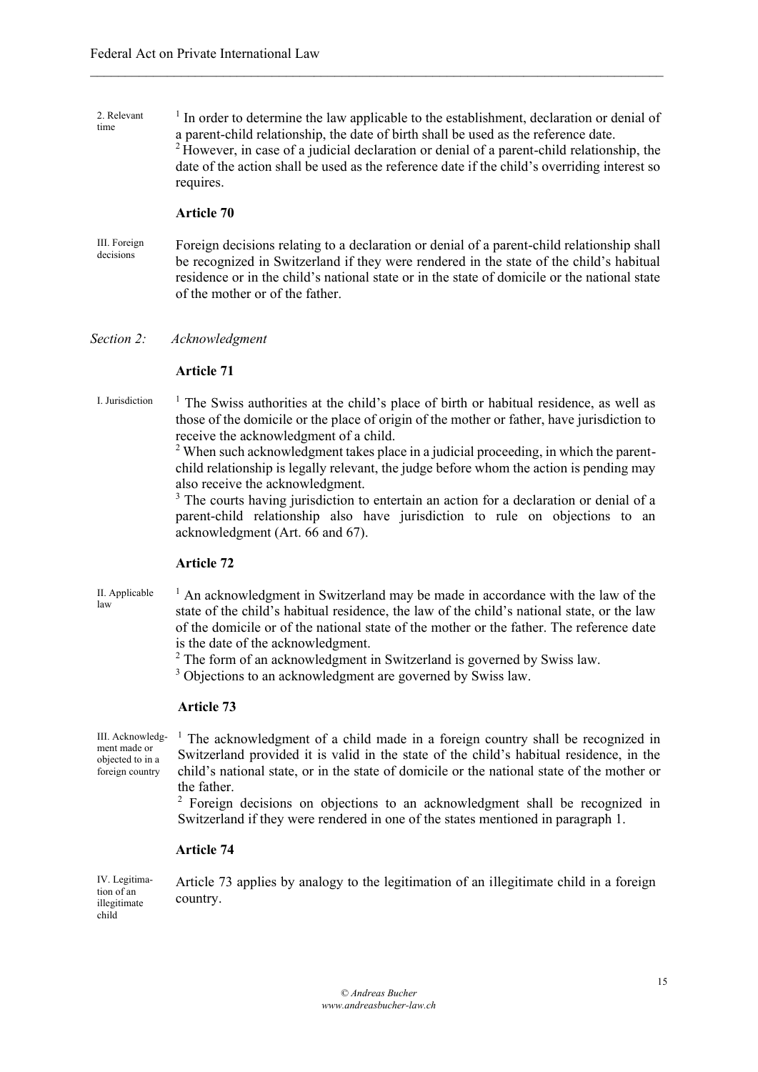2. Relevant time <sup>1</sup> In order to determine the law applicable to the establishment, declaration or denial of a parent-child relationship, the date of birth shall be used as the reference date. <sup>2</sup> However, in case of a judicial declaration or denial of a parent-child relationship, the date of the action shall be used as the reference date if the child's overriding interest so requires.

 $\mathcal{L}_\mathcal{L} = \{ \mathcal{L}_\mathcal{L} = \{ \mathcal{L}_\mathcal{L} = \{ \mathcal{L}_\mathcal{L} = \{ \mathcal{L}_\mathcal{L} = \{ \mathcal{L}_\mathcal{L} = \{ \mathcal{L}_\mathcal{L} = \{ \mathcal{L}_\mathcal{L} = \{ \mathcal{L}_\mathcal{L} = \{ \mathcal{L}_\mathcal{L} = \{ \mathcal{L}_\mathcal{L} = \{ \mathcal{L}_\mathcal{L} = \{ \mathcal{L}_\mathcal{L} = \{ \mathcal{L}_\mathcal{L} = \{ \mathcal{L}_\mathcal{$ 

## **Article 70**

III. Foreign decisions Foreign decisions relating to a declaration or denial of a parent-child relationship shall be recognized in Switzerland if they were rendered in the state of the child's habitual residence or in the child's national state or in the state of domicile or the national state of the mother or of the father.

*Section 2: Acknowledgment*

#### **Article 71**

I. Jurisdiction  $\frac{1}{1}$  The Swiss authorities at the child's place of birth or habitual residence, as well as those of the domicile or the place of origin of the mother or father, have jurisdiction to receive the acknowledgment of a child.

> <sup>2</sup> When such acknowledgment takes place in a judicial proceeding, in which the parentchild relationship is legally relevant, the judge before whom the action is pending may also receive the acknowledgment.

> <sup>3</sup> The courts having jurisdiction to entertain an action for a declaration or denial of a parent-child relationship also have jurisdiction to rule on objections to an acknowledgment (Art. 66 and 67).

# **Article 72**

II. Applicable law  $<sup>1</sup>$  An acknowledgment in Switzerland may be made in accordance with the law of the</sup> state of the child's habitual residence, the law of the child's national state, or the law of the domicile or of the national state of the mother or the father. The reference date is the date of the acknowledgment.

<sup>2</sup> The form of an acknowledgment in Switzerland is governed by Swiss law.

<sup>3</sup> Objections to an acknowledgment are governed by Swiss law.

## **Article 73**

III. Acknowledgment made or objected to in a foreign country

 $1$  The acknowledgment of a child made in a foreign country shall be recognized in Switzerland provided it is valid in the state of the child's habitual residence, in the child's national state, or in the state of domicile or the national state of the mother or the father.

<sup>2</sup> Foreign decisions on objections to an acknowledgment shall be recognized in Switzerland if they were rendered in one of the states mentioned in paragraph 1.

#### **Article 74**

IV. Legitimation of an illegitimate child

Article 73 applies by analogy to the legitimation of an illegitimate child in a foreign country.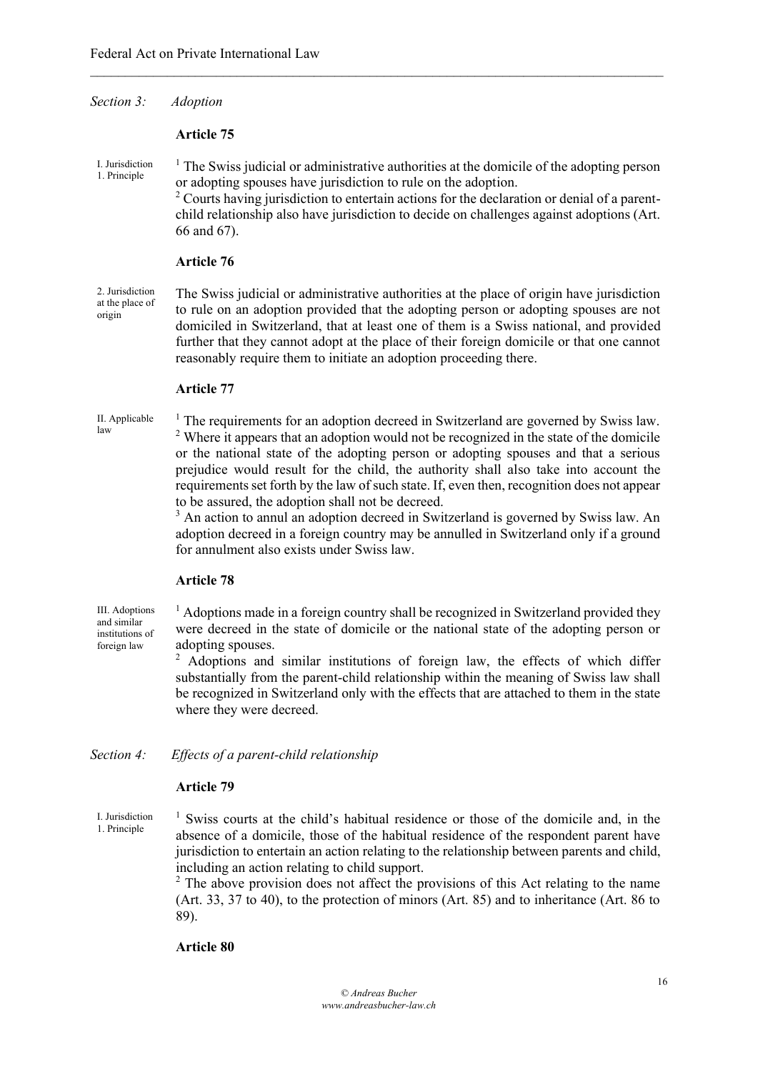#### *Section 3: Adoption*

#### **Article 75**

I. Jurisdiction

1. Principle

<sup>1</sup> The Swiss judicial or administrative authorities at the domicile of the adopting person or adopting spouses have jurisdiction to rule on the adoption.

 $\mathcal{L}_\mathcal{L} = \{ \mathcal{L}_\mathcal{L} = \{ \mathcal{L}_\mathcal{L} = \{ \mathcal{L}_\mathcal{L} = \{ \mathcal{L}_\mathcal{L} = \{ \mathcal{L}_\mathcal{L} = \{ \mathcal{L}_\mathcal{L} = \{ \mathcal{L}_\mathcal{L} = \{ \mathcal{L}_\mathcal{L} = \{ \mathcal{L}_\mathcal{L} = \{ \mathcal{L}_\mathcal{L} = \{ \mathcal{L}_\mathcal{L} = \{ \mathcal{L}_\mathcal{L} = \{ \mathcal{L}_\mathcal{L} = \{ \mathcal{L}_\mathcal{$ 

 $2$  Courts having jurisdiction to entertain actions for the declaration or denial of a parentchild relationship also have jurisdiction to decide on challenges against adoptions (Art. 66 and 67).

## **Article 76**

2. Jurisdiction at the place of origin

The Swiss judicial or administrative authorities at the place of origin have jurisdiction to rule on an adoption provided that the adopting person or adopting spouses are not domiciled in Switzerland, that at least one of them is a Swiss national, and provided further that they cannot adopt at the place of their foreign domicile or that one cannot reasonably require them to initiate an adoption proceeding there.

## **Article 77**

II. Applicable law

 $1$  The requirements for an adoption decreed in Switzerland are governed by Swiss law. <sup>2</sup> Where it appears that an adoption would not be recognized in the state of the domicile or the national state of the adopting person or adopting spouses and that a serious prejudice would result for the child, the authority shall also take into account the requirements set forth by the law of such state. If, even then, recognition does not appear to be assured, the adoption shall not be decreed.

<sup>3</sup> An action to annul an adoption decreed in Switzerland is governed by Swiss law. An adoption decreed in a foreign country may be annulled in Switzerland only if a ground for annulment also exists under Swiss law.

## **Article 78**

III. Adoptions and similar institutions of foreign law

 $<sup>1</sup>$  Adoptions made in a foreign country shall be recognized in Switzerland provided they</sup> were decreed in the state of domicile or the national state of the adopting person or adopting spouses.

<sup>2</sup> Adoptions and similar institutions of foreign law, the effects of which differ substantially from the parent-child relationship within the meaning of Swiss law shall be recognized in Switzerland only with the effects that are attached to them in the state where they were decreed.

*Section 4: Effects of a parent-child relationship*

#### **Article 79**

I. Jurisdiction 1. Principle

<sup>1</sup> Swiss courts at the child's habitual residence or those of the domicile and, in the absence of a domicile, those of the habitual residence of the respondent parent have jurisdiction to entertain an action relating to the relationship between parents and child, including an action relating to child support.

<sup>2</sup> The above provision does not affect the provisions of this Act relating to the name (Art. 33, 37 to 40), to the protection of minors (Art. 85) and to inheritance (Art. 86 to 89).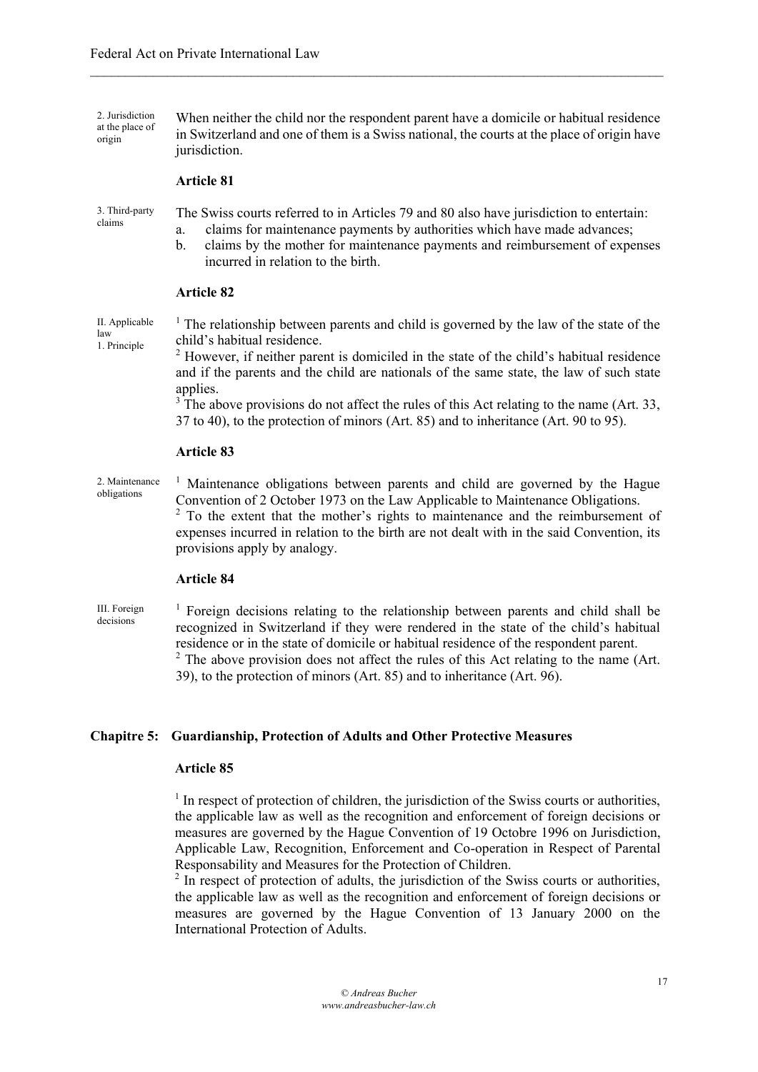2. Jurisdiction at the place of origin When neither the child nor the respondent parent have a domicile or habitual residence in Switzerland and one of them is a Swiss national, the courts at the place of origin have jurisdiction.

 $\mathcal{L}_\mathcal{L} = \{ \mathcal{L}_\mathcal{L} = \{ \mathcal{L}_\mathcal{L} = \{ \mathcal{L}_\mathcal{L} = \{ \mathcal{L}_\mathcal{L} = \{ \mathcal{L}_\mathcal{L} = \{ \mathcal{L}_\mathcal{L} = \{ \mathcal{L}_\mathcal{L} = \{ \mathcal{L}_\mathcal{L} = \{ \mathcal{L}_\mathcal{L} = \{ \mathcal{L}_\mathcal{L} = \{ \mathcal{L}_\mathcal{L} = \{ \mathcal{L}_\mathcal{L} = \{ \mathcal{L}_\mathcal{L} = \{ \mathcal{L}_\mathcal{$ 

#### **Article 81**

3. Third-party claims The Swiss courts referred to in Articles 79 and 80 also have jurisdiction to entertain: a. claims for maintenance payments by authorities which have made advances; b. claims by the mother for maintenance payments and reimbursement of expenses incurred in relation to the birth.

#### **Article 82**

II. Applicable law 1. Principle <sup>1</sup> The relationship between parents and child is governed by the law of the state of the child's habitual residence.

<sup>2</sup> However, if neither parent is domiciled in the state of the child's habitual residence and if the parents and the child are nationals of the same state, the law of such state applies.

<sup>3</sup> The above provisions do not affect the rules of this Act relating to the name (Art. 33, 37 to 40), to the protection of minors (Art. 85) and to inheritance (Art. 90 to 95).

#### **Article 83**

2. Maintenance obligations <sup>1</sup> Maintenance obligations between parents and child are governed by the Hague Convention of 2 October 1973 on the Law Applicable to Maintenance Obligations. <sup>2</sup> To the extent that the mother's rights to maintenance and the reimbursement of expenses incurred in relation to the birth are not dealt with in the said Convention, its provisions apply by analogy.

# **Article 84**

III. Foreign decisions

<sup>1</sup> Foreign decisions relating to the relationship between parents and child shall be recognized in Switzerland if they were rendered in the state of the child's habitual residence or in the state of domicile or habitual residence of the respondent parent.  $2$  The above provision does not affect the rules of this Act relating to the name (Art. 39), to the protection of minors (Art. 85) and to inheritance (Art. 96).

#### **Chapitre 5: Guardianship, Protection of Adults and Other Protective Measures**

#### **Article 85**

 $<sup>1</sup>$  In respect of protection of children, the jurisdiction of the Swiss courts or authorities,</sup> the applicable law as well as the recognition and enforcement of foreign decisions or measures are governed by the Hague Convention of 19 Octobre 1996 on Jurisdiction, Applicable Law, Recognition, Enforcement and Co-operation in Respect of Parental Responsability and Measures for the Protection of Children.

 $2 \text{ In respect of protection of adults, the jurisdiction of the Swiss courts or authorities, }$ the applicable law as well as the recognition and enforcement of foreign decisions or measures are governed by the Hague Convention of 13 January 2000 on the International Protection of Adults.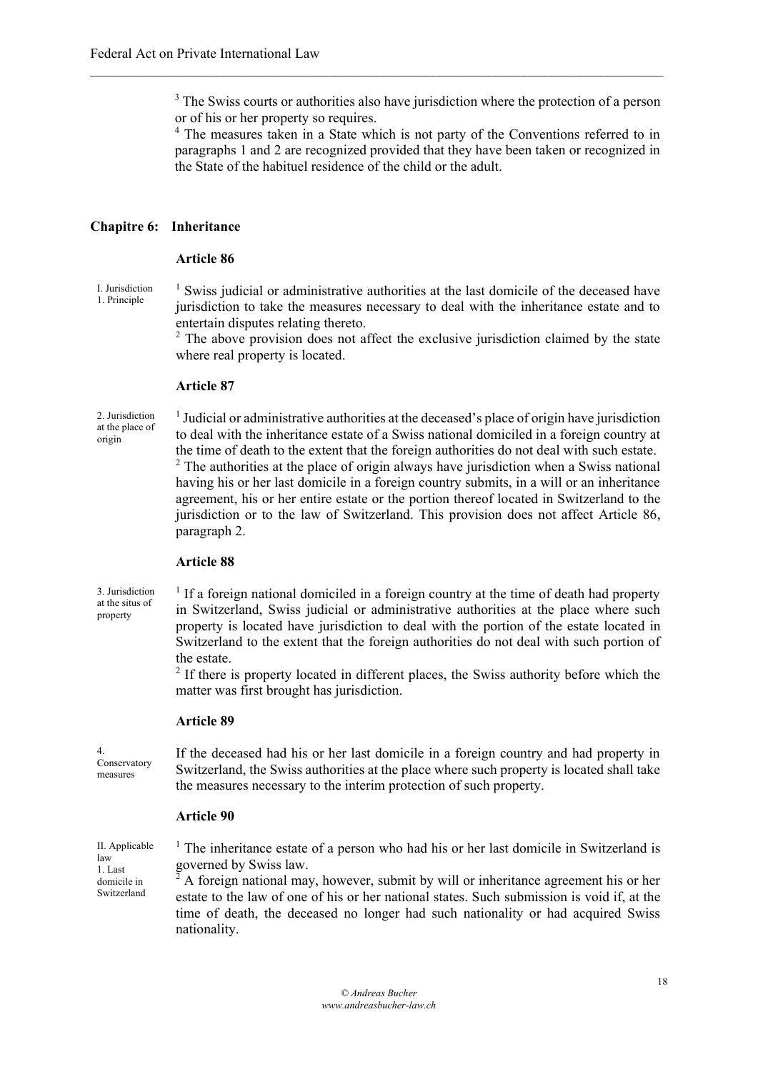<sup>3</sup> The Swiss courts or authorities also have jurisdiction where the protection of a person or of his or her property so requires.

 $\mathcal{L}_\mathcal{L} = \{ \mathcal{L}_\mathcal{L} = \{ \mathcal{L}_\mathcal{L} = \{ \mathcal{L}_\mathcal{L} = \{ \mathcal{L}_\mathcal{L} = \{ \mathcal{L}_\mathcal{L} = \{ \mathcal{L}_\mathcal{L} = \{ \mathcal{L}_\mathcal{L} = \{ \mathcal{L}_\mathcal{L} = \{ \mathcal{L}_\mathcal{L} = \{ \mathcal{L}_\mathcal{L} = \{ \mathcal{L}_\mathcal{L} = \{ \mathcal{L}_\mathcal{L} = \{ \mathcal{L}_\mathcal{L} = \{ \mathcal{L}_\mathcal{$ 

<sup>4</sup> The measures taken in a State which is not party of the Conventions referred to in paragraphs 1 and 2 are recognized provided that they have been taken or recognized in the State of the habituel residence of the child or the adult.

## **Chapitre 6: Inheritance**

# **Article 86**

I. Jurisdiction 1. Principle

 $1$  Swiss judicial or administrative authorities at the last domicile of the deceased have jurisdiction to take the measures necessary to deal with the inheritance estate and to entertain disputes relating thereto.

<sup>2</sup> The above provision does not affect the exclusive jurisdiction claimed by the state where real property is located.

#### **Article 87**

2. Jurisdiction at the place of origin

 $<sup>1</sup>$  Judicial or administrative authorities at the deceased's place of origin have jurisdiction</sup> to deal with the inheritance estate of a Swiss national domiciled in a foreign country at the time of death to the extent that the foreign authorities do not deal with such estate. <sup>2</sup> The authorities at the place of origin always have jurisdiction when a Swiss national having his or her last domicile in a foreign country submits, in a will or an inheritance agreement, his or her entire estate or the portion thereof located in Switzerland to the jurisdiction or to the law of Switzerland. This provision does not affect Article 86, paragraph 2.

#### **Article 88**

3. Jurisdiction at the situs of property

 $<sup>1</sup>$  If a foreign national domiciled in a foreign country at the time of death had property</sup> in Switzerland, Swiss judicial or administrative authorities at the place where such property is located have jurisdiction to deal with the portion of the estate located in Switzerland to the extent that the foreign authorities do not deal with such portion of the estate.

 $2<sup>2</sup>$  If there is property located in different places, the Swiss authority before which the matter was first brought has jurisdiction.

#### **Article 89**

4. Conservatory measures

If the deceased had his or her last domicile in a foreign country and had property in Switzerland, the Swiss authorities at the place where such property is located shall take the measures necessary to the interim protection of such property.

# **Article 90**

II. Applicable law 1. Last domicile in Switzerland

<sup>1</sup> The inheritance estate of a person who had his or her last domicile in Switzerland is governed by Swiss law.

<sup>2</sup> A foreign national may, however, submit by will or inheritance agreement his or her estate to the law of one of his or her national states. Such submission is void if, at the time of death, the deceased no longer had such nationality or had acquired Swiss nationality.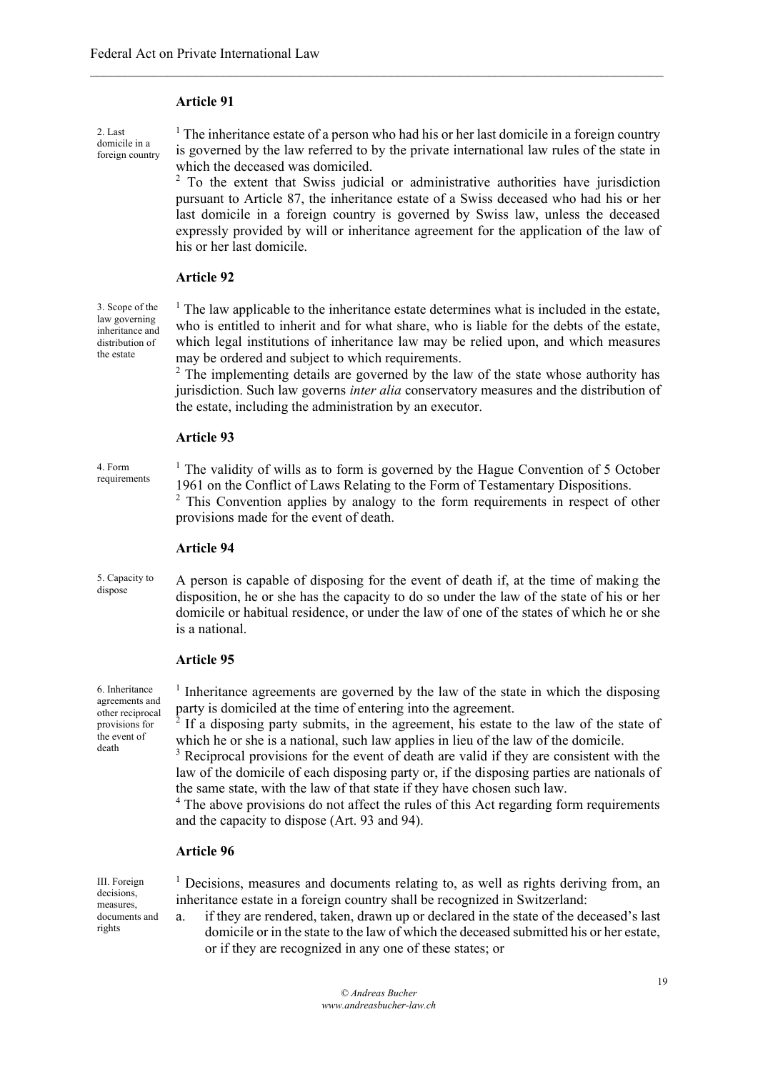#### **Article 91**

2. Last domicile in a foreign country

 $<sup>1</sup>$  The inheritance estate of a person who had his or her last domicile in a foreign country</sup> is governed by the law referred to by the private international law rules of the state in which the deceased was domiciled.

 $\mathcal{L}_\mathcal{L} = \{ \mathcal{L}_\mathcal{L} = \{ \mathcal{L}_\mathcal{L} = \{ \mathcal{L}_\mathcal{L} = \{ \mathcal{L}_\mathcal{L} = \{ \mathcal{L}_\mathcal{L} = \{ \mathcal{L}_\mathcal{L} = \{ \mathcal{L}_\mathcal{L} = \{ \mathcal{L}_\mathcal{L} = \{ \mathcal{L}_\mathcal{L} = \{ \mathcal{L}_\mathcal{L} = \{ \mathcal{L}_\mathcal{L} = \{ \mathcal{L}_\mathcal{L} = \{ \mathcal{L}_\mathcal{L} = \{ \mathcal{L}_\mathcal{$ 

<sup>2</sup> To the extent that Swiss judicial or administrative authorities have jurisdiction pursuant to Article 87, the inheritance estate of a Swiss deceased who had his or her last domicile in a foreign country is governed by Swiss law, unless the deceased expressly provided by will or inheritance agreement for the application of the law of his or her last domicile.

## **Article 92**

3. Scope of the law governing inheritance and distribution of the estate

<sup>1</sup> The law applicable to the inheritance estate determines what is included in the estate, who is entitled to inherit and for what share, who is liable for the debts of the estate, which legal institutions of inheritance law may be relied upon, and which measures may be ordered and subject to which requirements.

<sup>2</sup> The implementing details are governed by the law of the state whose authority has jurisdiction. Such law governs *inter alia* conservatory measures and the distribution of the estate, including the administration by an executor.

#### **Article 93**

4. Form requirements

 $<sup>1</sup>$  The validity of wills as to form is governed by the Hague Convention of 5 October</sup> 1961 on the Conflict of Laws Relating to the Form of Testamentary Dispositions. <sup>2</sup> This Convention applies by analogy to the form requirements in respect of other provisions made for the event of death.

#### **Article 94**

5. Capacity to dispose

A person is capable of disposing for the event of death if, at the time of making the disposition, he or she has the capacity to do so under the law of the state of his or her domicile or habitual residence, or under the law of one of the states of which he or she is a national.

#### **Article 95**

6. Inheritance agreements and other reciprocal provisions for the event of death

<sup>1</sup> Inheritance agreements are governed by the law of the state in which the disposing party is domiciled at the time of entering into the agreement.<br><sup>2</sup> If a disposing party submits in the agreement, his estate

If a disposing party submits, in the agreement, his estate to the law of the state of which he or she is a national, such law applies in lieu of the law of the domicile.

<sup>3</sup> Reciprocal provisions for the event of death are valid if they are consistent with the law of the domicile of each disposing party or, if the disposing parties are nationals of the same state, with the law of that state if they have chosen such law.

<sup>4</sup> The above provisions do not affect the rules of this Act regarding form requirements and the capacity to dispose (Art. 93 and 94).

#### **Article 96**

III. Foreign decisions, measures, documents and rights

<sup>1</sup> Decisions, measures and documents relating to, as well as rights deriving from, an inheritance estate in a foreign country shall be recognized in Switzerland:

a. if they are rendered, taken, drawn up or declared in the state of the deceased's last domicile or in the state to the law of which the deceased submitted his or her estate, or if they are recognized in any one of these states; or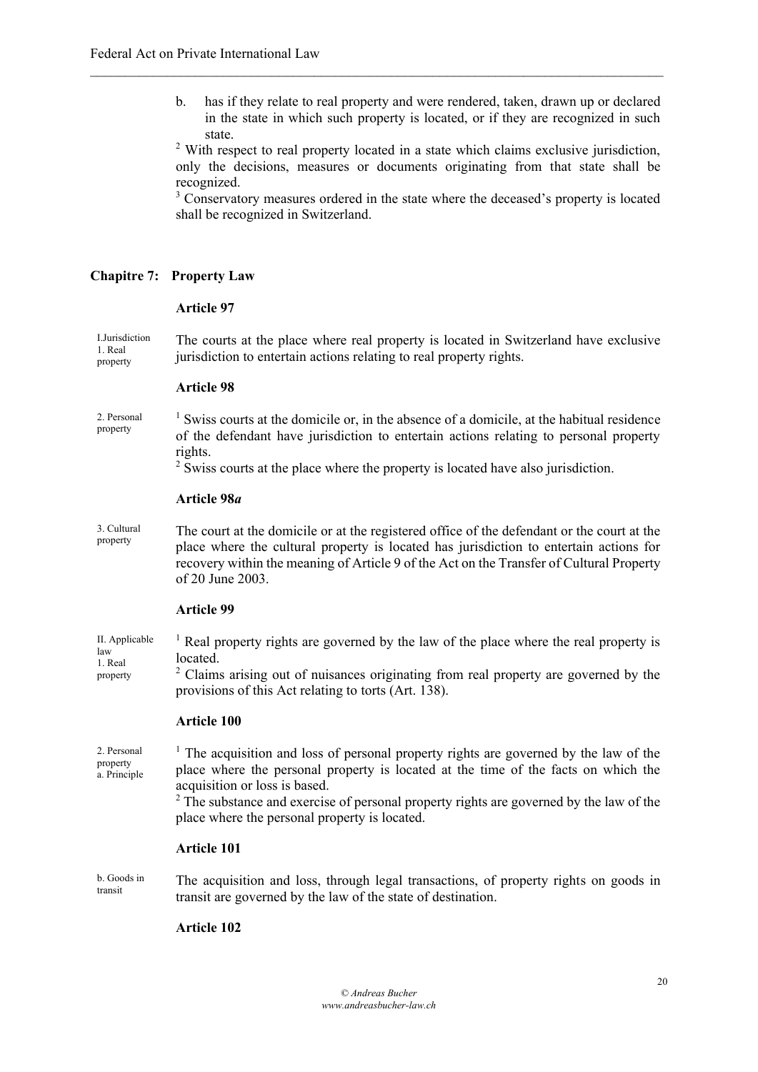b. has if they relate to real property and were rendered, taken, drawn up or declared in the state in which such property is located, or if they are recognized in such state.

 $\mathcal{L}_\mathcal{L} = \{ \mathcal{L}_\mathcal{L} = \{ \mathcal{L}_\mathcal{L} = \{ \mathcal{L}_\mathcal{L} = \{ \mathcal{L}_\mathcal{L} = \{ \mathcal{L}_\mathcal{L} = \{ \mathcal{L}_\mathcal{L} = \{ \mathcal{L}_\mathcal{L} = \{ \mathcal{L}_\mathcal{L} = \{ \mathcal{L}_\mathcal{L} = \{ \mathcal{L}_\mathcal{L} = \{ \mathcal{L}_\mathcal{L} = \{ \mathcal{L}_\mathcal{L} = \{ \mathcal{L}_\mathcal{L} = \{ \mathcal{L}_\mathcal{$ 

<sup>2</sup> With respect to real property located in a state which claims exclusive jurisdiction, only the decisions, measures or documents originating from that state shall be recognized.

<sup>3</sup> Conservatory measures ordered in the state where the deceased's property is located shall be recognized in Switzerland.

# **Chapitre 7: Property Law**

### **Article 97**

I.Jurisdiction 1. Real property The courts at the place where real property is located in Switzerland have exclusive jurisdiction to entertain actions relating to real property rights.

## **Article 98**

2. Personal property  $<sup>1</sup>$  Swiss courts at the domicile or, in the absence of a domicile, at the habitual residence</sup> of the defendant have jurisdiction to entertain actions relating to personal property rights.

 $2$  Swiss courts at the place where the property is located have also jurisdiction.

# **Article 98***a*

3. Cultural property The court at the domicile or at the registered office of the defendant or the court at the place where the cultural property is located has jurisdiction to entertain actions for recovery within the meaning of Article 9 of the Act on the Transfer of Cultural Property of 20 June 2003.

# **Article 99**

II. Applicable law 1. Real property  $1$  Real property rights are governed by the law of the place where the real property is located. <sup>2</sup> Claims arising out of nuisances originating from real property are governed by the provisions of this Act relating to torts (Art. 138).

## **Article 100**

2. Personal property a. Principle <sup>1</sup> The acquisition and loss of personal property rights are governed by the law of the place where the personal property is located at the time of the facts on which the acquisition or loss is based.

<sup>2</sup> The substance and exercise of personal property rights are governed by the law of the place where the personal property is located.

# **Article 101**

b. Goods in transit The acquisition and loss, through legal transactions, of property rights on goods in transit are governed by the law of the state of destination.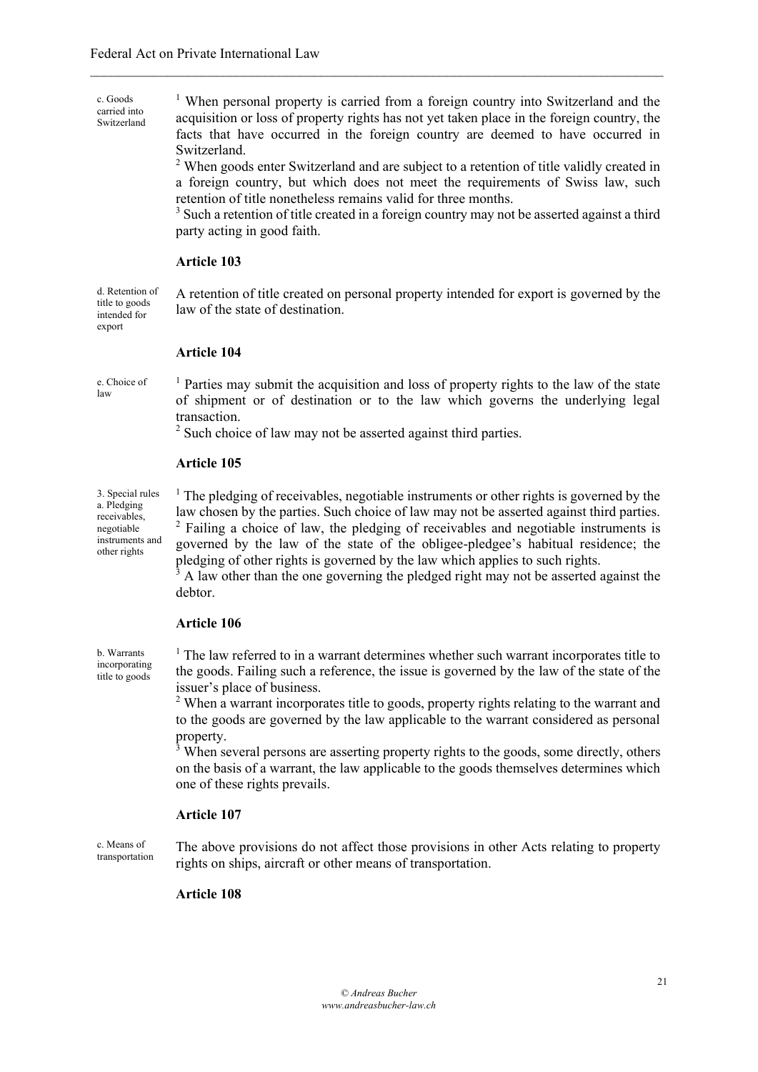c. Goods carried into Switzerland

<sup>1</sup> When personal property is carried from a foreign country into Switzerland and the acquisition or loss of property rights has not yet taken place in the foreign country, the facts that have occurred in the foreign country are deemed to have occurred in Switzerland.

 $\mathcal{L}_\mathcal{L} = \{ \mathcal{L}_\mathcal{L} = \{ \mathcal{L}_\mathcal{L} = \{ \mathcal{L}_\mathcal{L} = \{ \mathcal{L}_\mathcal{L} = \{ \mathcal{L}_\mathcal{L} = \{ \mathcal{L}_\mathcal{L} = \{ \mathcal{L}_\mathcal{L} = \{ \mathcal{L}_\mathcal{L} = \{ \mathcal{L}_\mathcal{L} = \{ \mathcal{L}_\mathcal{L} = \{ \mathcal{L}_\mathcal{L} = \{ \mathcal{L}_\mathcal{L} = \{ \mathcal{L}_\mathcal{L} = \{ \mathcal{L}_\mathcal{$ 

<sup>2</sup> When goods enter Switzerland and are subject to a retention of title validly created in a foreign country, but which does not meet the requirements of Swiss law, such retention of title nonetheless remains valid for three months.

<sup>3</sup> Such a retention of title created in a foreign country may not be asserted against a third party acting in good faith.

#### **Article 103**

d. Retention of title to goods intended for export

A retention of title created on personal property intended for export is governed by the law of the state of destination.

#### **Article 104**

e. Choice of law

<sup>1</sup> Parties may submit the acquisition and loss of property rights to the law of the state of shipment or of destination or to the law which governs the underlying legal transaction.

<sup>2</sup> Such choice of law may not be asserted against third parties.

#### **Article 105**

3. Special rules a. Pledging receivables, negotiable instruments and other rights

<sup>1</sup> The pledging of receivables, negotiable instruments or other rights is governed by the law chosen by the parties. Such choice of law may not be asserted against third parties. <sup>2</sup> Failing a choice of law, the pledging of receivables and negotiable instruments is governed by the law of the state of the obligee-pledgee's habitual residence; the pledging of other rights is governed by the law which applies to such rights.

A law other than the one governing the pledged right may not be asserted against the debtor.

# **Article 106**

b. Warrants incorporating title to goods

 $1$ . The law referred to in a warrant determines whether such warrant incorporates title to the goods. Failing such a reference, the issue is governed by the law of the state of the issuer's place of business.

<sup>2</sup> When a warrant incorporates title to goods, property rights relating to the warrant and to the goods are governed by the law applicable to the warrant considered as personal property.

 $3$  When several persons are asserting property rights to the goods, some directly, others on the basis of a warrant, the law applicable to the goods themselves determines which one of these rights prevails.

# **Article 107**

c. Means of transportation

The above provisions do not affect those provisions in other Acts relating to property rights on ships, aircraft or other means of transportation.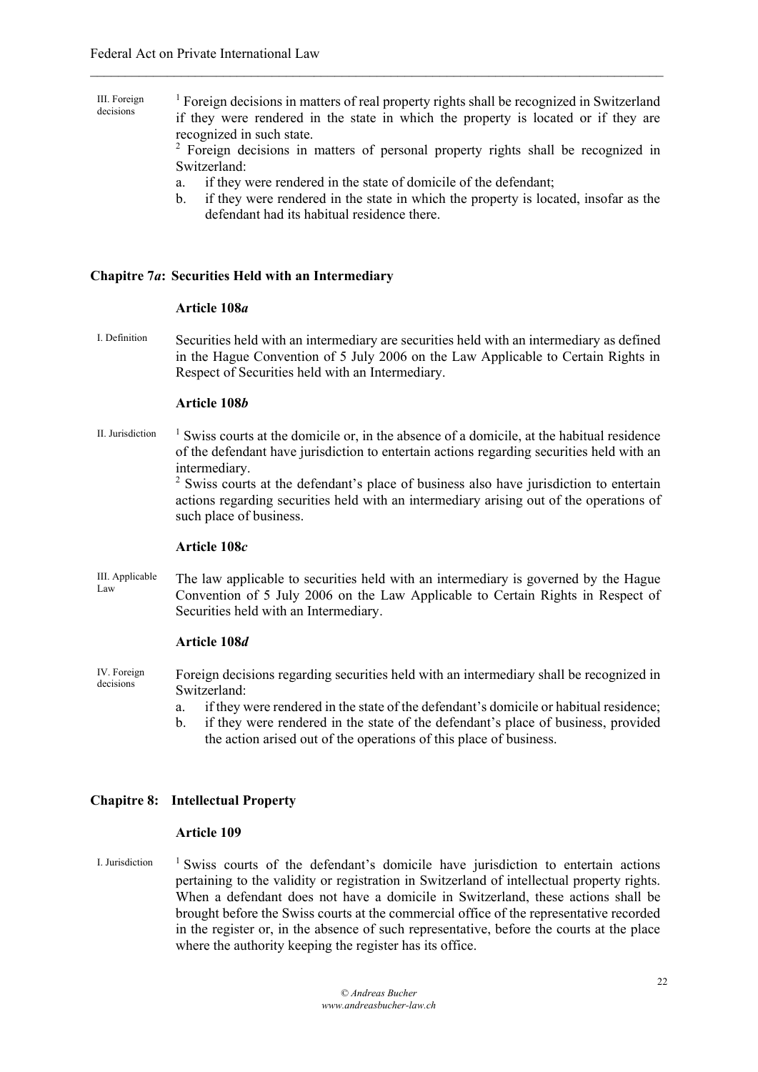III. Foreign decisions <sup>1</sup> Foreign decisions in matters of real property rights shall be recognized in Switzerland if they were rendered in the state in which the property is located or if they are recognized in such state.

 $\mathcal{L}_\mathcal{L} = \{ \mathcal{L}_\mathcal{L} = \{ \mathcal{L}_\mathcal{L} = \{ \mathcal{L}_\mathcal{L} = \{ \mathcal{L}_\mathcal{L} = \{ \mathcal{L}_\mathcal{L} = \{ \mathcal{L}_\mathcal{L} = \{ \mathcal{L}_\mathcal{L} = \{ \mathcal{L}_\mathcal{L} = \{ \mathcal{L}_\mathcal{L} = \{ \mathcal{L}_\mathcal{L} = \{ \mathcal{L}_\mathcal{L} = \{ \mathcal{L}_\mathcal{L} = \{ \mathcal{L}_\mathcal{L} = \{ \mathcal{L}_\mathcal{$ 

<sup>2</sup> Foreign decisions in matters of personal property rights shall be recognized in Switzerland:

- a. if they were rendered in the state of domicile of the defendant;
- b. if they were rendered in the state in which the property is located, insofar as the defendant had its habitual residence there.

# **Chapitre 7***a***: Securities Held with an Intermediary**

#### **Article 108***a*

I. Definition Securities held with an intermediary are securities held with an intermediary as defined in the Hague Convention of 5 July 2006 on the Law Applicable to Certain Rights in Respect of Securities held with an Intermediary.

#### **Article 108***b*

II. Jurisdiction  $1$  Swiss courts at the domicile or, in the absence of a domicile, at the habitual residence of the defendant have jurisdiction to entertain actions regarding securities held with an intermediary.

> <sup>2</sup> Swiss courts at the defendant's place of business also have jurisdiction to entertain actions regarding securities held with an intermediary arising out of the operations of such place of business.

#### **Article 108***c*

III. Applicable Law The law applicable to securities held with an intermediary is governed by the Hague Convention of 5 July 2006 on the Law Applicable to Certain Rights in Respect of Securities held with an Intermediary.

#### **Article 108***d*

IV. Foreign decisions Foreign decisions regarding securities held with an intermediary shall be recognized in Switzerland:

- a. if they were rendered in the state of the defendant's domicile or habitual residence;
	- b. if they were rendered in the state of the defendant's place of business, provided the action arised out of the operations of this place of business.

## **Chapitre 8: Intellectual Property**

#### **Article 109**

I. Jurisdiction  $\frac{1}{1}$  Swiss courts of the defendant's domicile have jurisdiction to entertain actions pertaining to the validity or registration in Switzerland of intellectual property rights. When a defendant does not have a domicile in Switzerland, these actions shall be brought before the Swiss courts at the commercial office of the representative recorded in the register or, in the absence of such representative, before the courts at the place where the authority keeping the register has its office.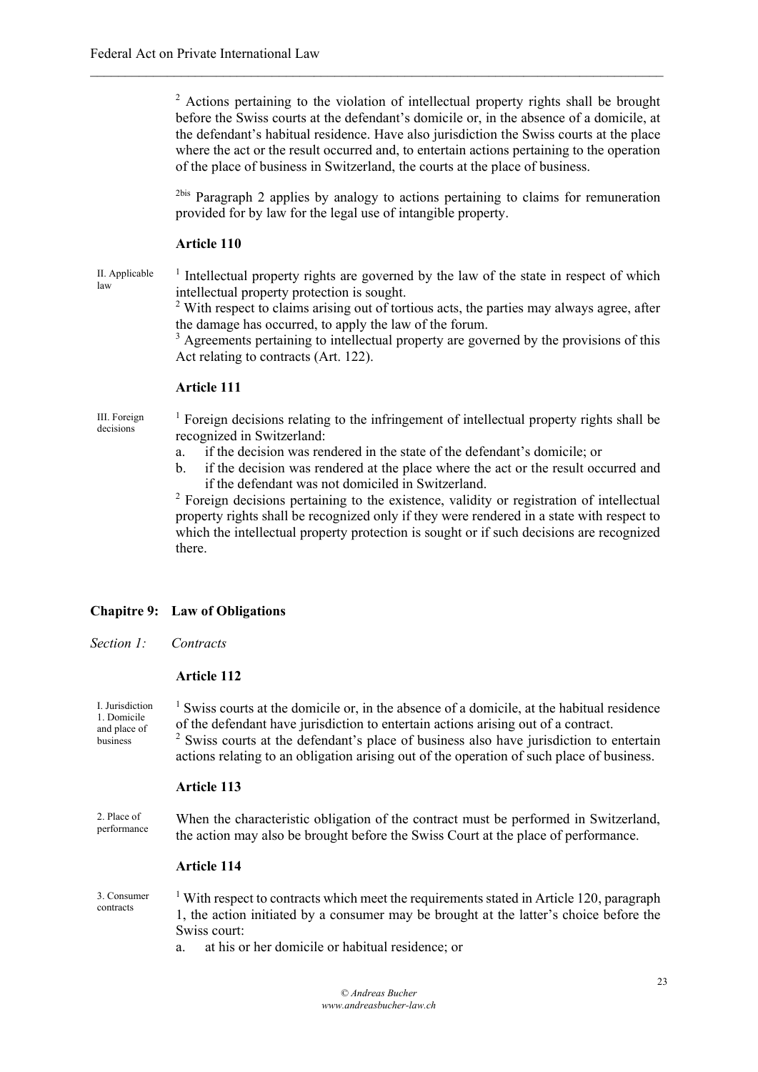<sup>2</sup> Actions pertaining to the violation of intellectual property rights shall be brought before the Swiss courts at the defendant's domicile or, in the absence of a domicile, at the defendant's habitual residence. Have also jurisdiction the Swiss courts at the place where the act or the result occurred and, to entertain actions pertaining to the operation of the place of business in Switzerland, the courts at the place of business.

 $\mathcal{L}_\mathcal{L} = \{ \mathcal{L}_\mathcal{L} = \{ \mathcal{L}_\mathcal{L} = \{ \mathcal{L}_\mathcal{L} = \{ \mathcal{L}_\mathcal{L} = \{ \mathcal{L}_\mathcal{L} = \{ \mathcal{L}_\mathcal{L} = \{ \mathcal{L}_\mathcal{L} = \{ \mathcal{L}_\mathcal{L} = \{ \mathcal{L}_\mathcal{L} = \{ \mathcal{L}_\mathcal{L} = \{ \mathcal{L}_\mathcal{L} = \{ \mathcal{L}_\mathcal{L} = \{ \mathcal{L}_\mathcal{L} = \{ \mathcal{L}_\mathcal{$ 

<sup>2bis</sup> Paragraph 2 applies by analogy to actions pertaining to claims for remuneration provided for by law for the legal use of intangible property.

# **Article 110**

II. Applicable law

<sup>1</sup> Intellectual property rights are governed by the law of the state in respect of which intellectual property protection is sought.

<sup>2</sup> With respect to claims arising out of tortious acts, the parties may always agree, after the damage has occurred, to apply the law of the forum.

<sup>3</sup> Agreements pertaining to intellectual property are governed by the provisions of this Act relating to contracts (Art. 122).

# **Article 111**

III. Foreign decisions

 $1$  Foreign decisions relating to the infringement of intellectual property rights shall be recognized in Switzerland:

- a. if the decision was rendered in the state of the defendant's domicile; or
- b. if the decision was rendered at the place where the act or the result occurred and if the defendant was not domiciled in Switzerland.

<sup>2</sup> Foreign decisions pertaining to the existence, validity or registration of intellectual property rights shall be recognized only if they were rendered in a state with respect to which the intellectual property protection is sought or if such decisions are recognized there.

#### **Chapitre 9: Law of Obligations**

*Section 1: Contracts*

# **Article 112**

I. Jurisdiction 1. Domicile and place of business

 $1$  Swiss courts at the domicile or, in the absence of a domicile, at the habitual residence of the defendant have jurisdiction to entertain actions arising out of a contract. <sup>2</sup> Swiss courts at the defendant's place of business also have jurisdiction to entertain actions relating to an obligation arising out of the operation of such place of business.

## **Article 113**

2. Place of performance When the characteristic obligation of the contract must be performed in Switzerland, the action may also be brought before the Swiss Court at the place of performance.

- 3. Consumer contracts <sup>1</sup> With respect to contracts which meet the requirements stated in Article 120, paragraph 1, the action initiated by a consumer may be brought at the latter's choice before the Swiss court:
	- a. at his or her domicile or habitual residence; or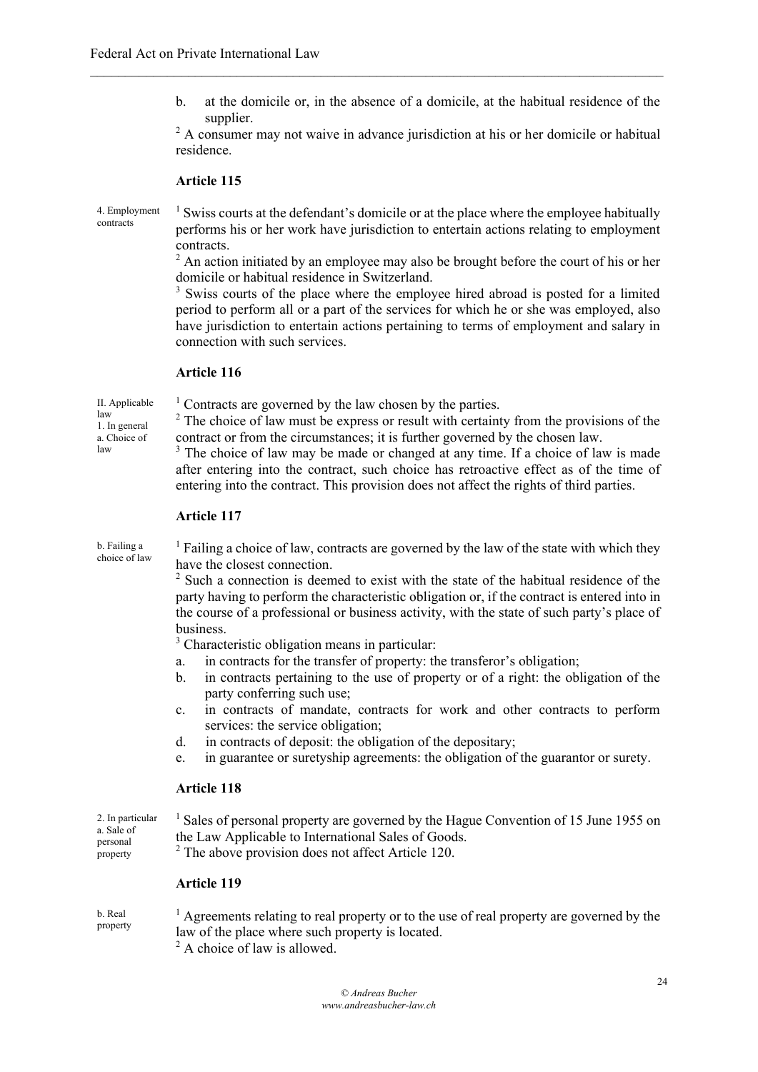b. at the domicile or, in the absence of a domicile, at the habitual residence of the supplier.

 $\mathcal{L}_\mathcal{L} = \{ \mathcal{L}_\mathcal{L} = \{ \mathcal{L}_\mathcal{L} = \{ \mathcal{L}_\mathcal{L} = \{ \mathcal{L}_\mathcal{L} = \{ \mathcal{L}_\mathcal{L} = \{ \mathcal{L}_\mathcal{L} = \{ \mathcal{L}_\mathcal{L} = \{ \mathcal{L}_\mathcal{L} = \{ \mathcal{L}_\mathcal{L} = \{ \mathcal{L}_\mathcal{L} = \{ \mathcal{L}_\mathcal{L} = \{ \mathcal{L}_\mathcal{L} = \{ \mathcal{L}_\mathcal{L} = \{ \mathcal{L}_\mathcal{$ 

<sup>2</sup> A consumer may not waive in advance jurisdiction at his or her domicile or habitual residence.

# **Article 115**

4. Employment contracts

 $<sup>1</sup>$  Swiss courts at the defendant's domicile or at the place where the employee habitually</sup> performs his or her work have jurisdiction to entertain actions relating to employment contracts.

 $2 \text{ An action initiated by an employee may also be brought before the court of his or her }$ domicile or habitual residence in Switzerland.

<sup>3</sup> Swiss courts of the place where the employee hired abroad is posted for a limited period to perform all or a part of the services for which he or she was employed, also have jurisdiction to entertain actions pertaining to terms of employment and salary in connection with such services.

## **Article 116**

II. Applicable law 1. In general a. Choice of law

 $1$  Contracts are governed by the law chosen by the parties.

<sup>2</sup> The choice of law must be express or result with certainty from the provisions of the contract or from the circumstances; it is further governed by the chosen law.

<sup>3</sup> The choice of law may be made or changed at any time. If a choice of law is made after entering into the contract, such choice has retroactive effect as of the time of entering into the contract. This provision does not affect the rights of third parties.

## **Article 117**

b. Failing a choice of law

 $<sup>1</sup>$  Failing a choice of law, contracts are governed by the law of the state with which they</sup> have the closest connection.

<sup>2</sup> Such a connection is deemed to exist with the state of the habitual residence of the party having to perform the characteristic obligation or, if the contract is entered into in the course of a professional or business activity, with the state of such party's place of business.

<sup>3</sup> Characteristic obligation means in particular:

- a. in contracts for the transfer of property: the transferor's obligation;
- b. in contracts pertaining to the use of property or of a right: the obligation of the party conferring such use;
- c. in contracts of mandate, contracts for work and other contracts to perform services: the service obligation;
- d. in contracts of deposit: the obligation of the depositary;
- e. in guarantee or suretyship agreements: the obligation of the guarantor or surety.

# **Article 118**

2. In particular a. Sale of personal property <sup>1</sup> Sales of personal property are governed by the Hague Convention of 15 June 1955 on the Law Applicable to International Sales of Goods. <sup>2</sup> The above provision does not affect Article 120.

# **Article 119**

b. Real property

 $1$  Agreements relating to real property or to the use of real property are governed by the law of the place where such property is located.

<sup>2</sup> A choice of law is allowed.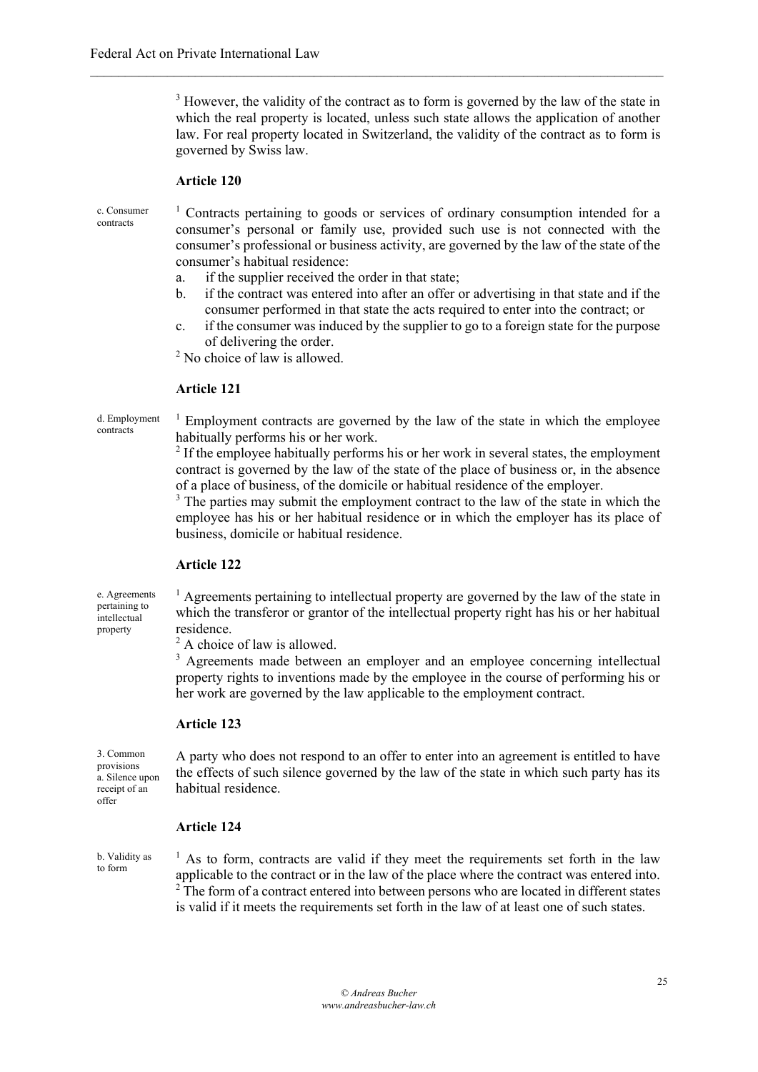<sup>3</sup> However, the validity of the contract as to form is governed by the law of the state in which the real property is located, unless such state allows the application of another law. For real property located in Switzerland, the validity of the contract as to form is governed by Swiss law.

 $\mathcal{L}_\mathcal{L} = \{ \mathcal{L}_\mathcal{L} = \{ \mathcal{L}_\mathcal{L} = \{ \mathcal{L}_\mathcal{L} = \{ \mathcal{L}_\mathcal{L} = \{ \mathcal{L}_\mathcal{L} = \{ \mathcal{L}_\mathcal{L} = \{ \mathcal{L}_\mathcal{L} = \{ \mathcal{L}_\mathcal{L} = \{ \mathcal{L}_\mathcal{L} = \{ \mathcal{L}_\mathcal{L} = \{ \mathcal{L}_\mathcal{L} = \{ \mathcal{L}_\mathcal{L} = \{ \mathcal{L}_\mathcal{L} = \{ \mathcal{L}_\mathcal{$ 

# **Article 120**

c. Consumer contracts

<sup>1</sup> Contracts pertaining to goods or services of ordinary consumption intended for a consumer's personal or family use, provided such use is not connected with the consumer's professional or business activity, are governed by the law of the state of the consumer's habitual residence:

- a. if the supplier received the order in that state;
- b. if the contract was entered into after an offer or advertising in that state and if the consumer performed in that state the acts required to enter into the contract; or
- c. if the consumer was induced by the supplier to go to a foreign state for the purpose of delivering the order.

<sup>2</sup> No choice of law is allowed.

# **Article 121**

d. Employment contracts

 $1$  Employment contracts are governed by the law of the state in which the employee habitually performs his or her work.

 $2<sup>2</sup>$  If the employee habitually performs his or her work in several states, the employment contract is governed by the law of the state of the place of business or, in the absence of a place of business, of the domicile or habitual residence of the employer.

<sup>3</sup> The parties may submit the employment contract to the law of the state in which the employee has his or her habitual residence or in which the employer has its place of business, domicile or habitual residence.

# **Article 122**

e. Agreements pertaining to intellectual property

<sup>1</sup> Agreements pertaining to intellectual property are governed by the law of the state in which the transferor or grantor of the intellectual property right has his or her habitual residence.

 $2$  A choice of law is allowed.

<sup>3</sup> Agreements made between an employer and an employee concerning intellectual property rights to inventions made by the employee in the course of performing his or her work are governed by the law applicable to the employment contract.

# **Article 123**

3. Common provisions a. Silence upon receipt of an offer

A party who does not respond to an offer to enter into an agreement is entitled to have the effects of such silence governed by the law of the state in which such party has its habitual residence.

## **Article 124**

b. Validity as to form

 $<sup>1</sup>$  As to form, contracts are valid if they meet the requirements set forth in the law</sup> applicable to the contract or in the law of the place where the contract was entered into.  $2^2$ The form of a contract entered into between persons who are located in different states is valid if it meets the requirements set forth in the law of at least one of such states.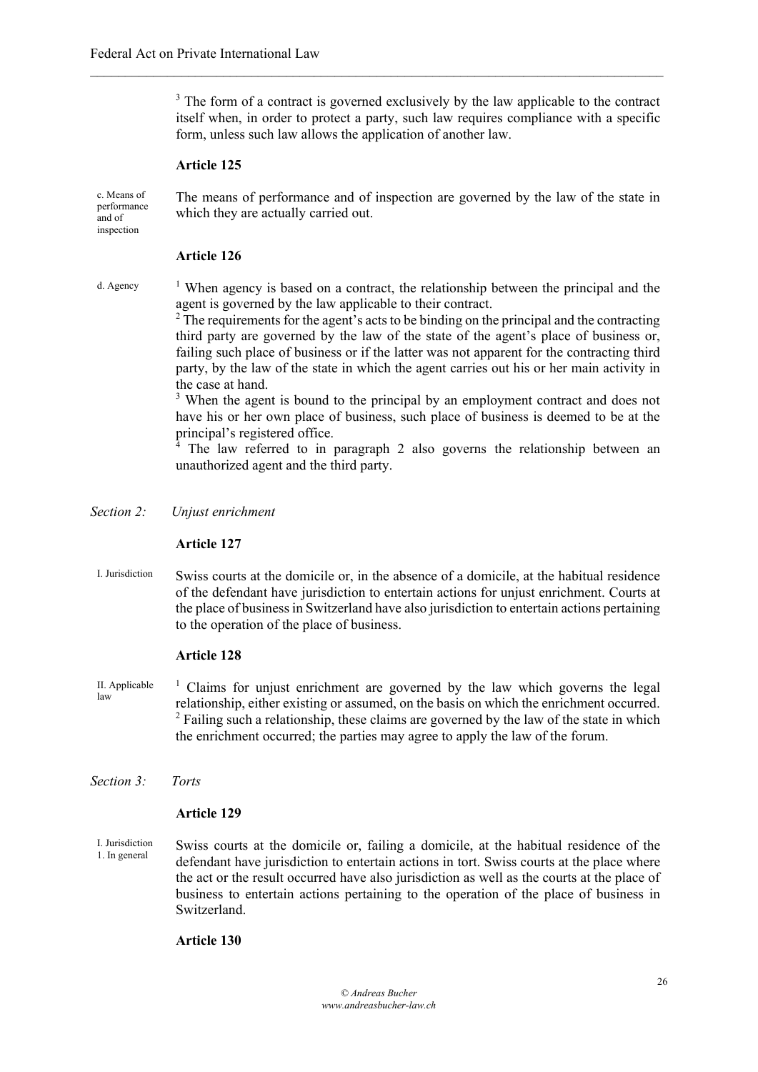<sup>3</sup> The form of a contract is governed exclusively by the law applicable to the contract itself when, in order to protect a party, such law requires compliance with a specific form, unless such law allows the application of another law.

#### **Article 125**

c. Means of performance The means of performance and of inspection are governed by the law of the state in which they are actually carried out.

 $\mathcal{L}_\mathcal{L} = \{ \mathcal{L}_\mathcal{L} = \{ \mathcal{L}_\mathcal{L} = \{ \mathcal{L}_\mathcal{L} = \{ \mathcal{L}_\mathcal{L} = \{ \mathcal{L}_\mathcal{L} = \{ \mathcal{L}_\mathcal{L} = \{ \mathcal{L}_\mathcal{L} = \{ \mathcal{L}_\mathcal{L} = \{ \mathcal{L}_\mathcal{L} = \{ \mathcal{L}_\mathcal{L} = \{ \mathcal{L}_\mathcal{L} = \{ \mathcal{L}_\mathcal{L} = \{ \mathcal{L}_\mathcal{L} = \{ \mathcal{L}_\mathcal{$ 

## **Article 126**

and of inspection

 $d.$  Agency  $1$  When agency is based on a contract, the relationship between the principal and the agent is governed by the law applicable to their contract.

 $2^2$  The requirements for the agent's acts to be binding on the principal and the contracting third party are governed by the law of the state of the agent's place of business or, failing such place of business or if the latter was not apparent for the contracting third party, by the law of the state in which the agent carries out his or her main activity in the case at hand.

<sup>3</sup> When the agent is bound to the principal by an employment contract and does not have his or her own place of business, such place of business is deemed to be at the principal's registered office.

The law referred to in paragraph 2 also governs the relationship between an unauthorized agent and the third party.

*Section 2: Unjust enrichment*

#### **Article 127**

I. Jurisdiction Swiss courts at the domicile or, in the absence of a domicile, at the habitual residence of the defendant have jurisdiction to entertain actions for unjust enrichment. Courts at the place of business in Switzerland have also jurisdiction to entertain actions pertaining to the operation of the place of business.

#### **Article 128**

II. Applicable law <sup>1</sup> Claims for unjust enrichment are governed by the law which governs the legal relationship, either existing or assumed, on the basis on which the enrichment occurred. <sup>2</sup> Failing such a relationship, these claims are governed by the law of the state in which the enrichment occurred; the parties may agree to apply the law of the forum.

#### *Section 3: Torts*

## **Article 129**

I. Jurisdiction 1. In general Swiss courts at the domicile or, failing a domicile, at the habitual residence of the defendant have jurisdiction to entertain actions in tort. Swiss courts at the place where the act or the result occurred have also jurisdiction as well as the courts at the place of business to entertain actions pertaining to the operation of the place of business in Switzerland.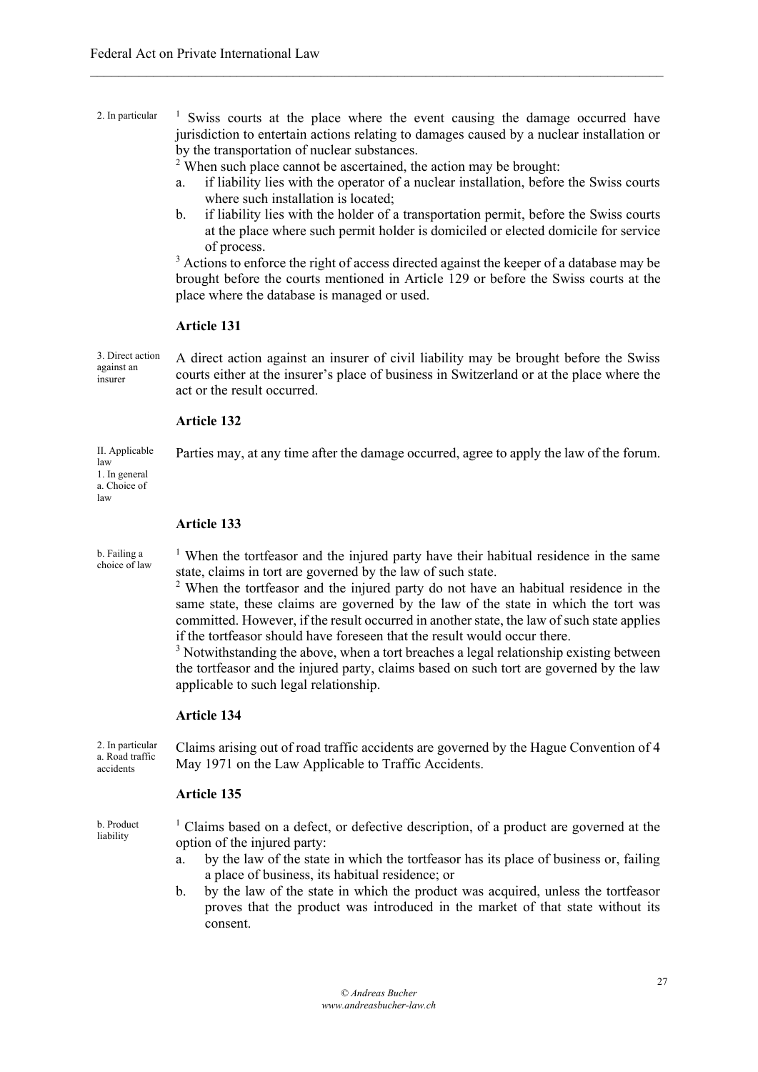2. In particular  $\frac{1}{1}$  Swiss courts at the place where the event causing the damage occurred have jurisdiction to entertain actions relating to damages caused by a nuclear installation or by the transportation of nuclear substances.

 $\mathcal{L}_\mathcal{L} = \{ \mathcal{L}_\mathcal{L} = \{ \mathcal{L}_\mathcal{L} = \{ \mathcal{L}_\mathcal{L} = \{ \mathcal{L}_\mathcal{L} = \{ \mathcal{L}_\mathcal{L} = \{ \mathcal{L}_\mathcal{L} = \{ \mathcal{L}_\mathcal{L} = \{ \mathcal{L}_\mathcal{L} = \{ \mathcal{L}_\mathcal{L} = \{ \mathcal{L}_\mathcal{L} = \{ \mathcal{L}_\mathcal{L} = \{ \mathcal{L}_\mathcal{L} = \{ \mathcal{L}_\mathcal{L} = \{ \mathcal{L}_\mathcal{$ 

<sup>2</sup> When such place cannot be ascertained, the action may be brought:

- a. if liability lies with the operator of a nuclear installation, before the Swiss courts where such installation is located;
- b. if liability lies with the holder of a transportation permit, before the Swiss courts at the place where such permit holder is domiciled or elected domicile for service of process.

<sup>3</sup> Actions to enforce the right of access directed against the keeper of a database may be brought before the courts mentioned in Article 129 or before the Swiss courts at the place where the database is managed or used.

## **Article 131**

3. Direct action against an insurer

II. Applicable law

law

A direct action against an insurer of civil liability may be brought before the Swiss courts either at the insurer's place of business in Switzerland or at the place where the act or the result occurred.

# **Article 132**

**Article 133**

Parties may, at any time after the damage occurred, agree to apply the law of the forum.

1. In general a. Choice of

b. Failing a choice of law

<sup>1</sup> When the tortfeasor and the injured party have their habitual residence in the same state, claims in tort are governed by the law of such state.

<sup>2</sup> When the tortfeasor and the injured party do not have an habitual residence in the same state, these claims are governed by the law of the state in which the tort was committed. However, if the result occurred in another state, the law of such state applies if the tortfeasor should have foreseen that the result would occur there.

<sup>3</sup> Notwithstanding the above, when a tort breaches a legal relationship existing between the tortfeasor and the injured party, claims based on such tort are governed by the law applicable to such legal relationship.

# **Article 134**

2. In particular a. Road traffic accidents

Claims arising out of road traffic accidents are governed by the Hague Convention of 4 May 1971 on the Law Applicable to Traffic Accidents.

# **Article 135**

b. Product liability

<sup>1</sup> Claims based on a defect, or defective description, of a product are governed at the option of the injured party:

- a. by the law of the state in which the tortfeasor has its place of business or, failing a place of business, its habitual residence; or
- b. by the law of the state in which the product was acquired, unless the tortfeasor proves that the product was introduced in the market of that state without its consent.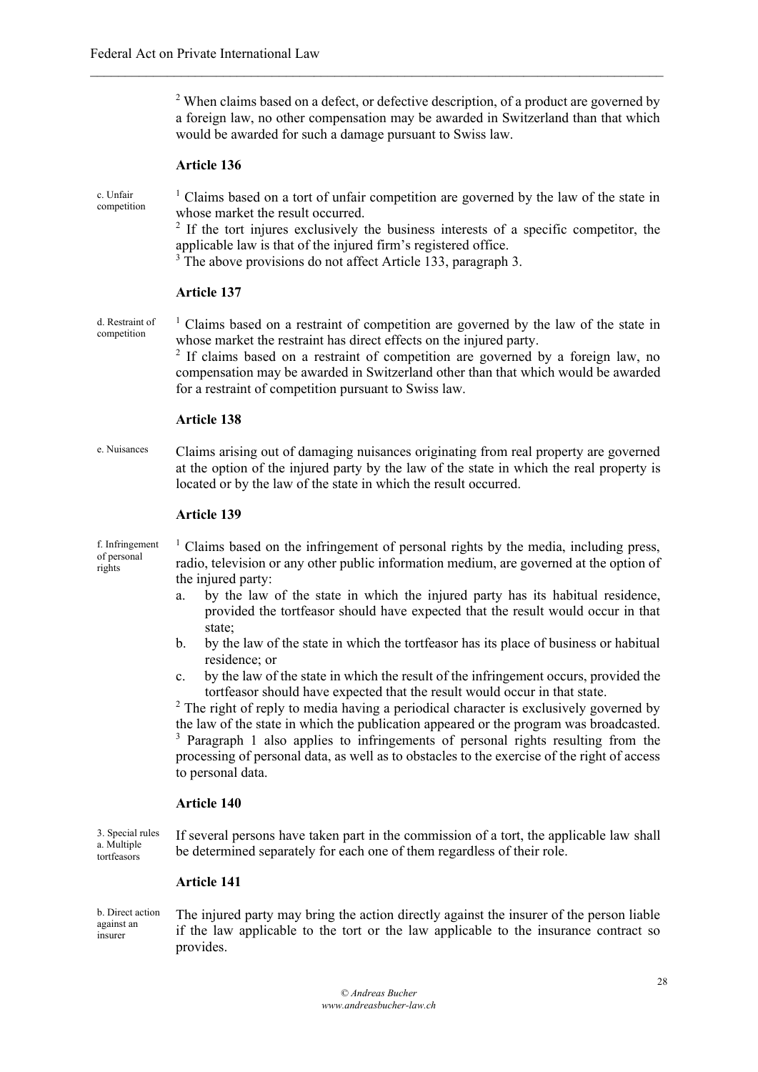<sup>2</sup> When claims based on a defect, or defective description, of a product are governed by a foreign law, no other compensation may be awarded in Switzerland than that which would be awarded for such a damage pursuant to Swiss law.

 $\mathcal{L}_\mathcal{L} = \{ \mathcal{L}_\mathcal{L} = \{ \mathcal{L}_\mathcal{L} = \{ \mathcal{L}_\mathcal{L} = \{ \mathcal{L}_\mathcal{L} = \{ \mathcal{L}_\mathcal{L} = \{ \mathcal{L}_\mathcal{L} = \{ \mathcal{L}_\mathcal{L} = \{ \mathcal{L}_\mathcal{L} = \{ \mathcal{L}_\mathcal{L} = \{ \mathcal{L}_\mathcal{L} = \{ \mathcal{L}_\mathcal{L} = \{ \mathcal{L}_\mathcal{L} = \{ \mathcal{L}_\mathcal{L} = \{ \mathcal{L}_\mathcal{$ 

#### **Article 136**

c. Unfair competition <sup>1</sup> Claims based on a tort of unfair competition are governed by the law of the state in whose market the result occurred.

 $2$  If the tort injures exclusively the business interests of a specific competitor, the applicable law is that of the injured firm's registered office.

<sup>3</sup> The above provisions do not affect Article 133, paragraph 3.

#### **Article 137**

d. Restraint of competition

 $1$  Claims based on a restraint of competition are governed by the law of the state in whose market the restraint has direct effects on the injured party.

<sup>2</sup> If claims based on a restraint of competition are governed by a foreign law, no compensation may be awarded in Switzerland other than that which would be awarded for a restraint of competition pursuant to Swiss law.

#### **Article 138**

e. Nuisances Claims arising out of damaging nuisances originating from real property are governed at the option of the injured party by the law of the state in which the real property is located or by the law of the state in which the result occurred.

#### **Article 139**

f. Infringement of personal rights

<sup>1</sup> Claims based on the infringement of personal rights by the media, including press, radio, television or any other public information medium, are governed at the option of the injured party:

- a. by the law of the state in which the injured party has its habitual residence, provided the tortfeasor should have expected that the result would occur in that state;
- b. by the law of the state in which the tortfeasor has its place of business or habitual residence; or
- c. by the law of the state in which the result of the infringement occurs, provided the tortfeasor should have expected that the result would occur in that state.

<sup>2</sup> The right of reply to media having a periodical character is exclusively governed by the law of the state in which the publication appeared or the program was broadcasted. <sup>3</sup> Paragraph 1 also applies to infringements of personal rights resulting from the processing of personal data, as well as to obstacles to the exercise of the right of access to personal data.

#### **Article 140**

3. Special rules a. Multiple tortfeasors

If several persons have taken part in the commission of a tort, the applicable law shall be determined separately for each one of them regardless of their role.

## **Article 141**

b. Direct action against an insurer

The injured party may bring the action directly against the insurer of the person liable if the law applicable to the tort or the law applicable to the insurance contract so provides.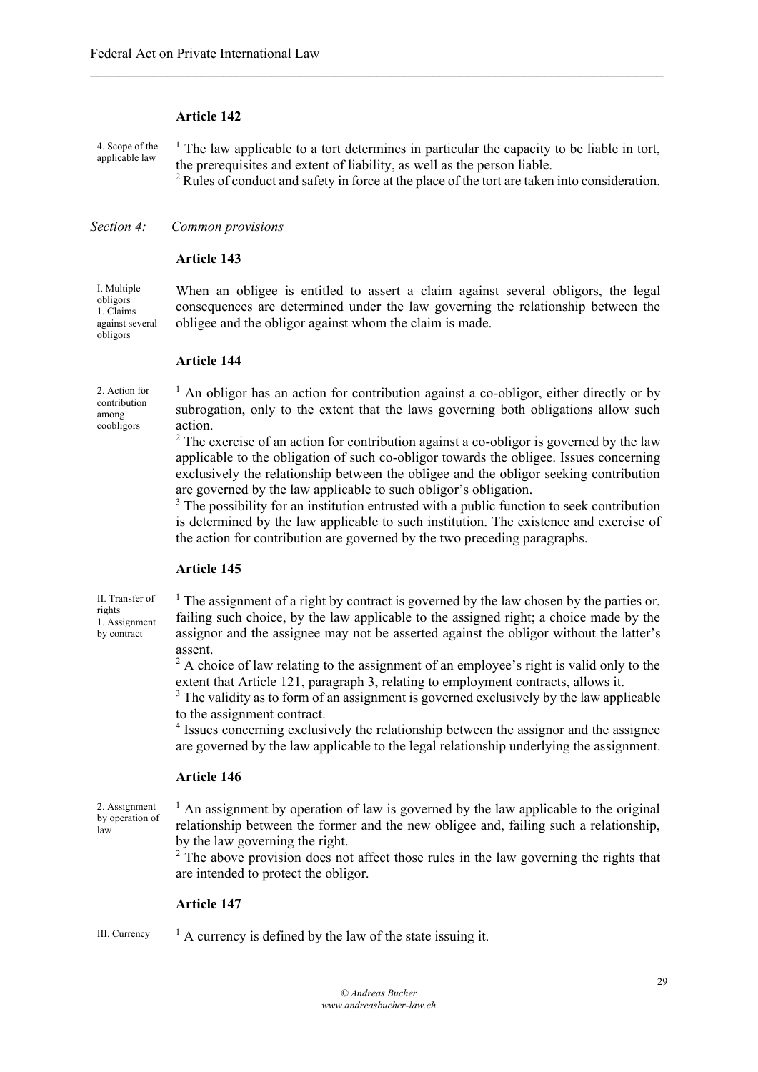#### **Article 142**

4. Scope of the applicable law

 $<sup>1</sup>$  The law applicable to a tort determines in particular the capacity to be liable in tort,</sup> the prerequisites and extent of liability, as well as the person liable.

 $\mathcal{L}_\mathcal{L} = \{ \mathcal{L}_\mathcal{L} = \{ \mathcal{L}_\mathcal{L} = \{ \mathcal{L}_\mathcal{L} = \{ \mathcal{L}_\mathcal{L} = \{ \mathcal{L}_\mathcal{L} = \{ \mathcal{L}_\mathcal{L} = \{ \mathcal{L}_\mathcal{L} = \{ \mathcal{L}_\mathcal{L} = \{ \mathcal{L}_\mathcal{L} = \{ \mathcal{L}_\mathcal{L} = \{ \mathcal{L}_\mathcal{L} = \{ \mathcal{L}_\mathcal{L} = \{ \mathcal{L}_\mathcal{L} = \{ \mathcal{L}_\mathcal{$ 

<sup>2</sup> Rules of conduct and safety in force at the place of the tort are taken into consideration.

#### *Section 4: Common provisions*

# **Article 143**

I. Multiple obligors 1. Claims against several obligors

When an obligee is entitled to assert a claim against several obligors, the legal consequences are determined under the law governing the relationship between the obligee and the obligor against whom the claim is made.

#### **Article 144**

2. Action for contribution among coobligors

 $<sup>1</sup>$  An obligor has an action for contribution against a co-obligor, either directly or by</sup> subrogation, only to the extent that the laws governing both obligations allow such action.

 $2$  The exercise of an action for contribution against a co-obligor is governed by the law applicable to the obligation of such co-obligor towards the obligee. Issues concerning exclusively the relationship between the obligee and the obligor seeking contribution are governed by the law applicable to such obligor's obligation.

<sup>3</sup> The possibility for an institution entrusted with a public function to seek contribution is determined by the law applicable to such institution. The existence and exercise of the action for contribution are governed by the two preceding paragraphs.

# **Article 145**

II. Transfer of rights 1. Assignment by contract

<sup>1</sup> The assignment of a right by contract is governed by the law chosen by the parties or, failing such choice, by the law applicable to the assigned right; a choice made by the assignor and the assignee may not be asserted against the obligor without the latter's assent.

 $2A$  choice of law relating to the assignment of an employee's right is valid only to the extent that Article 121, paragraph 3, relating to employment contracts, allows it.

<sup>3</sup> The validity as to form of an assignment is governed exclusively by the law applicable to the assignment contract.

<sup>4</sup> Issues concerning exclusively the relationship between the assignor and the assignee are governed by the law applicable to the legal relationship underlying the assignment.

## **Article 146**

2. Assignment by operation of law

 $<sup>1</sup>$  An assignment by operation of law is governed by the law applicable to the original</sup> relationship between the former and the new obligee and, failing such a relationship, by the law governing the right.

<sup>2</sup> The above provision does not affect those rules in the law governing the rights that are intended to protect the obligor.

#### **Article 147**

III. Currency  $\frac{1}{1}$  A currency is defined by the law of the state issuing it.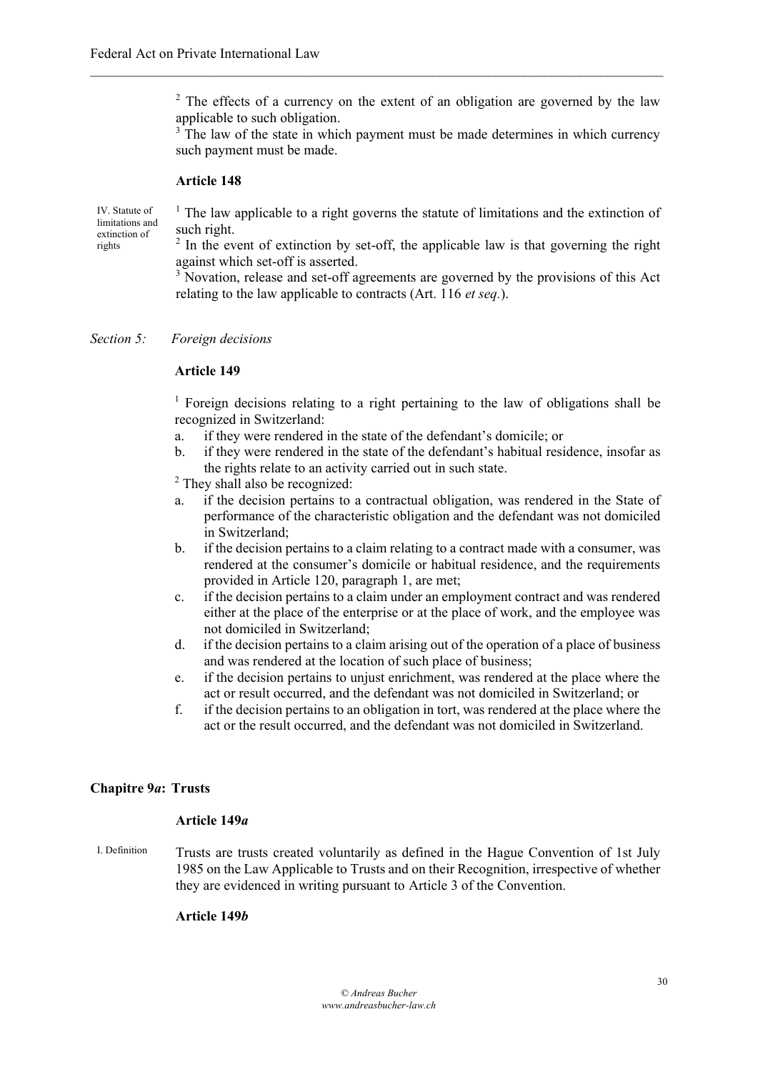$2$  The effects of a currency on the extent of an obligation are governed by the law applicable to such obligation.

 $\mathcal{L}_\mathcal{L} = \{ \mathcal{L}_\mathcal{L} = \{ \mathcal{L}_\mathcal{L} = \{ \mathcal{L}_\mathcal{L} = \{ \mathcal{L}_\mathcal{L} = \{ \mathcal{L}_\mathcal{L} = \{ \mathcal{L}_\mathcal{L} = \{ \mathcal{L}_\mathcal{L} = \{ \mathcal{L}_\mathcal{L} = \{ \mathcal{L}_\mathcal{L} = \{ \mathcal{L}_\mathcal{L} = \{ \mathcal{L}_\mathcal{L} = \{ \mathcal{L}_\mathcal{L} = \{ \mathcal{L}_\mathcal{L} = \{ \mathcal{L}_\mathcal{$ 

 $3\hat{ }$ . The law of the state in which payment must be made determines in which currency such payment must be made.

# **Article 148**

IV. Statute of limitations and extinction of rights

<sup>1</sup> The law applicable to a right governs the statute of limitations and the extinction of such right.

 $2 \text{ In the event of extinction by set-off, the applicable law is that governing the right.}$ against which set-off is asserted.

<sup>3</sup> Novation, release and set-off agreements are governed by the provisions of this Act relating to the law applicable to contracts (Art. 116 *et seq.*).

*Section 5: Foreign decisions*

## **Article 149**

<sup>1</sup> Foreign decisions relating to a right pertaining to the law of obligations shall be recognized in Switzerland:

- a. if they were rendered in the state of the defendant's domicile; or
- b. if they were rendered in the state of the defendant's habitual residence, insofar as the rights relate to an activity carried out in such state.
- <sup>2</sup> They shall also be recognized:
- a. if the decision pertains to a contractual obligation, was rendered in the State of performance of the characteristic obligation and the defendant was not domiciled in Switzerland;
- b. if the decision pertains to a claim relating to a contract made with a consumer, was rendered at the consumer's domicile or habitual residence, and the requirements provided in Article 120, paragraph 1, are met;
- c. if the decision pertains to a claim under an employment contract and was rendered either at the place of the enterprise or at the place of work, and the employee was not domiciled in Switzerland;
- d. if the decision pertains to a claim arising out of the operation of a place of business and was rendered at the location of such place of business;
- e. if the decision pertains to unjust enrichment, was rendered at the place where the act or result occurred, and the defendant was not domiciled in Switzerland; or
- f. if the decision pertains to an obligation in tort, was rendered at the place where the act or the result occurred, and the defendant was not domiciled in Switzerland.

# **Chapitre 9***a***: Trusts**

## **Article 149***a*

I. Definition Trusts are trusts created voluntarily as defined in the Hague Convention of 1st July 1985 on the Law Applicable to Trusts and on their Recognition, irrespective of whether they are evidenced in writing pursuant to Article 3 of the Convention.

#### **Article 149***b*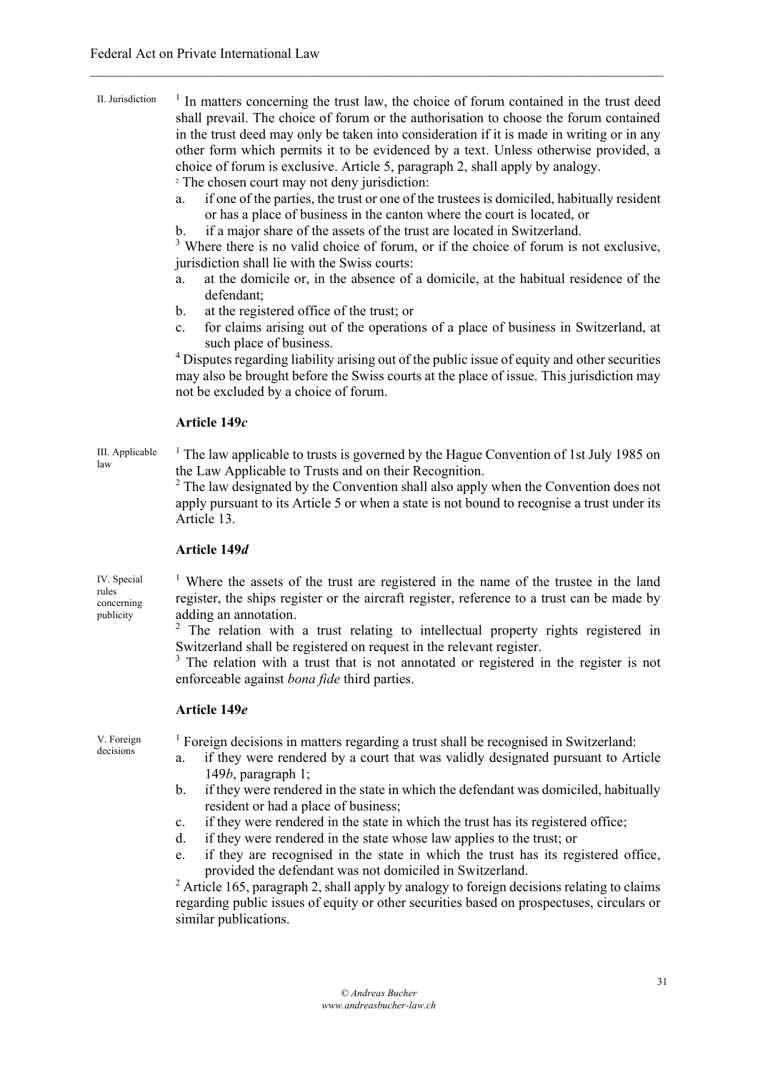#### II. Jurisdiction  $<sup>1</sup>$  In matters concerning the trust law, the choice of forum contained in the trust deed</sup> shall prevail. The choice of forum or the authorisation to choose the forum contained in the trust deed may only be taken into consideration if it is made in writing or in any other form which permits it to be evidenced by a text. Unless otherwise provided, a choice of forum is exclusive. Article 5, paragraph 2, shall apply by analogy.

 $\mathcal{L}_\mathcal{L} = \{ \mathcal{L}_\mathcal{L} = \{ \mathcal{L}_\mathcal{L} = \{ \mathcal{L}_\mathcal{L} = \{ \mathcal{L}_\mathcal{L} = \{ \mathcal{L}_\mathcal{L} = \{ \mathcal{L}_\mathcal{L} = \{ \mathcal{L}_\mathcal{L} = \{ \mathcal{L}_\mathcal{L} = \{ \mathcal{L}_\mathcal{L} = \{ \mathcal{L}_\mathcal{L} = \{ \mathcal{L}_\mathcal{L} = \{ \mathcal{L}_\mathcal{L} = \{ \mathcal{L}_\mathcal{L} = \{ \mathcal{L}_\mathcal{$ 

<sup>2</sup> The chosen court may not deny jurisdiction:

- a. if one of the parties, the trust or one of the trustees is domiciled, habitually resident or has a place of business in the canton where the court is located, or
- b. if a major share of the assets of the trust are located in Switzerland.

<sup>3</sup> Where there is no valid choice of forum, or if the choice of forum is not exclusive, jurisdiction shall lie with the Swiss courts:

- a. at the domicile or, in the absence of a domicile, at the habitual residence of the defendant;
- b. at the registered office of the trust; or
- c. for claims arising out of the operations of a place of business in Switzerland, at such place of business.

<sup>4</sup> Disputes regarding liability arising out of the public issue of equity and other securities may also be brought before the Swiss courts at the place of issue. This jurisdiction may not be excluded by a choice of forum.

# **Article 149***c*

III. Applicable <sup>1</sup> The law applicable to trusts is governed by the Hague Convention of 1st July 1985 on the Law Applicable to Trusts and on their Recognition.

<sup>2</sup> The law designated by the Convention shall also apply when the Convention does not apply pursuant to its Article 5 or when a state is not bound to recognise a trust under its Article 13.

#### **Article 149***d*

IV. Special rules concerning publicity

law

<sup>1</sup> Where the assets of the trust are registered in the name of the trustee in the land register, the ships register or the aircraft register, reference to a trust can be made by adding an annotation.

The relation with a trust relating to intellectual property rights registered in Switzerland shall be registered on request in the relevant register.

<sup>3</sup> The relation with a trust that is not annotated or registered in the register is not enforceable against *bona fide* third parties.

# **Article 149***e*

V. Foreign decisions

<sup>1</sup> Foreign decisions in matters regarding a trust shall be recognised in Switzerland:

- a. if they were rendered by a court that was validly designated pursuant to Article 149*b*, paragraph 1;
- b. if they were rendered in the state in which the defendant was domiciled, habitually resident or had a place of business;
- c. if they were rendered in the state in which the trust has its registered office;
- d. if they were rendered in the state whose law applies to the trust; or
- e. if they are recognised in the state in which the trust has its registered office, provided the defendant was not domiciled in Switzerland.

 $2$  Article 165, paragraph 2, shall apply by analogy to foreign decisions relating to claims regarding public issues of equity or other securities based on prospectuses, circulars or similar publications.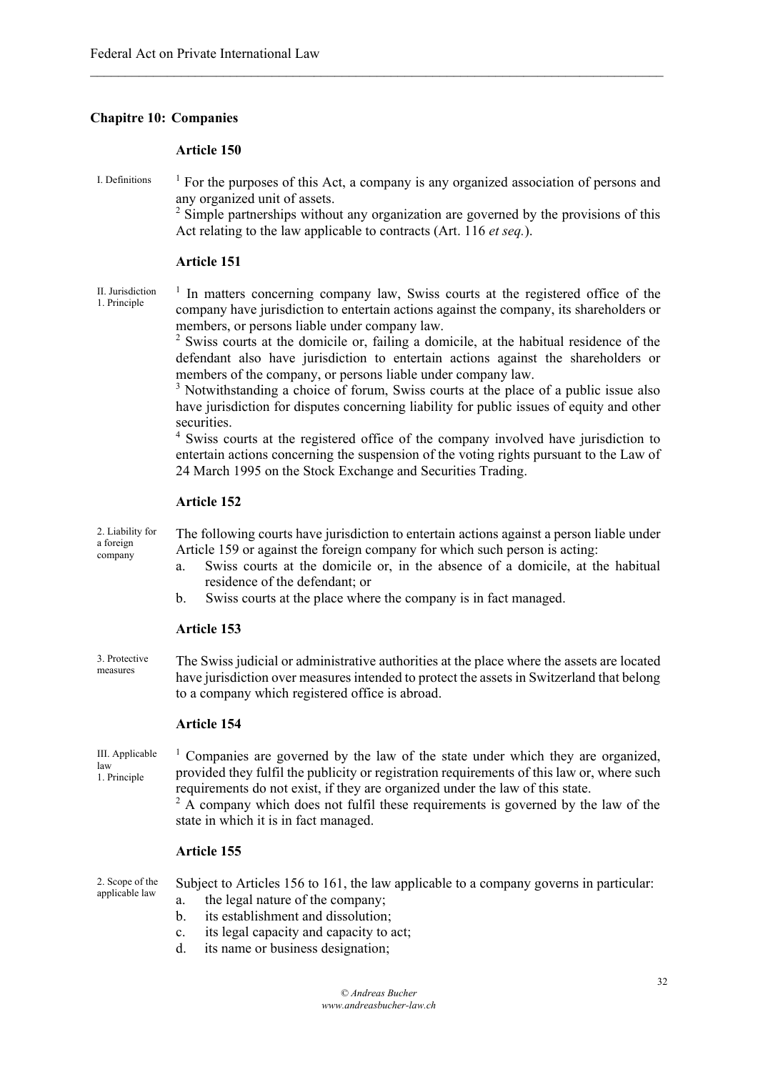# **Chapitre 10: Companies**

## **Article 150**

I. Definitions  $\frac{1}{1}$  For the purposes of this Act, a company is any organized association of persons and any organized unit of assets.

 $\mathcal{L}_\mathcal{L} = \{ \mathcal{L}_\mathcal{L} = \{ \mathcal{L}_\mathcal{L} = \{ \mathcal{L}_\mathcal{L} = \{ \mathcal{L}_\mathcal{L} = \{ \mathcal{L}_\mathcal{L} = \{ \mathcal{L}_\mathcal{L} = \{ \mathcal{L}_\mathcal{L} = \{ \mathcal{L}_\mathcal{L} = \{ \mathcal{L}_\mathcal{L} = \{ \mathcal{L}_\mathcal{L} = \{ \mathcal{L}_\mathcal{L} = \{ \mathcal{L}_\mathcal{L} = \{ \mathcal{L}_\mathcal{L} = \{ \mathcal{L}_\mathcal{$ 

<sup>2</sup> Simple partnerships without any organization are governed by the provisions of this Act relating to the law applicable to contracts (Art. 116 *et seq.*).

## **Article 151**

II. Jurisdiction 1. Principle

<sup>1</sup> In matters concerning company law, Swiss courts at the registered office of the company have jurisdiction to entertain actions against the company, its shareholders or members, or persons liable under company law.

<sup>2</sup> Swiss courts at the domicile or, failing a domicile, at the habitual residence of the defendant also have jurisdiction to entertain actions against the shareholders or members of the company, or persons liable under company law.

<sup>3</sup> Notwithstanding a choice of forum, Swiss courts at the place of a public issue also have jurisdiction for disputes concerning liability for public issues of equity and other securities.

<sup>4</sup> Swiss courts at the registered office of the company involved have jurisdiction to entertain actions concerning the suspension of the voting rights pursuant to the Law of 24 March 1995 on the Stock Exchange and Securities Trading.

# **Article 152**

2. Liability for a foreign company

The following courts have jurisdiction to entertain actions against a person liable under Article 159 or against the foreign company for which such person is acting:

- a. Swiss courts at the domicile or, in the absence of a domicile, at the habitual residence of the defendant; or
- b. Swiss courts at the place where the company is in fact managed.

#### **Article 153**

3. Protective measures The Swiss judicial or administrative authorities at the place where the assets are located have jurisdiction over measures intended to protect the assets in Switzerland that belong to a company which registered office is abroad.

# **Article 154**

III. Applicable law 1. Principle

<sup>1</sup> Companies are governed by the law of the state under which they are organized, provided they fulfil the publicity or registration requirements of this law or, where such requirements do not exist, if they are organized under the law of this state.

 $2 \text{ A company which does not fulfill these requirements is governed by the law of the$ state in which it is in fact managed.

## **Article 155**

2. Scope of the applicable law

Subject to Articles 156 to 161, the law applicable to a company governs in particular:

- a. the legal nature of the company; b. its establishment and dissolution;
- c. its legal capacity and capacity to act;
- d. its name or business designation;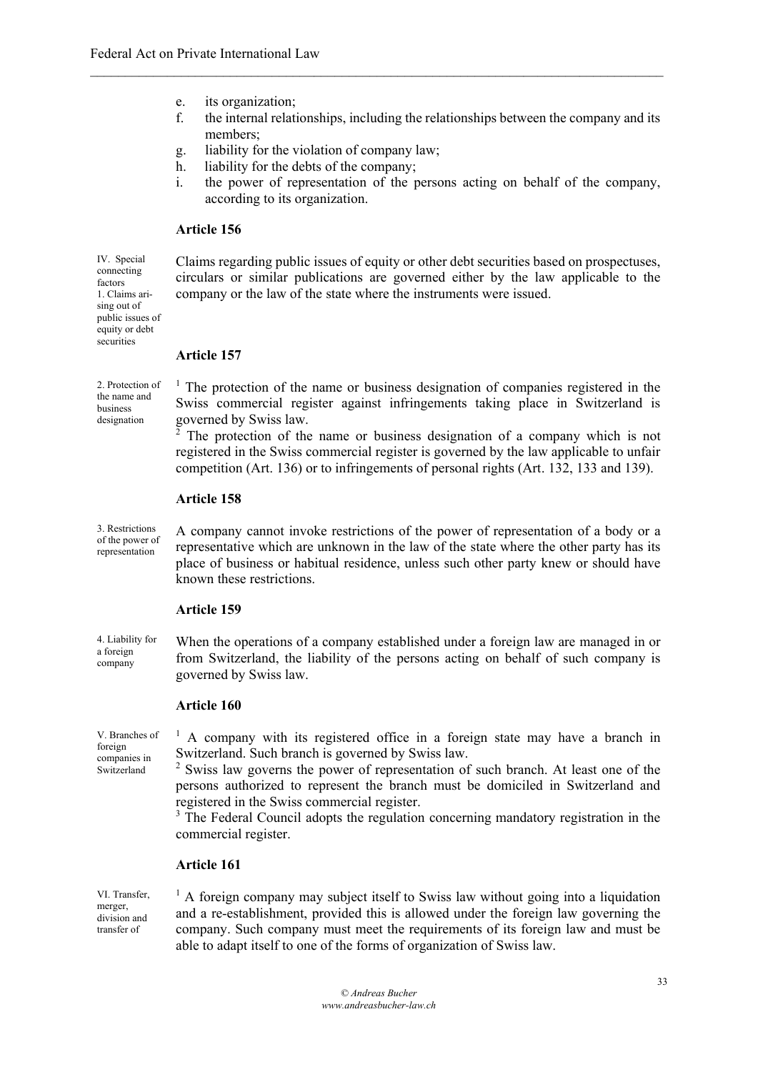- e. its organization;
- f. the internal relationships, including the relationships between the company and its members;

 $\mathcal{L}_\mathcal{L} = \{ \mathcal{L}_\mathcal{L} = \{ \mathcal{L}_\mathcal{L} = \{ \mathcal{L}_\mathcal{L} = \{ \mathcal{L}_\mathcal{L} = \{ \mathcal{L}_\mathcal{L} = \{ \mathcal{L}_\mathcal{L} = \{ \mathcal{L}_\mathcal{L} = \{ \mathcal{L}_\mathcal{L} = \{ \mathcal{L}_\mathcal{L} = \{ \mathcal{L}_\mathcal{L} = \{ \mathcal{L}_\mathcal{L} = \{ \mathcal{L}_\mathcal{L} = \{ \mathcal{L}_\mathcal{L} = \{ \mathcal{L}_\mathcal{$ 

- g. liability for the violation of company law;
- h. liability for the debts of the company;
- i. the power of representation of the persons acting on behalf of the company, according to its organization.

# **Article 156**

Claims regarding public issues of equity or other debt securities based on prospectuses, circulars or similar publications are governed either by the law applicable to the company or the law of the state where the instruments were issued.

**Article 157**

2. Protection of  $<sup>1</sup>$  The protection of the name or business designation of companies registered in the</sup> Swiss commercial register against infringements taking place in Switzerland is governed by Swiss law.

The protection of the name or business designation of a company which is not registered in the Swiss commercial register is governed by the law applicable to unfair competition (Art. 136) or to infringements of personal rights (Art. 132, 133 and 139).

# **Article 158**

3. Restrictions of the power of representation

IV. Special connecting factors 1. Claims arising out of public issues of equity or debt securities

the name and business designation

> A company cannot invoke restrictions of the power of representation of a body or a representative which are unknown in the law of the state where the other party has its place of business or habitual residence, unless such other party knew or should have known these restrictions.

#### **Article 159**

4. Liability for a foreign company When the operations of a company established under a foreign law are managed in or from Switzerland, the liability of the persons acting on behalf of such company is governed by Swiss law.

## **Article 160**

V. Branches of foreign companies in Switzerland

 $<sup>1</sup>$  A company with its registered office in a foreign state may have a branch in</sup> Switzerland. Such branch is governed by Swiss law.

<sup>2</sup> Swiss law governs the power of representation of such branch. At least one of the persons authorized to represent the branch must be domiciled in Switzerland and registered in the Swiss commercial register.

<sup>3</sup> The Federal Council adopts the regulation concerning mandatory registration in the commercial register.

## **Article 161**

VI. Transfer, merger, division and transfer of

 $<sup>1</sup>$  A foreign company may subject itself to Swiss law without going into a liquidation</sup> and a re-establishment, provided this is allowed under the foreign law governing the company. Such company must meet the requirements of its foreign law and must be able to adapt itself to one of the forms of organization of Swiss law.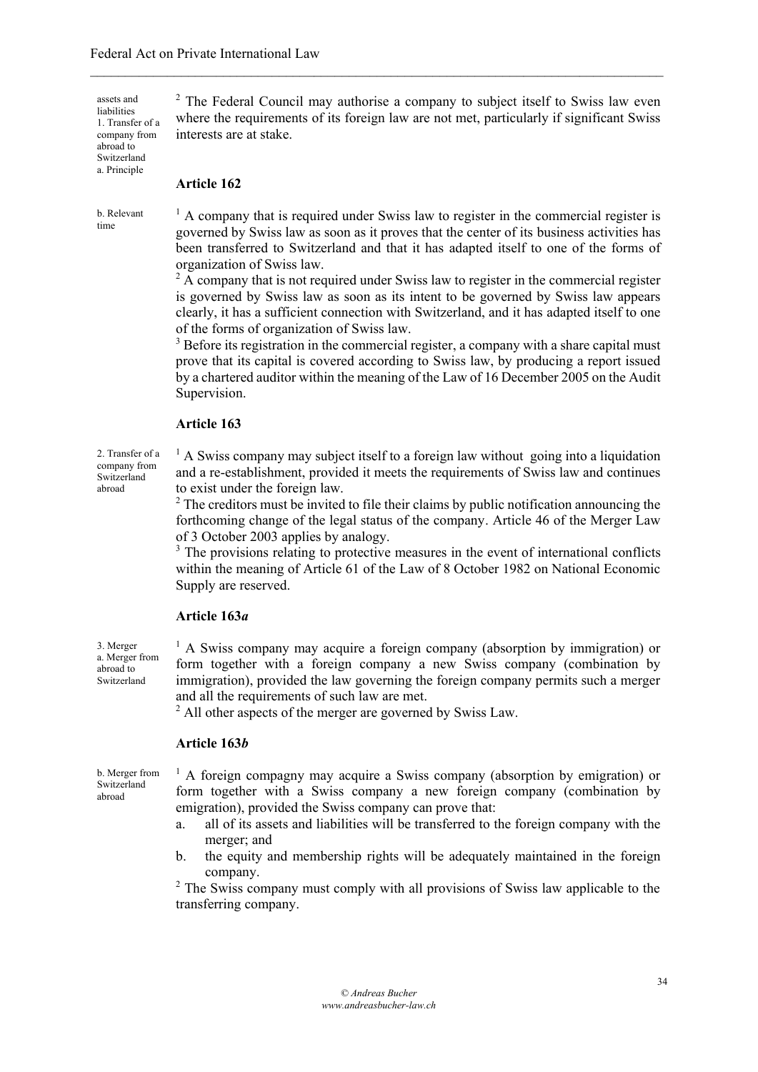assets and liabilities 1. Transfer of a company from abroad to Switzerland a. Principle

b. Relevant time

<sup>2</sup> The Federal Council may authorise a company to subject itself to Swiss law even where the requirements of its foreign law are not met, particularly if significant Swiss interests are at stake.

 $\mathcal{L}_\mathcal{L} = \{ \mathcal{L}_\mathcal{L} = \{ \mathcal{L}_\mathcal{L} = \{ \mathcal{L}_\mathcal{L} = \{ \mathcal{L}_\mathcal{L} = \{ \mathcal{L}_\mathcal{L} = \{ \mathcal{L}_\mathcal{L} = \{ \mathcal{L}_\mathcal{L} = \{ \mathcal{L}_\mathcal{L} = \{ \mathcal{L}_\mathcal{L} = \{ \mathcal{L}_\mathcal{L} = \{ \mathcal{L}_\mathcal{L} = \{ \mathcal{L}_\mathcal{L} = \{ \mathcal{L}_\mathcal{L} = \{ \mathcal{L}_\mathcal{$ 

# **Article 162**

 $<sup>1</sup>$  A company that is required under Swiss law to register in the commercial register is</sup> governed by Swiss law as soon as it proves that the center of its business activities has been transferred to Switzerland and that it has adapted itself to one of the forms of organization of Swiss law.

 $2 \text{ A company that is not required under Swiss law to register in the commercial register.}$ is governed by Swiss law as soon as its intent to be governed by Swiss law appears clearly, it has a sufficient connection with Switzerland, and it has adapted itself to one of the forms of organization of Swiss law.

<sup>3</sup> Before its registration in the commercial register, a company with a share capital must prove that its capital is covered according to Swiss law, by producing a report issued by a chartered auditor within the meaning of the Law of 16 December 2005 on the Audit Supervision.

# **Article 163**

2. Transfer of a company from Switzerland abroad

 $<sup>1</sup>$  A Swiss company may subject itself to a foreign law without going into a liquidation</sup> and a re-establishment, provided it meets the requirements of Swiss law and continues to exist under the foreign law.

<sup>2</sup> The creditors must be invited to file their claims by public notification announcing the forthcoming change of the legal status of the company. Article 46 of the Merger Law of 3 October 2003 applies by analogy.

<sup>3</sup> The provisions relating to protective measures in the event of international conflicts within the meaning of Article 61 of the Law of 8 October 1982 on National Economic Supply are reserved.

# **Article 163***a*

3. Merger a. Merger from abroad to Switzerland

<sup>1</sup> A Swiss company may acquire a foreign company (absorption by immigration) or form together with a foreign company a new Swiss company (combination by immigration), provided the law governing the foreign company permits such a merger and all the requirements of such law are met.

 $^{2}$  All other aspects of the merger are governed by Swiss Law.

# **Article 163***b*

b. Merger from Switzerland abroad

<sup>1</sup> A foreign compagny may acquire a Swiss company (absorption by emigration) or form together with a Swiss company a new foreign company (combination by emigration), provided the Swiss company can prove that:

- a. all of its assets and liabilities will be transferred to the foreign company with the merger; and
- b. the equity and membership rights will be adequately maintained in the foreign company.

<sup>2</sup> The Swiss company must comply with all provisions of Swiss law applicable to the transferring company.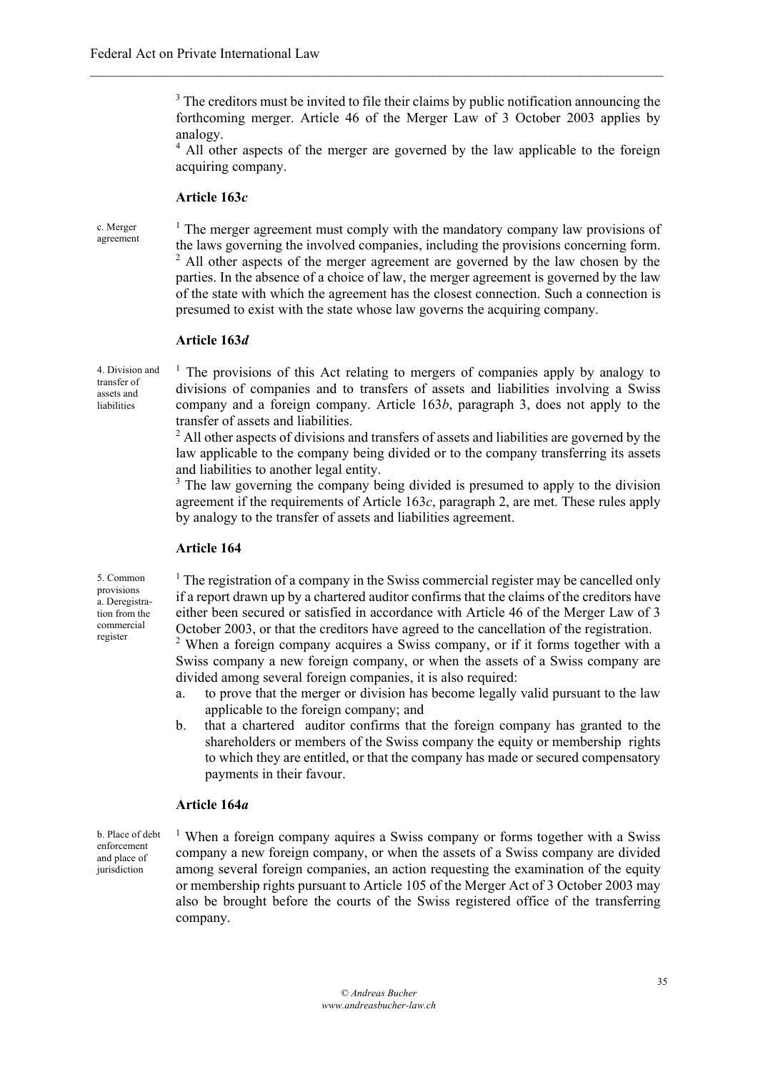<sup>3</sup> The creditors must be invited to file their claims by public notification announcing the forthcoming merger. Article 46 of the Merger Law of 3 October 2003 applies by analogy.

 $\mathcal{L}_\mathcal{L} = \{ \mathcal{L}_\mathcal{L} = \{ \mathcal{L}_\mathcal{L} = \{ \mathcal{L}_\mathcal{L} = \{ \mathcal{L}_\mathcal{L} = \{ \mathcal{L}_\mathcal{L} = \{ \mathcal{L}_\mathcal{L} = \{ \mathcal{L}_\mathcal{L} = \{ \mathcal{L}_\mathcal{L} = \{ \mathcal{L}_\mathcal{L} = \{ \mathcal{L}_\mathcal{L} = \{ \mathcal{L}_\mathcal{L} = \{ \mathcal{L}_\mathcal{L} = \{ \mathcal{L}_\mathcal{L} = \{ \mathcal{L}_\mathcal{$ 

<sup>4</sup> All other aspects of the merger are governed by the law applicable to the foreign acquiring company.

## **Article 163***c*

c. Merger agreement

<sup>1</sup> The merger agreement must comply with the mandatory company law provisions of the laws governing the involved companies, including the provisions concerning form. <sup>2</sup> All other aspects of the merger agreement are governed by the law chosen by the parties. In the absence of a choice of law, the merger agreement is governed by the law of the state with which the agreement has the closest connection. Such a connection is presumed to exist with the state whose law governs the acquiring company.

# **Article 163***d*

4. Division and transfer of assets and liabilities

<sup>1</sup> The provisions of this Act relating to mergers of companies apply by analogy to divisions of companies and to transfers of assets and liabilities involving a Swiss company and a foreign company. Article 163*b*, paragraph 3, does not apply to the transfer of assets and liabilities.

<sup>2</sup> All other aspects of divisions and transfers of assets and liabilities are governed by the law applicable to the company being divided or to the company transferring its assets and liabilities to another legal entity.

<sup>3</sup> The law governing the company being divided is presumed to apply to the division agreement if the requirements of Article 163*c*, paragraph 2, are met. These rules apply by analogy to the transfer of assets and liabilities agreement.

#### **Article 164**

5. Common provisions a. Deregistration from the commercial register

 $<sup>1</sup>$  The registration of a company in the Swiss commercial register may be cancelled only</sup> if a report drawn up by a chartered auditor confirms that the claims of the creditors have either been secured or satisfied in accordance with Article 46 of the Merger Law of 3 October 2003, or that the creditors have agreed to the cancellation of the registration. <sup>2</sup> When a foreign company acquires a Swiss company, or if it forms together with a

Swiss company a new foreign company, or when the assets of a Swiss company are divided among several foreign companies, it is also required:

- a. to prove that the merger or division has become legally valid pursuant to the law applicable to the foreign company; and
- b. that a chartered auditor confirms that the foreign company has granted to the shareholders or members of the Swiss company the equity or membership rights to which they are entitled, or that the company has made or secured compensatory payments in their favour.

#### **Article 164***a*

b. Place of debt enforcement and place of iurisdiction

<sup>1</sup> When a foreign company aquires a Swiss company or forms together with a Swiss company a new foreign company, or when the assets of a Swiss company are divided among several foreign companies, an action requesting the examination of the equity or membership rights pursuant to Article 105 of the Merger Act of 3 October 2003 may also be brought before the courts of the Swiss registered office of the transferring company.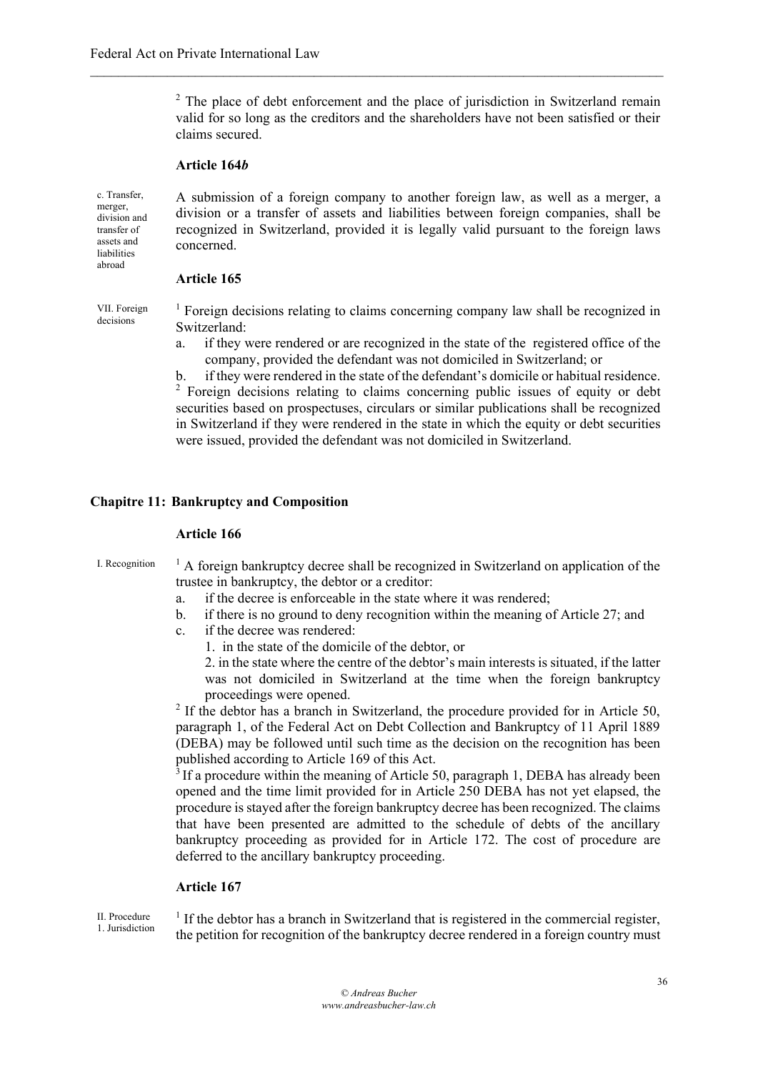<sup>2</sup> The place of debt enforcement and the place of jurisdiction in Switzerland remain valid for so long as the creditors and the shareholders have not been satisfied or their claims secured.

 $\mathcal{L}_\mathcal{L} = \{ \mathcal{L}_\mathcal{L} = \{ \mathcal{L}_\mathcal{L} = \{ \mathcal{L}_\mathcal{L} = \{ \mathcal{L}_\mathcal{L} = \{ \mathcal{L}_\mathcal{L} = \{ \mathcal{L}_\mathcal{L} = \{ \mathcal{L}_\mathcal{L} = \{ \mathcal{L}_\mathcal{L} = \{ \mathcal{L}_\mathcal{L} = \{ \mathcal{L}_\mathcal{L} = \{ \mathcal{L}_\mathcal{L} = \{ \mathcal{L}_\mathcal{L} = \{ \mathcal{L}_\mathcal{L} = \{ \mathcal{L}_\mathcal{$ 

## **Article 164***b*

c. Transfer, merger, division and transfer of assets and liabilities abroad

A submission of a foreign company to another foreign law, as well as a merger, a division or a transfer of assets and liabilities between foreign companies, shall be recognized in Switzerland, provided it is legally valid pursuant to the foreign laws concerned.

#### **Article 165**

VII. Foreign decisions

<sup>1</sup> Foreign decisions relating to claims concerning company law shall be recognized in Switzerland:

a. if they were rendered or are recognized in the state of the registered office of the company, provided the defendant was not domiciled in Switzerland; or

b. if they were rendered in the state of the defendant's domicile or habitual residence. <sup>2</sup> Foreign decisions relating to claims concerning public issues of equity or debt securities based on prospectuses, circulars or similar publications shall be recognized in Switzerland if they were rendered in the state in which the equity or debt securities were issued, provided the defendant was not domiciled in Switzerland.

## **Chapitre 11: Bankruptcy and Composition**

#### **Article 166**

I. Recognition  $\frac{1}{1}$  A foreign bankruptcy decree shall be recognized in Switzerland on application of the trustee in bankruptcy, the debtor or a creditor:

- a. if the decree is enforceable in the state where it was rendered;
- b. if there is no ground to deny recognition within the meaning of Article 27; and
- c. if the decree was rendered:
	- 1. in the state of the domicile of the debtor, or

2. in the state where the centre of the debtor's main interests is situated, if the latter was not domiciled in Switzerland at the time when the foreign bankruptcy proceedings were opened.

 $2$  If the debtor has a branch in Switzerland, the procedure provided for in Article 50, paragraph 1, of the Federal Act on Debt Collection and Bankruptcy of 11 April 1889 (DEBA) may be followed until such time as the decision on the recognition has been published according to Article 169 of this Act.

 $3$  If a procedure within the meaning of Article 50, paragraph 1, DEBA has already been opened and the time limit provided for in Article 250 DEBA has not yet elapsed, the procedure is stayed after the foreign bankruptcy decree has been recognized. The claims that have been presented are admitted to the schedule of debts of the ancillary bankruptcy proceeding as provided for in Article 172. The cost of procedure are deferred to the ancillary bankruptcy proceeding.

# **Article 167**

II. Procedure 1. Jurisdiction

 $<sup>1</sup>$  If the debtor has a branch in Switzerland that is registered in the commercial register,</sup> the petition for recognition of the bankruptcy decree rendered in a foreign country must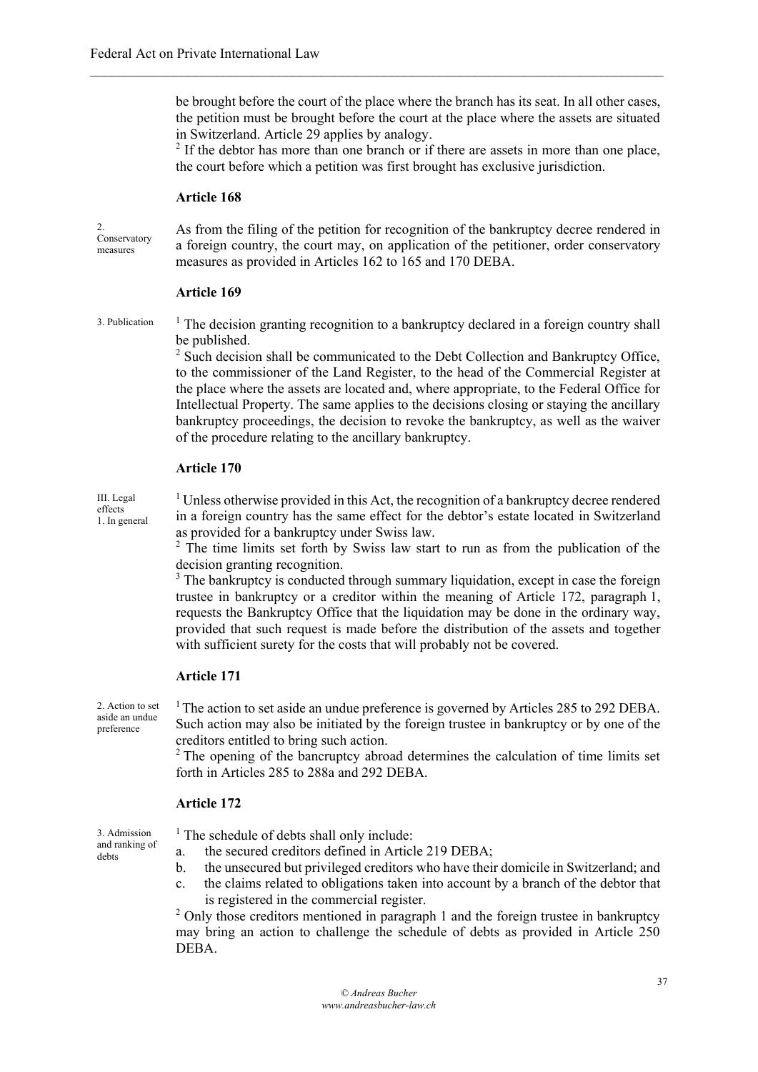be brought before the court of the place where the branch has its seat. In all other cases, the petition must be brought before the court at the place where the assets are situated in Switzerland. Article 29 applies by analogy.

 $\mathcal{L}_\mathcal{L} = \{ \mathcal{L}_\mathcal{L} = \{ \mathcal{L}_\mathcal{L} = \{ \mathcal{L}_\mathcal{L} = \{ \mathcal{L}_\mathcal{L} = \{ \mathcal{L}_\mathcal{L} = \{ \mathcal{L}_\mathcal{L} = \{ \mathcal{L}_\mathcal{L} = \{ \mathcal{L}_\mathcal{L} = \{ \mathcal{L}_\mathcal{L} = \{ \mathcal{L}_\mathcal{L} = \{ \mathcal{L}_\mathcal{L} = \{ \mathcal{L}_\mathcal{L} = \{ \mathcal{L}_\mathcal{L} = \{ \mathcal{L}_\mathcal{$ 

 $2<sup>2</sup>$  If the debtor has more than one branch or if there are assets in more than one place, the court before which a petition was first brought has exclusive jurisdiction.

#### **Article 168**

 $\gamma$ Conservatory measures

As from the filing of the petition for recognition of the bankruptcy decree rendered in a foreign country, the court may, on application of the petitioner, order conservatory measures as provided in Articles 162 to 165 and 170 DEBA.

#### **Article 169**

 $3.$  Publication  $1$  The decision granting recognition to a bankruptcy declared in a foreign country shall be published.

<sup>2</sup> Such decision shall be communicated to the Debt Collection and Bankruptcy Office, to the commissioner of the Land Register, to the head of the Commercial Register at the place where the assets are located and, where appropriate, to the Federal Office for Intellectual Property. The same applies to the decisions closing or staying the ancillary bankruptcy proceedings, the decision to revoke the bankruptcy, as well as the waiver of the procedure relating to the ancillary bankruptcy.

#### **Article 170**

III. Legal effects 1. In general

 $1$  Unless otherwise provided in this Act, the recognition of a bankruptcy decree rendered in a foreign country has the same effect for the debtor's estate located in Switzerland as provided for a bankruptcy under Swiss law.

<sup>2</sup> The time limits set forth by Swiss law start to run as from the publication of the decision granting recognition.

<sup>3</sup> The bankruptcy is conducted through summary liquidation, except in case the foreign trustee in bankruptcy or a creditor within the meaning of Article 172, paragraph 1, requests the Bankruptcy Office that the liquidation may be done in the ordinary way, provided that such request is made before the distribution of the assets and together with sufficient surety for the costs that will probably not be covered.

# **Article 171**

2. Action to set aside an undue preference

<sup>1</sup> The action to set aside an undue preference is governed by Articles 285 to 292 DEBA. Such action may also be initiated by the foreign trustee in bankruptcy or by one of the creditors entitled to bring such action.

<sup>2</sup> The opening of the bancruptcy abroad determines the calculation of time limits set forth in Articles 285 to 288a and 292 DEBA.

## **Article 172**

3. Admission and ranking of debts

 $<sup>1</sup>$  The schedule of debts shall only include:</sup>

- a. the secured creditors defined in Article 219 DEBA;
- b. the unsecured but privileged creditors who have their domicile in Switzerland; and
- c. the claims related to obligations taken into account by a branch of the debtor that is registered in the commercial register.

<sup>2</sup> Only those creditors mentioned in paragraph 1 and the foreign trustee in bankruptcy may bring an action to challenge the schedule of debts as provided in Article 250 DEBA.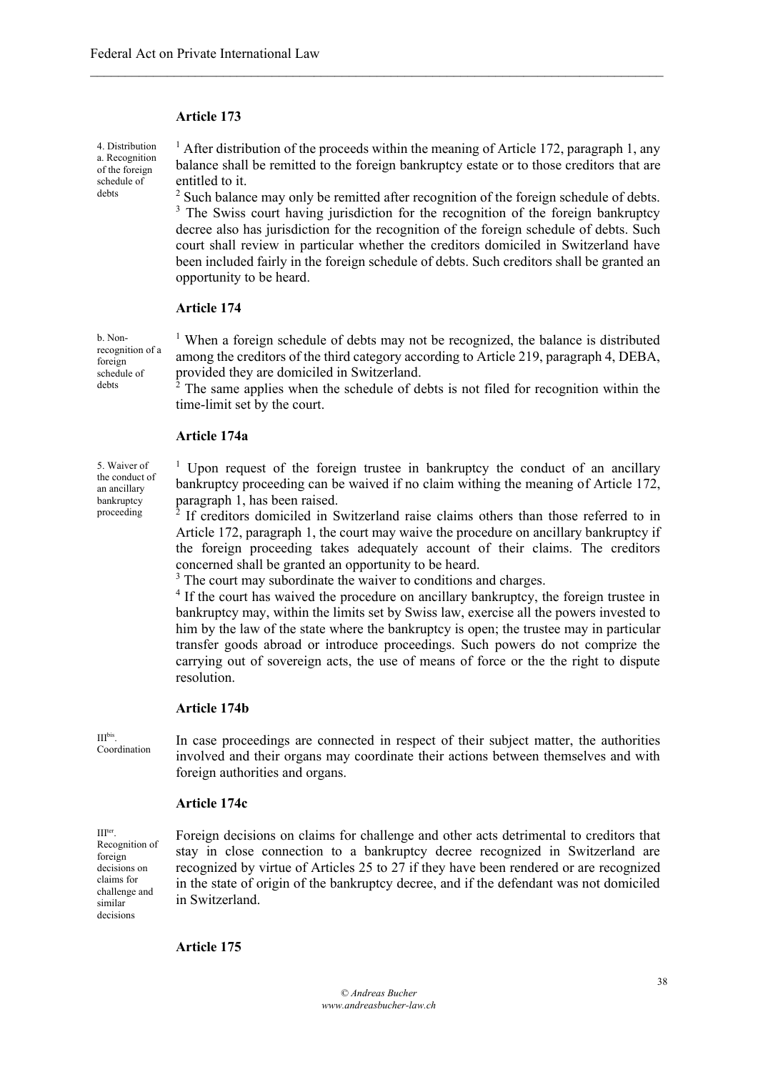#### **Article 173**

4. Distribution a. Recognition of the foreign schedule of debts

 $1$  After distribution of the proceeds within the meaning of Article 172, paragraph 1, any balance shall be remitted to the foreign bankruptcy estate or to those creditors that are entitled to it.

 $\mathcal{L}_\mathcal{L} = \{ \mathcal{L}_\mathcal{L} = \{ \mathcal{L}_\mathcal{L} = \{ \mathcal{L}_\mathcal{L} = \{ \mathcal{L}_\mathcal{L} = \{ \mathcal{L}_\mathcal{L} = \{ \mathcal{L}_\mathcal{L} = \{ \mathcal{L}_\mathcal{L} = \{ \mathcal{L}_\mathcal{L} = \{ \mathcal{L}_\mathcal{L} = \{ \mathcal{L}_\mathcal{L} = \{ \mathcal{L}_\mathcal{L} = \{ \mathcal{L}_\mathcal{L} = \{ \mathcal{L}_\mathcal{L} = \{ \mathcal{L}_\mathcal{$ 

<sup>2</sup> Such balance may only be remitted after recognition of the foreign schedule of debts. <sup>3</sup> The Swiss court having jurisdiction for the recognition of the foreign bankruptcy decree also has jurisdiction for the recognition of the foreign schedule of debts. Such court shall review in particular whether the creditors domiciled in Switzerland have been included fairly in the foreign schedule of debts. Such creditors shall be granted an opportunity to be heard.

## **Article 174**

b. Nonrecognition of a foreign schedule of debts

<sup>1</sup> When a foreign schedule of debts may not be recognized, the balance is distributed among the creditors of the third category according to Article 219, paragraph 4, DEBA, provided they are domiciled in Switzerland.

<sup>2</sup> The same applies when the schedule of debts is not filed for recognition within the time-limit set by the court.

#### **Article 174a**

5. Waiver of the conduct of an ancillary bankruptcy proceeding

<sup>1</sup> Upon request of the foreign trustee in bankruptcy the conduct of an ancillary bankruptcy proceeding can be waived if no claim withing the meaning of Article 172, paragraph 1, has been raised.

2 If creditors domiciled in Switzerland raise claims others than those referred to in Article 172, paragraph 1, the court may waive the procedure on ancillary bankruptcy if the foreign proceeding takes adequately account of their claims. The creditors concerned shall be granted an opportunity to be heard.

<sup>3</sup> The court may subordinate the waiver to conditions and charges.

<sup>4</sup> If the court has waived the procedure on ancillary bankruptcy, the foreign trustee in bankruptcy may, within the limits set by Swiss law, exercise all the powers invested to him by the law of the state where the bankruptcy is open; the trustee may in particular transfer goods abroad or introduce proceedings. Such powers do not comprize the carrying out of sovereign acts, the use of means of force or the the right to dispute resolution.

#### **Article 174b**

IIIbis . Coordination

In case proceedings are connected in respect of their subject matter, the authorities involved and their organs may coordinate their actions between themselves and with foreign authorities and organs.

#### **Article 174c**

 $III<sup>ter</sup>$ . Recognition of foreign decisions on claims for challenge and similar decisions

Foreign decisions on claims for challenge and other acts detrimental to creditors that stay in close connection to a bankruptcy decree recognized in Switzerland are recognized by virtue of Articles 25 to 27 if they have been rendered or are recognized in the state of origin of the bankruptcy decree, and if the defendant was not domiciled in Switzerland.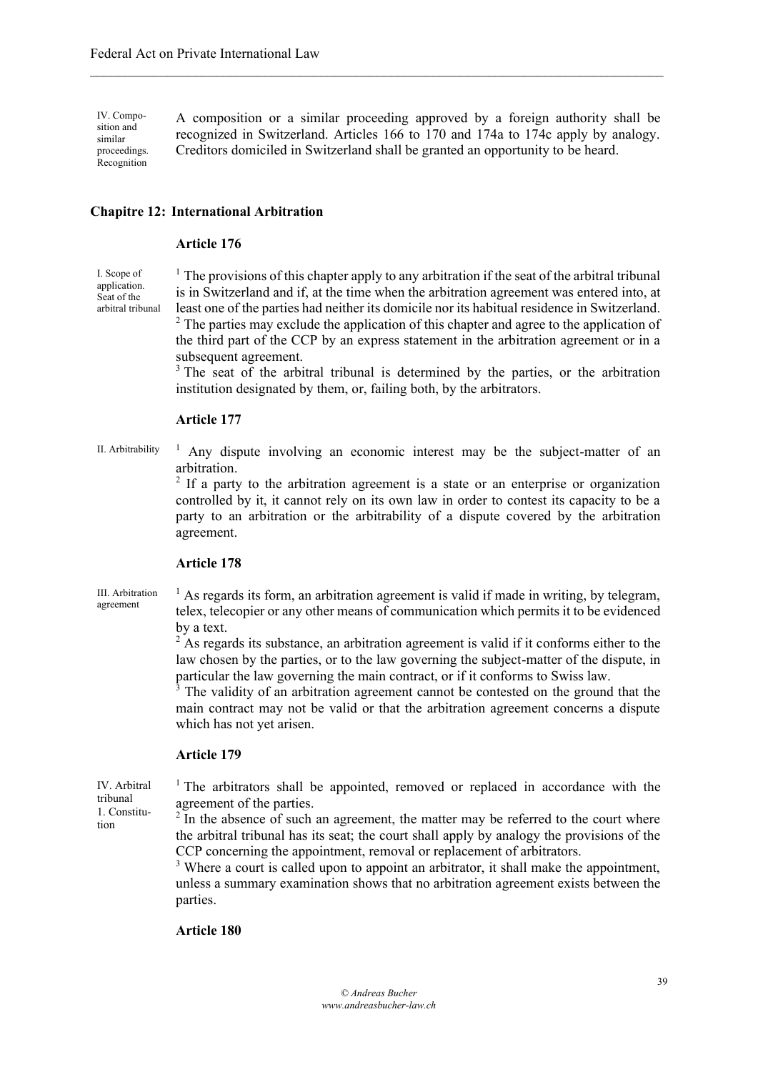IV. Composition and similar proceedings. Recognition A composition or a similar proceeding approved by a foreign authority shall be recognized in Switzerland. Articles 166 to 170 and 174a to 174c apply by analogy. Creditors domiciled in Switzerland shall be granted an opportunity to be heard.

 $\mathcal{L}_\mathcal{L} = \{ \mathcal{L}_\mathcal{L} = \{ \mathcal{L}_\mathcal{L} = \{ \mathcal{L}_\mathcal{L} = \{ \mathcal{L}_\mathcal{L} = \{ \mathcal{L}_\mathcal{L} = \{ \mathcal{L}_\mathcal{L} = \{ \mathcal{L}_\mathcal{L} = \{ \mathcal{L}_\mathcal{L} = \{ \mathcal{L}_\mathcal{L} = \{ \mathcal{L}_\mathcal{L} = \{ \mathcal{L}_\mathcal{L} = \{ \mathcal{L}_\mathcal{L} = \{ \mathcal{L}_\mathcal{L} = \{ \mathcal{L}_\mathcal{$ 

## **Chapitre 12: International Arbitration**

# **Article 176**

I. Scope of application. Seat of the arbitral tribunal

 $<sup>1</sup>$  The provisions of this chapter apply to any arbitration if the seat of the arbitral tribunal</sup> is in Switzerland and if, at the time when the arbitration agreement was entered into, at least one of the parties had neither its domicile nor its habitual residence in Switzerland.

<sup>2</sup> The parties may exclude the application of this chapter and agree to the application of the third part of the CCP by an express statement in the arbitration agreement or in a subsequent agreement.

<sup>3</sup> The seat of the arbitral tribunal is determined by the parties, or the arbitration institution designated by them, or, failing both, by the arbitrators.

#### **Article 177**

II. Arbitrability  $1$  Any dispute involving an economic interest may be the subject-matter of an arbitration.

 $2$  If a party to the arbitration agreement is a state or an enterprise or organization controlled by it, it cannot rely on its own law in order to contest its capacity to be a party to an arbitration or the arbitrability of a dispute covered by the arbitration agreement.

#### **Article 178**

III. Arbitration agreement

 $<sup>1</sup>$  As regards its form, an arbitration agreement is valid if made in writing, by telegram,</sup> telex, telecopier or any other means of communication which permits it to be evidenced by a text.

 $2$  As regards its substance, an arbitration agreement is valid if it conforms either to the law chosen by the parties, or to the law governing the subject-matter of the dispute, in particular the law governing the main contract, or if it conforms to Swiss law.

The validity of an arbitration agreement cannot be contested on the ground that the main contract may not be valid or that the arbitration agreement concerns a dispute which has not yet arisen.

## **Article 179**

IV. Arbitral tribunal 1. Constitution

<sup>1</sup> The arbitrators shall be appointed, removed or replaced in accordance with the agreement of the parties.

 $2$  In the absence of such an agreement, the matter may be referred to the court where the arbitral tribunal has its seat; the court shall apply by analogy the provisions of the CCP concerning the appointment, removal or replacement of arbitrators.

<sup>3</sup> Where a court is called upon to appoint an arbitrator, it shall make the appointment, unless a summary examination shows that no arbitration agreement exists between the parties.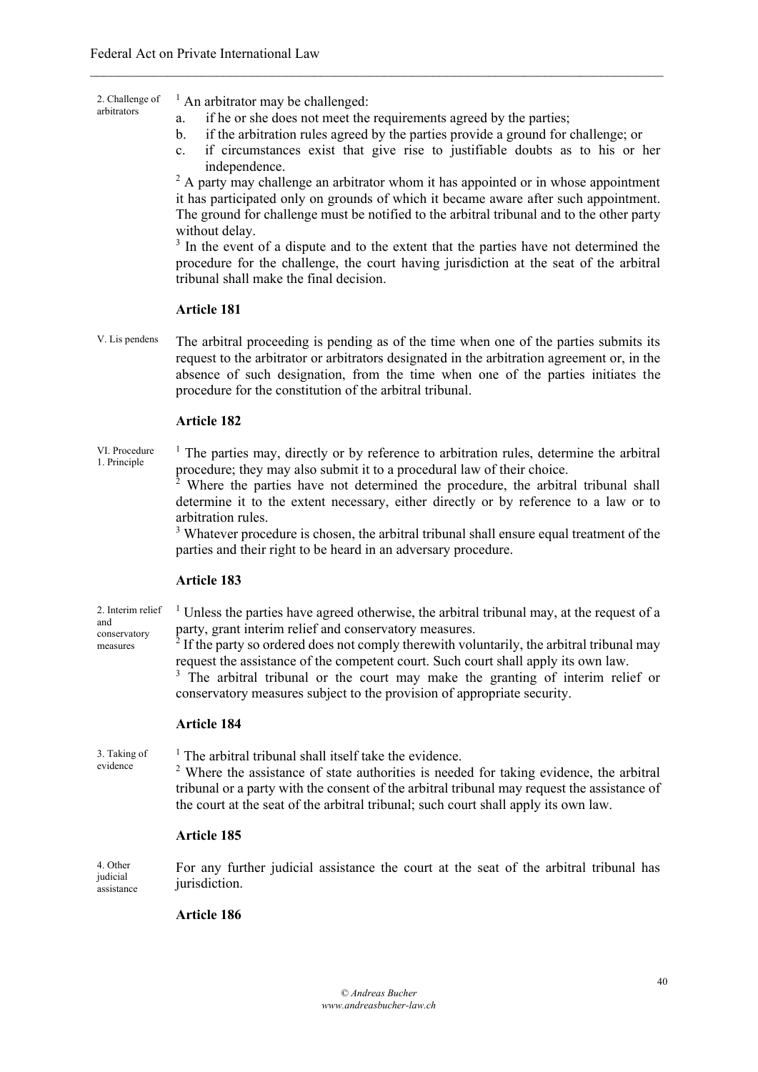#### 2. Challenge of arbitrators  $<sup>1</sup>$  An arbitrator may be challenged:</sup>

a. if he or she does not meet the requirements agreed by the parties;

 $\mathcal{L}_\mathcal{L} = \{ \mathcal{L}_\mathcal{L} = \{ \mathcal{L}_\mathcal{L} = \{ \mathcal{L}_\mathcal{L} = \{ \mathcal{L}_\mathcal{L} = \{ \mathcal{L}_\mathcal{L} = \{ \mathcal{L}_\mathcal{L} = \{ \mathcal{L}_\mathcal{L} = \{ \mathcal{L}_\mathcal{L} = \{ \mathcal{L}_\mathcal{L} = \{ \mathcal{L}_\mathcal{L} = \{ \mathcal{L}_\mathcal{L} = \{ \mathcal{L}_\mathcal{L} = \{ \mathcal{L}_\mathcal{L} = \{ \mathcal{L}_\mathcal{$ 

- b. if the arbitration rules agreed by the parties provide a ground for challenge; or
- c. if circumstances exist that give rise to justifiable doubts as to his or her independence.

<sup>2</sup> A party may challenge an arbitrator whom it has appointed or in whose appointment it has participated only on grounds of which it became aware after such appointment. The ground for challenge must be notified to the arbitral tribunal and to the other party without delay.

 $3$  In the event of a dispute and to the extent that the parties have not determined the procedure for the challenge, the court having jurisdiction at the seat of the arbitral tribunal shall make the final decision.

# **Article 181**

V. Lis pendens The arbitral proceeding is pending as of the time when one of the parties submits its request to the arbitrator or arbitrators designated in the arbitration agreement or, in the absence of such designation, from the time when one of the parties initiates the procedure for the constitution of the arbitral tribunal.

#### **Article 182**

#### VI. Procedure 1. Principle  $<sup>1</sup>$  The parties may, directly or by reference to arbitration rules, determine the arbitral</sup> procedure; they may also submit it to a procedural law of their choice.

Where the parties have not determined the procedure, the arbitral tribunal shall determine it to the extent necessary, either directly or by reference to a law or to arbitration rules.

<sup>3</sup> Whatever procedure is chosen, the arbitral tribunal shall ensure equal treatment of the parties and their right to be heard in an adversary procedure.

#### **Article 183**

2. Interim relief conservatory  $1$  Unless the parties have agreed otherwise, the arbitral tribunal may, at the request of a party, grant interim relief and conservatory measures.

> $2$  If the party so ordered does not comply therewith voluntarily, the arbitral tribunal may request the assistance of the competent court. Such court shall apply its own law.

> <sup>3</sup> The arbitral tribunal or the court may make the granting of interim relief or conservatory measures subject to the provision of appropriate security.

# **Article 184**

3. Taking of evidence

and

measures

 $<sup>1</sup>$  The arbitral tribunal shall itself take the evidence.</sup>

<sup>2</sup> Where the assistance of state authorities is needed for taking evidence, the arbitral tribunal or a party with the consent of the arbitral tribunal may request the assistance of the court at the seat of the arbitral tribunal; such court shall apply its own law.

#### **Article 185**

4. Other judicial assistance For any further judicial assistance the court at the seat of the arbitral tribunal has jurisdiction.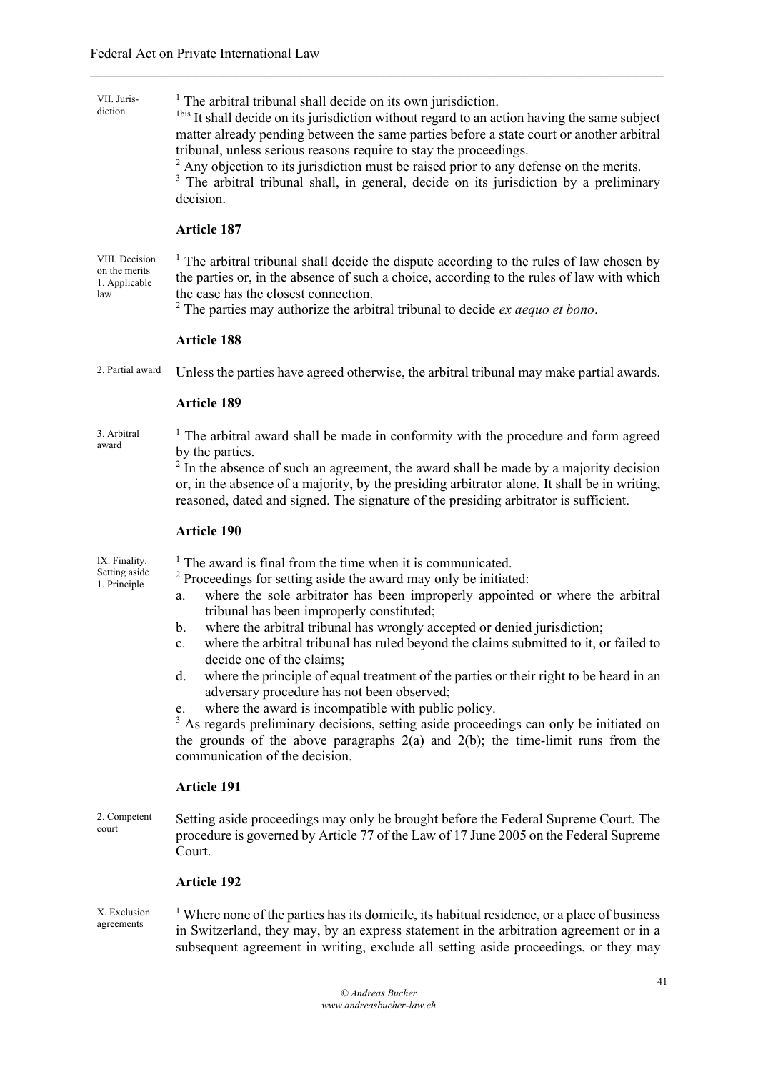VII. Jurisdiction

 $<sup>1</sup>$  The arbitral tribunal shall decide on its own jurisdiction.</sup>

 $\mathcal{L}_\mathcal{L} = \{ \mathcal{L}_\mathcal{L} = \{ \mathcal{L}_\mathcal{L} = \{ \mathcal{L}_\mathcal{L} = \{ \mathcal{L}_\mathcal{L} = \{ \mathcal{L}_\mathcal{L} = \{ \mathcal{L}_\mathcal{L} = \{ \mathcal{L}_\mathcal{L} = \{ \mathcal{L}_\mathcal{L} = \{ \mathcal{L}_\mathcal{L} = \{ \mathcal{L}_\mathcal{L} = \{ \mathcal{L}_\mathcal{L} = \{ \mathcal{L}_\mathcal{L} = \{ \mathcal{L}_\mathcal{L} = \{ \mathcal{L}_\mathcal{$ 

<sup>1bis</sup> It shall decide on its jurisdiction without regard to an action having the same subject matter already pending between the same parties before a state court or another arbitral tribunal, unless serious reasons require to stay the proceedings.

 $2$  Any objection to its jurisdiction must be raised prior to any defense on the merits.

<sup>3</sup> The arbitral tribunal shall, in general, decide on its jurisdiction by a preliminary decision.

# **Article 187**

VIII. Decision on the merits 1. Applicable law

<sup>1</sup> The arbitral tribunal shall decide the dispute according to the rules of law chosen by the parties or, in the absence of such a choice, according to the rules of law with which the case has the closest connection.

<sup>2</sup> The parties may authorize the arbitral tribunal to decide *ex aequo et bono*.

# **Article 188**

2. Partial award Unless the parties have agreed otherwise, the arbitral tribunal may make partial awards.

## **Article 189**

3. Arbitral award

<sup> $1$ </sup> The arbitral award shall be made in conformity with the procedure and form agreed by the parties.

 $2<sup>2</sup>$  In the absence of such an agreement, the award shall be made by a majority decision or, in the absence of a majority, by the presiding arbitrator alone. It shall be in writing, reasoned, dated and signed. The signature of the presiding arbitrator is sufficient.

## **Article 190**

IX. Finality. Setting aside 1. Principle

 $<sup>1</sup>$  The award is final from the time when it is communicated.</sup>

- $2$  Proceedings for setting aside the award may only be initiated:
	- a. where the sole arbitrator has been improperly appointed or where the arbitral tribunal has been improperly constituted;
	- b. where the arbitral tribunal has wrongly accepted or denied jurisdiction;
	- c. where the arbitral tribunal has ruled beyond the claims submitted to it, or failed to decide one of the claims;
	- d. where the principle of equal treatment of the parties or their right to be heard in an adversary procedure has not been observed;
	- e. where the award is incompatible with public policy.

<sup>3</sup> As regards preliminary decisions, setting aside proceedings can only be initiated on the grounds of the above paragraphs  $2(a)$  and  $2(b)$ ; the time-limit runs from the communication of the decision.

## **Article 191**

2. Competent court Setting aside proceedings may only be brought before the Federal Supreme Court. The procedure is governed by Article 77 of the Law of 17 June 2005 on the Federal Supreme Court.

# **Article 192**

X. Exclusion agreements

<sup>1</sup> Where none of the parties has its domicile, its habitual residence, or a place of business in Switzerland, they may, by an express statement in the arbitration agreement or in a subsequent agreement in writing, exclude all setting aside proceedings, or they may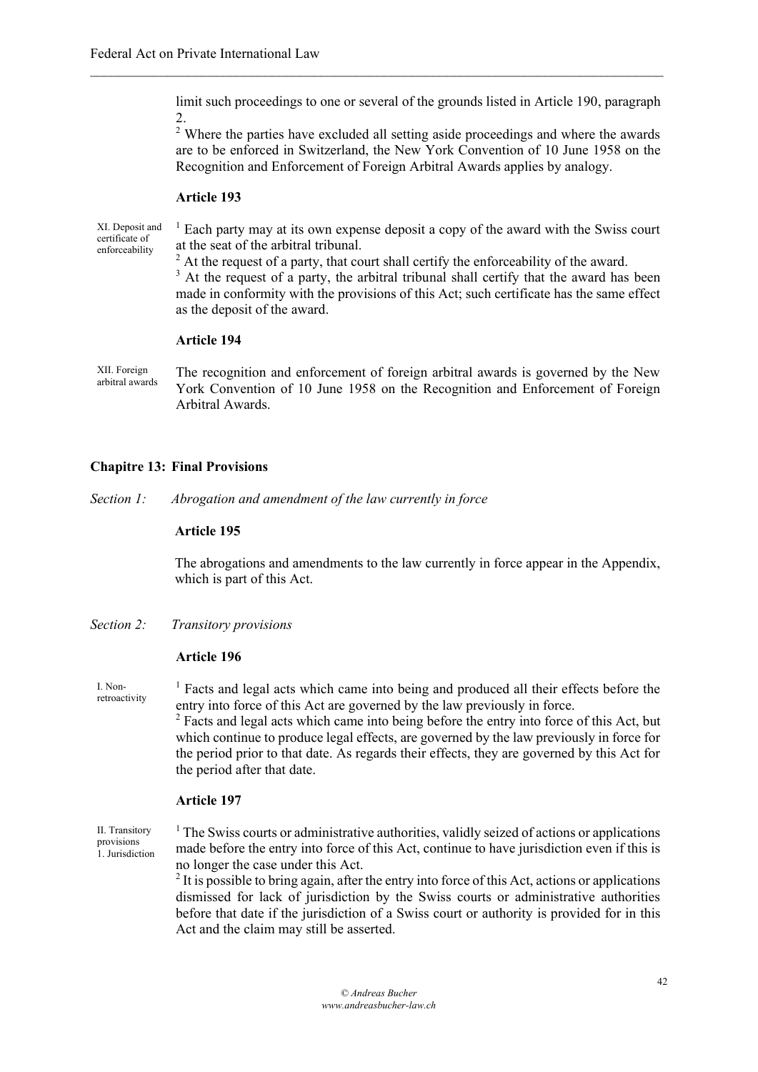limit such proceedings to one or several of the grounds listed in Article 190, paragraph 2.

 $\mathcal{L}_\mathcal{L} = \{ \mathcal{L}_\mathcal{L} = \{ \mathcal{L}_\mathcal{L} = \{ \mathcal{L}_\mathcal{L} = \{ \mathcal{L}_\mathcal{L} = \{ \mathcal{L}_\mathcal{L} = \{ \mathcal{L}_\mathcal{L} = \{ \mathcal{L}_\mathcal{L} = \{ \mathcal{L}_\mathcal{L} = \{ \mathcal{L}_\mathcal{L} = \{ \mathcal{L}_\mathcal{L} = \{ \mathcal{L}_\mathcal{L} = \{ \mathcal{L}_\mathcal{L} = \{ \mathcal{L}_\mathcal{L} = \{ \mathcal{L}_\mathcal{$ 

<sup>2</sup>.<br><sup>2</sup> Where the parties have excluded all setting aside proceedings and where the awards are to be enforced in Switzerland, the New York Convention of 10 June 1958 on the Recognition and Enforcement of Foreign Arbitral Awards applies by analogy.

#### **Article 193**

XI. Deposit and certificate of enforceability  $<sup>1</sup>$  Each party may at its own expense deposit a copy of the award with the Swiss court</sup> at the seat of the arbitral tribunal.

 $<sup>2</sup>$  At the request of a party, that court shall certify the enforceability of the award.</sup>

<sup>3</sup> At the request of a party, the arbitral tribunal shall certify that the award has been made in conformity with the provisions of this Act; such certificate has the same effect as the deposit of the award.

# **Article 194**

XII. Foreign arbitral awards The recognition and enforcement of foreign arbitral awards is governed by the New York Convention of 10 June 1958 on the Recognition and Enforcement of Foreign Arbitral Awards.

# **Chapitre 13: Final Provisions**

*Section 1: Abrogation and amendment of the law currently in force*

#### **Article 195**

The abrogations and amendments to the law currently in force appear in the Appendix, which is part of this Act.

*Section 2: Transitory provisions*

#### **Article 196**

I. Nonretroactivity

<sup>1</sup> Facts and legal acts which came into being and produced all their effects before the entry into force of this Act are governed by the law previously in force.

<sup>2</sup> Facts and legal acts which came into being before the entry into force of this Act, but which continue to produce legal effects, are governed by the law previously in force for the period prior to that date. As regards their effects, they are governed by this Act for the period after that date.

# **Article 197**

II. Transitory provisions 1. Jurisdiction <sup>1</sup> The Swiss courts or administrative authorities, validly seized of actions or applications made before the entry into force of this Act, continue to have jurisdiction even if this is

no longer the case under this Act.  $2<sup>2</sup>$  It is possible to bring again, after the entry into force of this Act, actions or applications dismissed for lack of jurisdiction by the Swiss courts or administrative authorities before that date if the jurisdiction of a Swiss court or authority is provided for in this Act and the claim may still be asserted.